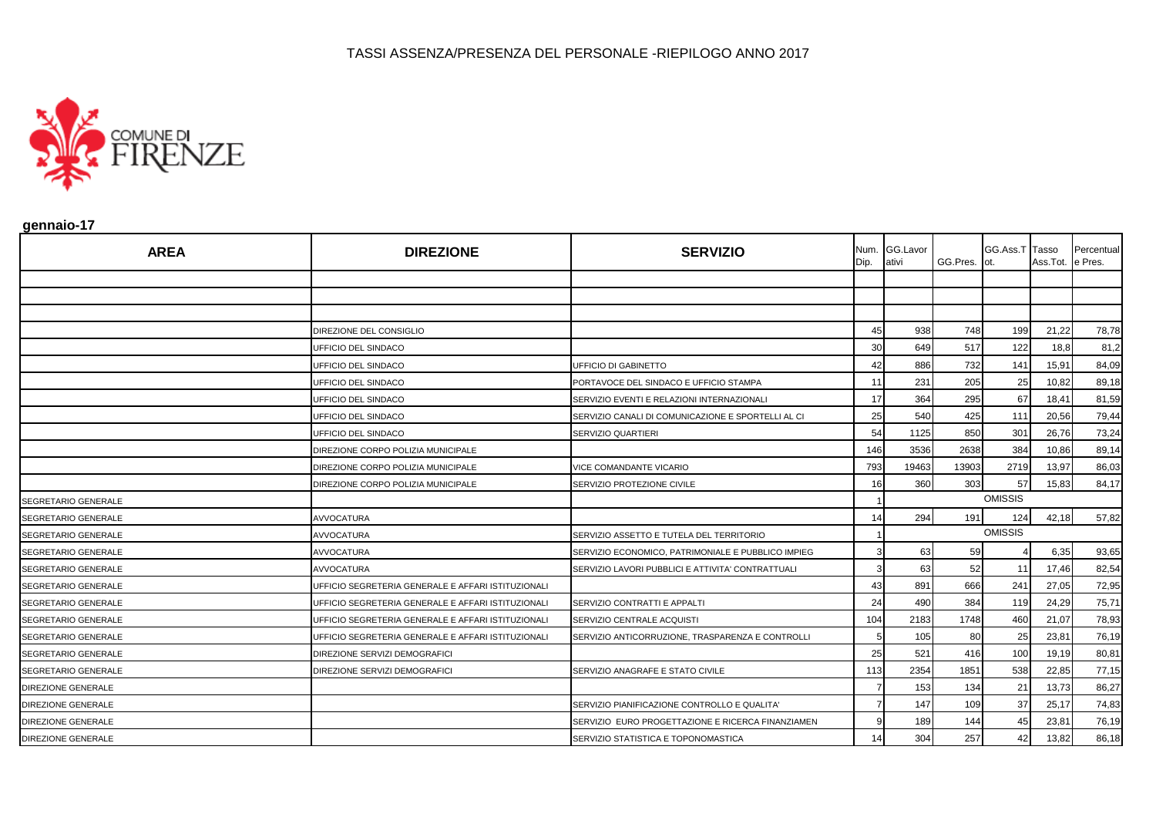

**gennaio-17**

| <b>AREA</b>                | <b>DIREZIONE</b>                                   | <b>SERVIZIO</b>                                    | Dip. | Num. GG.Lavor<br>ativi | GG.Pres. ot. | GG.Ass.T Tasso | Ass.Tot. e Pres. | Percentual |
|----------------------------|----------------------------------------------------|----------------------------------------------------|------|------------------------|--------------|----------------|------------------|------------|
|                            |                                                    |                                                    |      |                        |              |                |                  |            |
|                            |                                                    |                                                    |      |                        |              |                |                  |            |
|                            | DIREZIONE DEL CONSIGLIO                            |                                                    | 45   | 938                    | 748          | 199            | 21,22            | 78,78      |
|                            | UFFICIO DEL SINDACO                                |                                                    | 30   | 649                    | 517          | 122            | 18,8             | 81,2       |
|                            | UFFICIO DEL SINDACO                                | UFFICIO DI GABINETTO                               | 42   | 886                    | 732          | 141            | 15,91            | 84,09      |
|                            | UFFICIO DEL SINDACO                                | PORTAVOCE DEL SINDACO E UFFICIO STAMPA             | 11   | 231                    | 205          | 25             | 10,82            | 89,18      |
|                            | UFFICIO DEL SINDACO                                | SERVIZIO EVENTI E RELAZIONI INTERNAZIONALI         | 17   | 364                    | 295          | 67             | 18,41            | 81,59      |
|                            | UFFICIO DEL SINDACO                                | SERVIZIO CANALI DI COMUNICAZIONE E SPORTELLI AL CI | 25   | 540                    | 425          | 111            | 20,56            | 79,44      |
|                            | UFFICIO DEL SINDACO                                | SERVIZIO QUARTIERI                                 | 54   | 1125                   | 850          | 301            | 26,76            | 73,24      |
|                            | DIREZIONE CORPO POLIZIA MUNICIPALE                 |                                                    | 146  | 3536                   | 2638         | 384            | 10,86            | 89,14      |
|                            | DIREZIONE CORPO POLIZIA MUNICIPALE                 | VICE COMANDANTE VICARIO                            | 793  | 19463                  | 13903        | 2719           | 13,97            | 86,03      |
|                            | DIREZIONE CORPO POLIZIA MUNICIPALE                 | SERVIZIO PROTEZIONE CIVILE                         | 16   | 360                    | 303          | 57             | 15,83            | 84,17      |
| SEGRETARIO GENERALE        |                                                    |                                                    |      |                        |              | <b>OMISSIS</b> |                  |            |
| SEGRETARIO GENERALE        | <b>AVVOCATURA</b>                                  |                                                    | 14   | 294                    | 191          | 124            | 42,18            | 57,82      |
| SEGRETARIO GENERALE        | <b>AVVOCATURA</b>                                  | SERVIZIO ASSETTO E TUTELA DEL TERRITORIO           |      |                        |              | <b>OMISSIS</b> |                  |            |
| SEGRETARIO GENERALE        | AVVOCATURA                                         | SERVIZIO ECONOMICO, PATRIMONIALE E PUBBLICO IMPIEG |      | 63                     | 59           |                | 6,35             | 93,65      |
| SEGRETARIO GENERALE        | <b>AVVOCATURA</b>                                  | SERVIZIO LAVORI PUBBLICI E ATTIVITA' CONTRATTUALI  |      | 63                     | 52           | 11             | 17,46            | 82,54      |
| <b>SEGRETARIO GENERALE</b> | UFFICIO SEGRETERIA GENERALE E AFFARI ISTITUZIONALI |                                                    | 43   | 891                    | 666          | 241            | 27,05            | 72,95      |
| SEGRETARIO GENERALE        | UFFICIO SEGRETERIA GENERALE E AFFARI ISTITUZIONALI | SERVIZIO CONTRATTI E APPALTI                       | 24   | 490                    | 384          | 119            | 24,29            | 75,71      |
| SEGRETARIO GENERALE        | UFFICIO SEGRETERIA GENERALE E AFFARI ISTITUZIONALI | SERVIZIO CENTRALE ACQUISTI                         | 104  | 2183                   | 1748         | 460            | 21,07            | 78,93      |
| SEGRETARIO GENERALE        | UFFICIO SEGRETERIA GENERALE E AFFARI ISTITUZIONALI | SERVIZIO ANTICORRUZIONE, TRASPARENZA E CONTROLLI   |      | 105                    | 80           | 25             | 23,81            | 76,19      |
| <b>SEGRETARIO GENERALE</b> | DIREZIONE SERVIZI DEMOGRAFICI                      |                                                    | 25   | 521                    | 416          | 100            | 19,19            | 80,81      |
| <b>SEGRETARIO GENERALE</b> | DIREZIONE SERVIZI DEMOGRAFICI                      | SERVIZIO ANAGRAFE E STATO CIVILE                   | 113  | 2354                   | 1851         | 538            | 22,85            | 77,15      |
| <b>DIREZIONE GENERALE</b>  |                                                    |                                                    |      | 153                    | 134          | 21             | 13,73            | 86,27      |
| DIREZIONE GENERALE         |                                                    | SERVIZIO PIANIFICAZIONE CONTROLLO E QUALITA'       |      | 147                    | 109          | 37             | 25,17            | 74,83      |
| <b>DIREZIONE GENERALE</b>  |                                                    | SERVIZIO EURO PROGETTAZIONE E RICERCA FINANZIAMEN  |      | 189                    | 144          | 45             | 23,81            | 76,19      |
| DIREZIONE GENERALE         |                                                    | SERVIZIO STATISTICA E TOPONOMASTICA                | 14   | 304                    | 257          | 42             | 13,82            | 86,18      |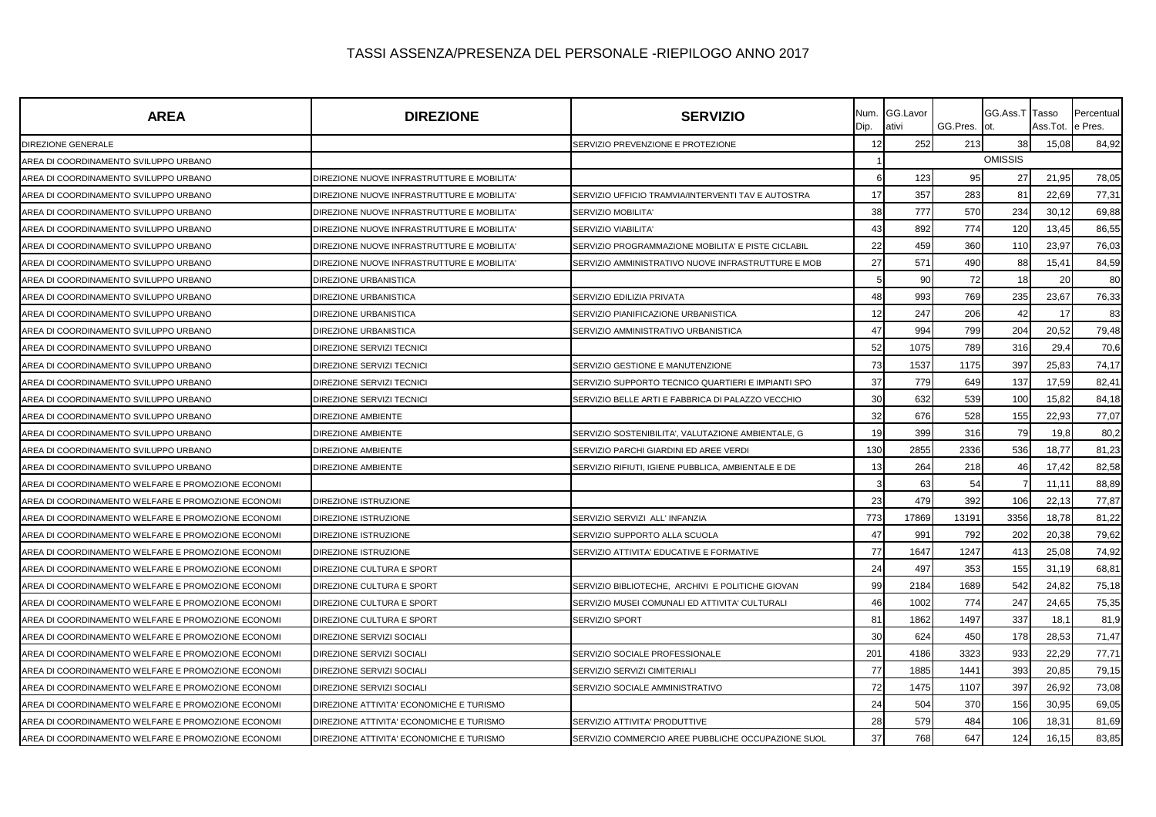| <b>AREA</b>                                        | <b>DIREZIONE</b>                           | <b>SERVIZIO</b>                                    | Num.<br>Dip. | GG.Lavor<br>ativi | GG.Pres. | GG.Ass.T Tasso<br>lot. | Ass.Tot. | Percentual<br>e Pres. |
|----------------------------------------------------|--------------------------------------------|----------------------------------------------------|--------------|-------------------|----------|------------------------|----------|-----------------------|
| <b>DIREZIONE GENERALE</b>                          |                                            | SERVIZIO PREVENZIONE E PROTEZIONE                  | 12           | 252               | 213      | 38                     | 15,08    | 84,92                 |
| AREA DI COORDINAMENTO SVILUPPO URBANO              |                                            |                                                    |              |                   |          | <b>OMISSIS</b>         |          |                       |
| AREA DI COORDINAMENTO SVILUPPO URBANO              | DIREZIONE NUOVE INFRASTRUTTURE E MOBILITA' |                                                    | 6            | 123               | 95       | 27                     | 21,95    | 78,05                 |
| AREA DI COORDINAMENTO SVILUPPO URBANO              | DIREZIONE NUOVE INFRASTRUTTURE E MOBILITA' | SERVIZIO UFFICIO TRAMVIA/INTERVENTI TAV E AUTOSTRA | 17           | 357               | 283      | 81                     | 22,69    | 77,31                 |
| AREA DI COORDINAMENTO SVILUPPO URBANO              | DIREZIONE NUOVE INFRASTRUTTURE E MOBILITA' | SERVIZIO MOBILITA'                                 | 38           | 777               | 570      | 234                    | 30,12    | 69,88                 |
| AREA DI COORDINAMENTO SVILUPPO URBANO              | DIREZIONE NUOVE INFRASTRUTTURE E MOBILITA' | SERVIZIO VIABILITA'                                | 43           | 892               | 774      | 120                    | 13,45    | 86,55                 |
| AREA DI COORDINAMENTO SVILUPPO URBANO              | DIREZIONE NUOVE INFRASTRUTTURE E MOBILITA' | SERVIZIO PROGRAMMAZIONE MOBILITA' E PISTE CICLABIL | 22           | 459               | 360      | 110                    | 23,97    | 76,03                 |
| AREA DI COORDINAMENTO SVILUPPO URBANO              | DIREZIONE NUOVE INFRASTRUTTURE E MOBILITA' | SERVIZIO AMMINISTRATIVO NUOVE INFRASTRUTTURE E MOB | 27           | 571               | 490      | 88                     | 15,41    | 84,59                 |
| AREA DI COORDINAMENTO SVILUPPO URBANO              | DIREZIONE URBANISTICA                      |                                                    |              | 90                | 72       | 18                     | 20       | 80                    |
| AREA DI COORDINAMENTO SVILUPPO URBANO              | DIREZIONE URBANISTICA                      | SERVIZIO EDILIZIA PRIVATA                          | 48           | 993               | 769      | 235                    | 23,67    | 76,33                 |
| AREA DI COORDINAMENTO SVILUPPO URBANO              | DIREZIONE URBANISTICA                      | SERVIZIO PIANIFICAZIONE URBANISTICA                | 12           | 247               | 206      | 42                     | 17       | 83                    |
| AREA DI COORDINAMENTO SVILUPPO URBANO              | DIREZIONE URBANISTICA                      | SERVIZIO AMMINISTRATIVO URBANISTICA                | 47           | 994               | 799      | 204                    | 20,52    | 79,48                 |
| AREA DI COORDINAMENTO SVILUPPO URBANO              | DIREZIONE SERVIZI TECNICI                  |                                                    | 52           | 1075              | 789      | 316                    | 29,4     | 70,6                  |
| AREA DI COORDINAMENTO SVILUPPO URBANO              | DIREZIONE SERVIZI TECNICI                  | SERVIZIO GESTIONE E MANUTENZIONE                   | 73           | 1537              | 1175     | 397                    | 25,83    | 74,17                 |
| AREA DI COORDINAMENTO SVILUPPO URBANO              | DIREZIONE SERVIZI TECNICI                  | SERVIZIO SUPPORTO TECNICO QUARTIERI E IMPIANTI SPO | 37           | 779               | 649      | 137                    | 17,59    | 82,41                 |
| AREA DI COORDINAMENTO SVILUPPO URBANO              | DIREZIONE SERVIZI TECNICI                  | SERVIZIO BELLE ARTI E FABBRICA DI PALAZZO VECCHIO  | 30           | 632               | 539      | 100                    | 15,82    | 84,18                 |
| AREA DI COORDINAMENTO SVILUPPO URBANO              | DIREZIONE AMBIENTE                         |                                                    | 32           | 676               | 528      | 155                    | 22,93    | 77,07                 |
| AREA DI COORDINAMENTO SVILUPPO URBANO              | <b>DIREZIONE AMBIENTE</b>                  | SERVIZIO SOSTENIBILITA', VALUTAZIONE AMBIENTALE, G | 19           | 399               | 316      | 79                     | 19,8     | 80,2                  |
| AREA DI COORDINAMENTO SVILUPPO URBANO              | <b>DIREZIONE AMBIENTE</b>                  | SERVIZIO PARCHI GIARDINI ED AREE VERDI             | 130          | 2855              | 2336     | 536                    | 18,77    | 81,23                 |
| AREA DI COORDINAMENTO SVILUPPO URBANO              | <b>DIREZIONE AMBIENTE</b>                  | SERVIZIO RIFIUTI, IGIENE PUBBLICA, AMBIENTALE E DE | 13           | 264               | 218      | 46                     | 17,42    | 82,58                 |
| AREA DI COORDINAMENTO WELFARE E PROMOZIONE ECONOMI |                                            |                                                    | 3            | 63                | 54       |                        | 11,1'    | 88,89                 |
| AREA DI COORDINAMENTO WELFARE E PROMOZIONE ECONOMI | DIREZIONE ISTRUZIONE                       |                                                    | 23           | 479               | 392      | 106                    | 22,13    | 77,87                 |
| AREA DI COORDINAMENTO WELFARE E PROMOZIONE ECONOMI | DIREZIONE ISTRUZIONE                       | SERVIZIO SERVIZI ALL'INFANZIA                      | 773          | 17869             | 13191    | 3356                   | 18,78    | 81,22                 |
| AREA DI COORDINAMENTO WELFARE E PROMOZIONE ECONOMI | DIREZIONE ISTRUZIONE                       | SERVIZIO SUPPORTO ALLA SCUOLA                      | 47           | 991               | 792      | 202                    | 20,38    | 79,62                 |
| AREA DI COORDINAMENTO WELFARE E PROMOZIONE ECONOMI | DIREZIONE ISTRUZIONE                       | SERVIZIO ATTIVITA' EDUCATIVE E FORMATIVE           | 77           | 1647              | 1247     | 413                    | 25,08    | 74,92                 |
| AREA DI COORDINAMENTO WELFARE E PROMOZIONE ECONOMI | DIREZIONE CULTURA E SPORT                  |                                                    | 24           | 497               | 353      | 155                    | 31,19    | 68,81                 |
| AREA DI COORDINAMENTO WELFARE E PROMOZIONE ECONOMI | DIREZIONE CULTURA E SPORT                  | SERVIZIO BIBLIOTECHE. ARCHIVI E POLITICHE GIOVAN   | 99           | 2184              | 1689     | 542                    | 24,82    | 75,18                 |
| AREA DI COORDINAMENTO WELFARE E PROMOZIONE ECONOMI | DIREZIONE CULTURA E SPORT                  | SERVIZIO MUSEI COMUNALI ED ATTIVITA' CULTURALI     | 46           | 1002              | 774      | 247                    | 24,65    | 75,35                 |
| AREA DI COORDINAMENTO WELFARE E PROMOZIONE ECONOMI | DIREZIONE CULTURA E SPORT                  | SERVIZIO SPORT                                     | 81           | 1862              | 1497     | 337                    | 18.7     | 81,9                  |
| AREA DI COORDINAMENTO WELFARE E PROMOZIONE ECONOMI | DIREZIONE SERVIZI SOCIALI                  |                                                    | 30           | 624               | 450      | 178                    | 28,53    | 71,47                 |
| AREA DI COORDINAMENTO WELFARE E PROMOZIONE ECONOMI | DIREZIONE SERVIZI SOCIALI                  | SERVIZIO SOCIALE PROFESSIONALE                     | 201          | 4186              | 3323     | 933                    | 22,29    | 77,71                 |
| AREA DI COORDINAMENTO WELFARE E PROMOZIONE ECONOMI | DIREZIONE SERVIZI SOCIALI                  | SERVIZIO SERVIZI CIMITERIALI                       | 77           | 1885              | 1441     | 393                    | 20,85    | 79,15                 |
| AREA DI COORDINAMENTO WELFARE E PROMOZIONE ECONOMI | DIREZIONE SERVIZI SOCIALI                  | SERVIZIO SOCIALE AMMINISTRATIVO                    | 72           | 1475              | 1107     | 397                    | 26,92    | 73,08                 |
| AREA DI COORDINAMENTO WELFARE E PROMOZIONE ECONOMI | DIREZIONE ATTIVITA' ECONOMICHE E TURISMO   |                                                    | 24           | 504               | 370      | 156                    | 30,95    | 69,05                 |
| AREA DI COORDINAMENTO WELFARE E PROMOZIONE ECONOMI | DIREZIONE ATTIVITA' ECONOMICHE E TURISMO   | SERVIZIO ATTIVITA' PRODUTTIVE                      | 28           | 579               | 484      | 106                    | 18.3'    | 81,69                 |
| AREA DI COORDINAMENTO WELFARE E PROMOZIONE ECONOMI | DIREZIONE ATTIVITA' ECONOMICHE E TURISMO   | SERVIZIO COMMERCIO AREE PUBBLICHE OCCUPAZIONE SUOL | 37           | 768               | 647      | 124                    | 16,15    | 83,85                 |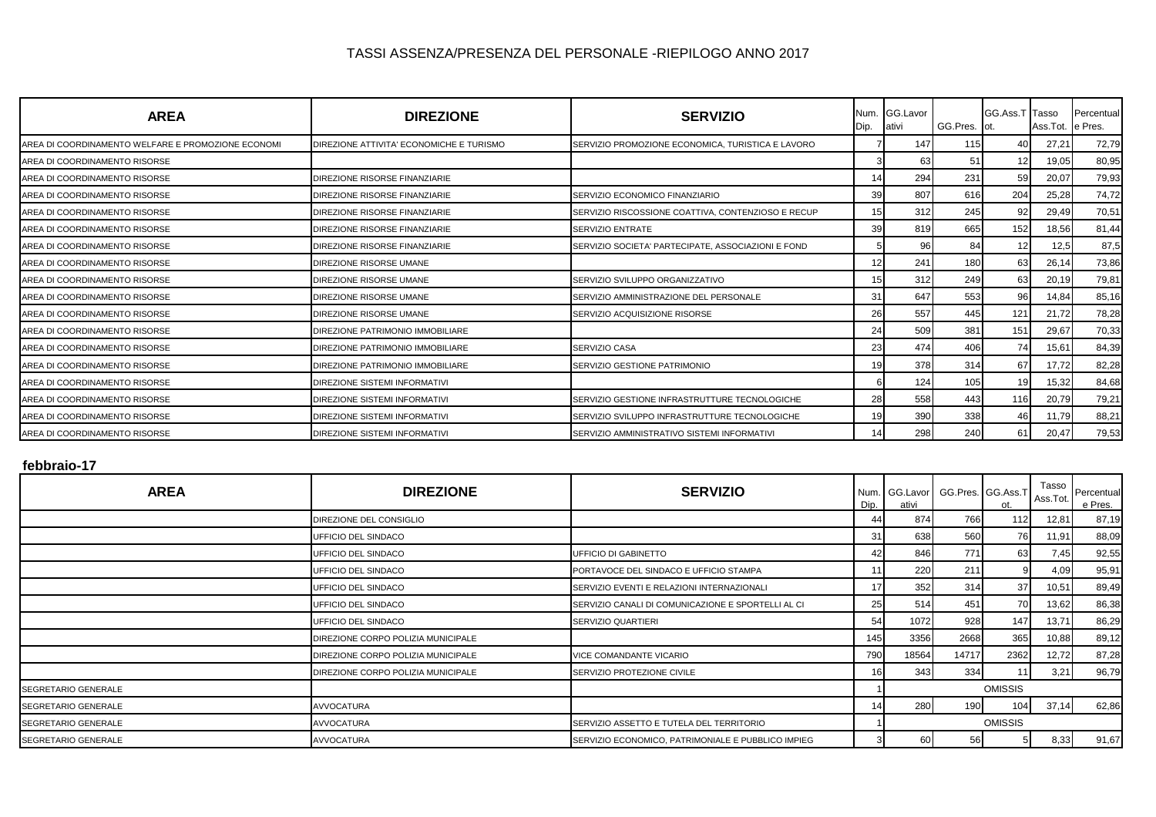| <b>AREA</b>                                        | <b>DIREZIONE</b>                         | <b>SERVIZIO</b>                                    | Dip.            | Num. GG.Lavor<br>ativi | GG.Pres. ot. | GG.Ass.T Tasso | Ass.Tot. | Percentual<br>e Pres. |
|----------------------------------------------------|------------------------------------------|----------------------------------------------------|-----------------|------------------------|--------------|----------------|----------|-----------------------|
| AREA DI COORDINAMENTO WELFARE E PROMOZIONE ECONOMI | DIREZIONE ATTIVITA' ECONOMICHE E TURISMO | SERVIZIO PROMOZIONE ECONOMICA. TURISTICA E LAVORO  |                 | 147                    | 115          |                | 27,21    | 72,79                 |
| AREA DI COORDINAMENTO RISORSE                      |                                          |                                                    |                 | 63                     | 51           | 12             | 19,05    | 80,95                 |
| AREA DI COORDINAMENTO RISORSE                      | DIREZIONE RISORSE FINANZIARIE            |                                                    | 14              | 294                    | 231          | 59             | 20,07    | 79,93                 |
| AREA DI COORDINAMENTO RISORSE                      | DIREZIONE RISORSE FINANZIARIE            | SERVIZIO ECONOMICO FINANZIARIO                     | 39              | 807                    | 616          | 204            | 25,28    | 74,72                 |
| AREA DI COORDINAMENTO RISORSE                      | DIREZIONE RISORSE FINANZIARIE            | SERVIZIO RISCOSSIONE COATTIVA, CONTENZIOSO E RECUP | 15              | 312                    | 245          | 92             | 29,49    | 70,51                 |
| AREA DI COORDINAMENTO RISORSE                      | DIREZIONE RISORSE FINANZIARIE            | <b>SERVIZIO ENTRATE</b>                            | 39              | 819                    | 665          | 152            | 18,56    | 81,44                 |
| AREA DI COORDINAMENTO RISORSE                      | DIREZIONE RISORSE FINANZIARIE            | SERVIZIO SOCIETA' PARTECIPATE, ASSOCIAZIONI E FOND |                 | 96                     | 84           | 12             | 12,5     | 87,5                  |
| AREA DI COORDINAMENTO RISORSE                      | DIREZIONE RISORSE UMANE                  |                                                    | 12 <sub>l</sub> | 241                    | 180          | 63             | 26,14    | 73,86                 |
| AREA DI COORDINAMENTO RISORSE                      | DIREZIONE RISORSE UMANE                  | SERVIZIO SVILUPPO ORGANIZZATIVO                    | 15 <sub>l</sub> | 312                    | 249          | 63             | 20,19    | 79,81                 |
| AREA DI COORDINAMENTO RISORSE                      | DIREZIONE RISORSE UMANE                  | SERVIZIO AMMINISTRAZIONE DEL PERSONALE             | 31              | 647                    | 553          | 96             | 14,84    | 85,16                 |
| AREA DI COORDINAMENTO RISORSE                      | DIREZIONE RISORSE UMANE                  | SERVIZIO ACQUISIZIONE RISORSE                      | <b>26</b>       | 557                    | 445          | 121            | 21,72    | 78,28                 |
| AREA DI COORDINAMENTO RISORSE                      | <b>DIREZIONE PATRIMONIO IMMOBILIARE</b>  |                                                    | 24              | 509                    | 381          | 151            | 29,67    | 70,33                 |
| AREA DI COORDINAMENTO RISORSE                      | <b>DIREZIONE PATRIMONIO IMMOBILIARE</b>  | <b>SERVIZIO CASA</b>                               | 23              | 474                    | 406          | 74             | 15,61    | 84,39                 |
| AREA DI COORDINAMENTO RISORSE                      | DIREZIONE PATRIMONIO IMMOBILIARE         | SERVIZIO GESTIONE PATRIMONIO                       | 19              | 378                    | 314          | 67             | 17,72    | 82,28                 |
| AREA DI COORDINAMENTO RISORSE                      | DIREZIONE SISTEMI INFORMATIVI            |                                                    |                 | 124                    | 105          |                | 15,32    | 84,68                 |
| AREA DI COORDINAMENTO RISORSE                      | DIREZIONE SISTEMI INFORMATIVI            | SERVIZIO GESTIONE INFRASTRUTTURE TECNOLOGICHE      | 28              | 558                    | 443          | 116            | 20,79    | 79,21                 |
| AREA DI COORDINAMENTO RISORSE                      | DIREZIONE SISTEMI INFORMATIVI            | SERVIZIO SVILUPPO INFRASTRUTTURE TECNOLOGICHE      | 19              | 390                    | 338          | 46             | 11,79    | 88,21                 |
| AREA DI COORDINAMENTO RISORSE                      | <b>DIREZIONE SISTEMI INFORMATIVI</b>     | <b>SERVIZIO AMMINISTRATIVO SISTEMI INFORMATIVI</b> | 14              | 298                    | 240          | 61             | 20,47    | 79,53                 |

### **febbraio-17**

| <b>AREA</b>                | <b>DIREZIONE</b>                   | <b>SERVIZIO</b>                                    | Dip. | Num. GG.Lavor<br>ativi | GG.Pres. GG.Ass.T | ot.            | Tasso<br>Ass.Tot. | Percentual<br>e Pres. |
|----------------------------|------------------------------------|----------------------------------------------------|------|------------------------|-------------------|----------------|-------------------|-----------------------|
|                            | DIREZIONE DEL CONSIGLIO            |                                                    | 44   | 874                    | 766               | 112            | 12,81             | 87,19                 |
|                            | UFFICIO DEL SINDACO                |                                                    | 31   | 638                    | 560               | 76             | 11,91             | 88,09                 |
|                            | UFFICIO DEL SINDACO                | UFFICIO DI GABINETTO                               | 42   | 846                    | 771               | 63             | 7,45              | 92,55                 |
|                            | UFFICIO DEL SINDACO                | PORTAVOCE DEL SINDACO E UFFICIO STAMPA             |      | 220                    | 211               |                | 4,09              | 95,91                 |
|                            | UFFICIO DEL SINDACO                | SERVIZIO EVENTI E RELAZIONI INTERNAZIONALI         |      | 352                    | 314               | 37             | 10,51             | 89,49                 |
|                            | UFFICIO DEL SINDACO                | SERVIZIO CANALI DI COMUNICAZIONE E SPORTELLI AL CI | 25   | 514                    | 451               | 70             | 13,62             | 86,38                 |
|                            | UFFICIO DEL SINDACO                | SERVIZIO QUARTIERI                                 | 54   | 1072                   | 928               | 147            | 13,71             | 86,29                 |
|                            | DIREZIONE CORPO POLIZIA MUNICIPALE |                                                    | 145  | 3356                   | 2668              | 365            | 10,88             | 89,12                 |
|                            | DIREZIONE CORPO POLIZIA MUNICIPALE | VICE COMANDANTE VICARIO                            | 790  | 18564                  | 14717             | 2362           | 12,72             | 87,28                 |
|                            | DIREZIONE CORPO POLIZIA MUNICIPALE | SERVIZIO PROTEZIONE CIVILE                         | 16   | 343                    | 334               |                | 3,21              | 96,79                 |
| SEGRETARIO GENERALE        |                                    |                                                    |      |                        |                   | <b>OMISSIS</b> |                   |                       |
| <b>SEGRETARIO GENERALE</b> | <b>AVVOCATURA</b>                  |                                                    |      | 280                    | 190               | 104            | 37,14             | 62,86                 |
| SEGRETARIO GENERALE        | AVVOCATURA                         | SERVIZIO ASSETTO E TUTELA DEL TERRITORIO           |      |                        |                   | <b>OMISSIS</b> |                   |                       |
| SEGRETARIO GENERALE        | AVVOCATURA                         | SERVIZIO ECONOMICO, PATRIMONIALE E PUBBLICO IMPIEG |      | 60                     | 56                |                | 8,33              | 91,67                 |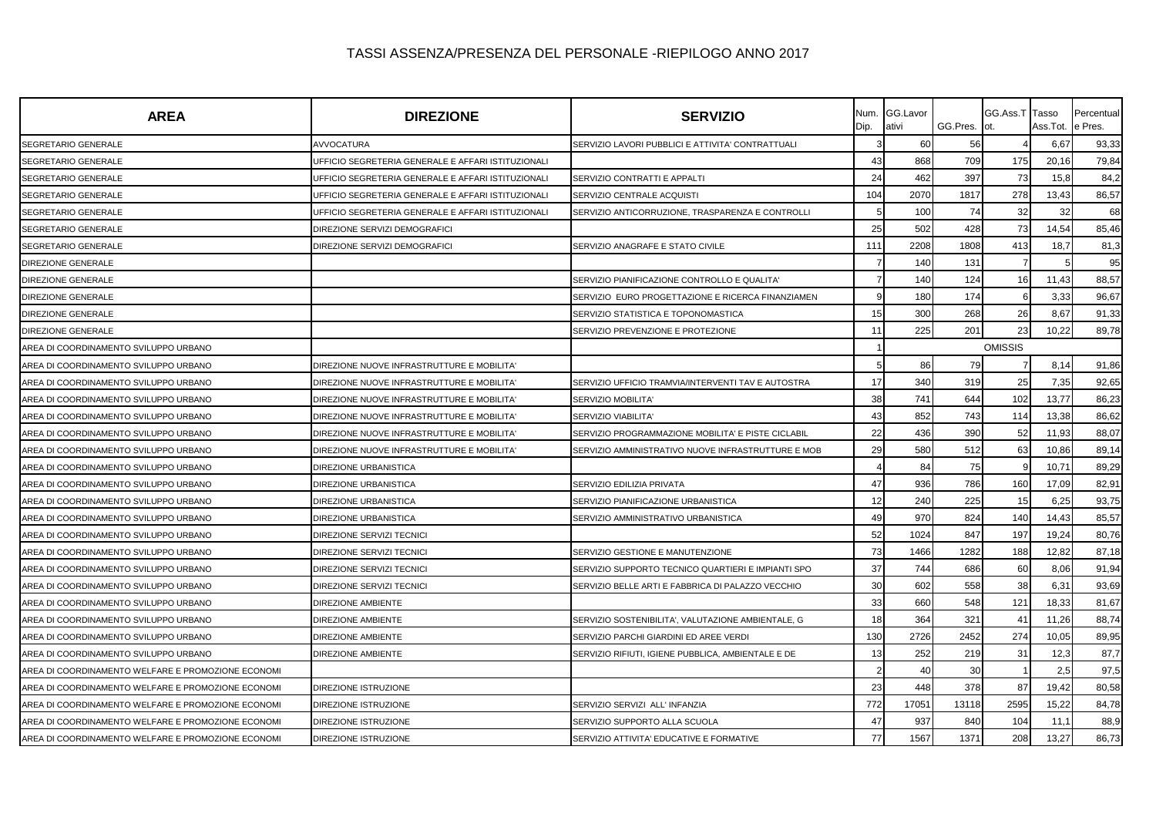| <b>AREA</b>                                        | <b>DIREZIONE</b>                                   | <b>SERVIZIO</b>                                    | Num.<br>Dip. | GG.Lavor<br>ativi | GG.Pres. | GG.Ass.T Tasso<br>ot. | Ass.Tot. | Percentual<br>e Pres. |
|----------------------------------------------------|----------------------------------------------------|----------------------------------------------------|--------------|-------------------|----------|-----------------------|----------|-----------------------|
| SEGRETARIO GENERALE                                | <b>AVVOCATURA</b>                                  | SERVIZIO LAVORI PUBBLICI E ATTIVITA' CONTRATTUALI  |              | 60                | 56       |                       | 6,67     | 93,33                 |
| SEGRETARIO GENERALE                                | UFFICIO SEGRETERIA GENERALE E AFFARI ISTITUZIONALI |                                                    | 43           | 868               | 709      | 175                   | 20,16    | 79,84                 |
| SEGRETARIO GENERALE                                | UFFICIO SEGRETERIA GENERALE E AFFARI ISTITUZIONALI | SERVIZIO CONTRATTI E APPALTI                       | 24           | 462               | 397      | 73                    | 15,8     | 84,2                  |
| <b>SEGRETARIO GENERALE</b>                         | UFFICIO SEGRETERIA GENERALE E AFFARI ISTITUZIONALI | SERVIZIO CENTRALE ACQUISTI                         | 104          | 2070              | 1817     | 278                   | 13,43    | 86,57                 |
| SEGRETARIO GENERALE                                | UFFICIO SEGRETERIA GENERALE E AFFARI ISTITUZIONALI | SERVIZIO ANTICORRUZIONE, TRASPARENZA E CONTROLLI   |              | 100               | 74       | 32                    | 32       | 68                    |
| SEGRETARIO GENERALE                                | DIREZIONE SERVIZI DEMOGRAFICI                      |                                                    | 25           | 502               | 428      | 73                    | 14,54    | 85,46                 |
| <b>SEGRETARIO GENERALE</b>                         | DIREZIONE SERVIZI DEMOGRAFICI                      | SERVIZIO ANAGRAFE E STATO CIVILE                   | 111          | 2208              | 1808     | 413                   | 18,7     | 81,3                  |
| DIREZIONE GENERALE                                 |                                                    |                                                    |              | 140               | 131      |                       |          | 95                    |
| DIREZIONE GENERALE                                 |                                                    | SERVIZIO PIANIFICAZIONE CONTROLLO E QUALITA'       |              | 140               | 124      | 16                    | 11,43    | 88,57                 |
| <b>DIREZIONE GENERALE</b>                          |                                                    | SERVIZIO EURO PROGETTAZIONE E RICERCA FINANZIAMEN  |              | 180               | 174      |                       | 3,33     | 96,67                 |
| <b>DIREZIONE GENERALE</b>                          |                                                    | SERVIZIO STATISTICA E TOPONOMASTICA                | 15           | 300               | 268      | 26                    | 8,67     | 91,33                 |
| DIREZIONE GENERALE                                 |                                                    | SERVIZIO PREVENZIONE E PROTEZIONE                  | 11           | 225               | 201      | 23                    | 10,22    | 89,78                 |
| AREA DI COORDINAMENTO SVILUPPO URBANO              |                                                    |                                                    |              |                   |          | <b>OMISSIS</b>        |          |                       |
| AREA DI COORDINAMENTO SVILUPPO URBANO              | DIREZIONE NUOVE INFRASTRUTTURE E MOBILITA'         |                                                    |              | 86                | 79       | $\overline{7}$        | 8,14     | 91,86                 |
| AREA DI COORDINAMENTO SVILUPPO URBANO              | DIREZIONE NUOVE INFRASTRUTTURE E MOBILITA'         | SERVIZIO UFFICIO TRAMVIA/INTERVENTI TAV E AUTOSTRA | 17           | 340               | 319      | 25                    | 7,35     | 92,65                 |
| AREA DI COORDINAMENTO SVILUPPO URBANO              | DIREZIONE NUOVE INFRASTRUTTURE E MOBILITA'         | SERVIZIO MOBILITA'                                 | 38           | 741               | 644      | 102                   | 13,77    | 86,23                 |
| AREA DI COORDINAMENTO SVILUPPO URBANO              | DIREZIONE NUOVE INFRASTRUTTURE E MOBILITA'         | SERVIZIO VIABILITA'                                | 43           | 852               | 743      | 114                   | 13,38    | 86,62                 |
| AREA DI COORDINAMENTO SVILUPPO URBANO              | DIREZIONE NUOVE INFRASTRUTTURE E MOBILITA'         | SERVIZIO PROGRAMMAZIONE MOBILITA' E PISTE CICLABIL | 22           | 436               | 390      | 52                    | 11,93    | 88,07                 |
| AREA DI COORDINAMENTO SVILUPPO URBANO              | DIREZIONE NUOVE INFRASTRUTTURE E MOBILITA'         | SERVIZIO AMMINISTRATIVO NUOVE INFRASTRUTTURE E MOB | 29           | 580               | 512      | 63                    | 10,86    | 89,14                 |
| AREA DI COORDINAMENTO SVILUPPO URBANO              | DIREZIONE URBANISTICA                              |                                                    |              | 84                | 75       |                       | 10,71    | 89,29                 |
| AREA DI COORDINAMENTO SVILUPPO URBANO              | <b>DIREZIONE URBANISTICA</b>                       | SERVIZIO EDILIZIA PRIVATA                          | 47           | 936               | 786      | 160                   | 17,09    | 82,91                 |
| AREA DI COORDINAMENTO SVILUPPO URBANO              | DIREZIONE URBANISTICA                              | SERVIZIO PIANIFICAZIONE URBANISTICA                | 12           | 240               | 225      | 15                    | 6,25     | 93,75                 |
| AREA DI COORDINAMENTO SVILUPPO URBANO              | DIREZIONE URBANISTICA                              | SERVIZIO AMMINISTRATIVO URBANISTICA                | 49           | 970               | 824      | 140                   | 14,43    | 85,57                 |
| AREA DI COORDINAMENTO SVILUPPO URBANO              | DIREZIONE SERVIZI TECNICI                          |                                                    | 52           | 1024              | 847      | 197                   | 19,24    | 80,76                 |
| AREA DI COORDINAMENTO SVILUPPO URBANO              | DIREZIONE SERVIZI TECNICI                          | SERVIZIO GESTIONE E MANUTENZIONE                   | 73           | 1466              | 1282     | 188                   | 12,82    | 87,18                 |
| AREA DI COORDINAMENTO SVILUPPO URBANO              | DIREZIONE SERVIZI TECNICI                          | SERVIZIO SUPPORTO TECNICO QUARTIERI E IMPIANTI SPO | 37           | 744               | 686      | 60                    | 8,06     | 91,94                 |
| AREA DI COORDINAMENTO SVILUPPO URBANO              | DIREZIONE SERVIZI TECNICI                          | SERVIZIO BELLE ARTI E FABBRICA DI PALAZZO VECCHIO  | 30           | 602               | 558      | 38                    | 6,31     | 93,69                 |
| AREA DI COORDINAMENTO SVILUPPO URBANO              | DIREZIONE AMBIENTE                                 |                                                    | 33           | 660               | 548      | 121                   | 18,33    | 81,67                 |
| AREA DI COORDINAMENTO SVILUPPO URBANO              | DIREZIONE AMBIENTE                                 | SERVIZIO SOSTENIBILITA', VALUTAZIONE AMBIENTALE, G | 18           | 364               | 321      | 41                    | 11,26    | 88,74                 |
| AREA DI COORDINAMENTO SVILUPPO URBANO              | <b>DIREZIONE AMBIENTE</b>                          | SERVIZIO PARCHI GIARDINI ED AREE VERDI             | 130          | 2726              | 2452     | 274                   | 10,05    | 89,95                 |
| AREA DI COORDINAMENTO SVILUPPO URBANO              | <b>DIREZIONE AMBIENTE</b>                          | SERVIZIO RIFIUTI, IGIENE PUBBLICA, AMBIENTALE E DE | 13           | 252               | 219      | 31                    | 12,3     | 87,7                  |
| AREA DI COORDINAMENTO WELFARE E PROMOZIONE ECONOMI |                                                    |                                                    |              | 40                | 30       |                       | 2,5      | 97,5                  |
| AREA DI COORDINAMENTO WELFARE E PROMOZIONE ECONOMI | DIREZIONE ISTRUZIONE                               |                                                    | 23           | 448               | 378      | 87                    | 19,42    | 80,58                 |
| AREA DI COORDINAMENTO WELFARE E PROMOZIONE ECONOMI | DIREZIONE ISTRUZIONE                               | SERVIZIO SERVIZI ALL' INFANZIA                     | 772          | 17051             | 13118    | 2595                  | 15,22    | 84,78                 |
| AREA DI COORDINAMENTO WELFARE E PROMOZIONE ECONOMI | DIREZIONE ISTRUZIONE                               | SERVIZIO SUPPORTO ALLA SCUOLA                      | 47           | 937               | 840      | 104                   | 11,1     | 88,9                  |
| AREA DI COORDINAMENTO WELFARE E PROMOZIONE ECONOMI | DIREZIONE ISTRUZIONE                               | SERVIZIO ATTIVITA' EDUCATIVE E FORMATIVE           | 77           | 1567              | 1371     | 208                   | 13,27    | 86,73                 |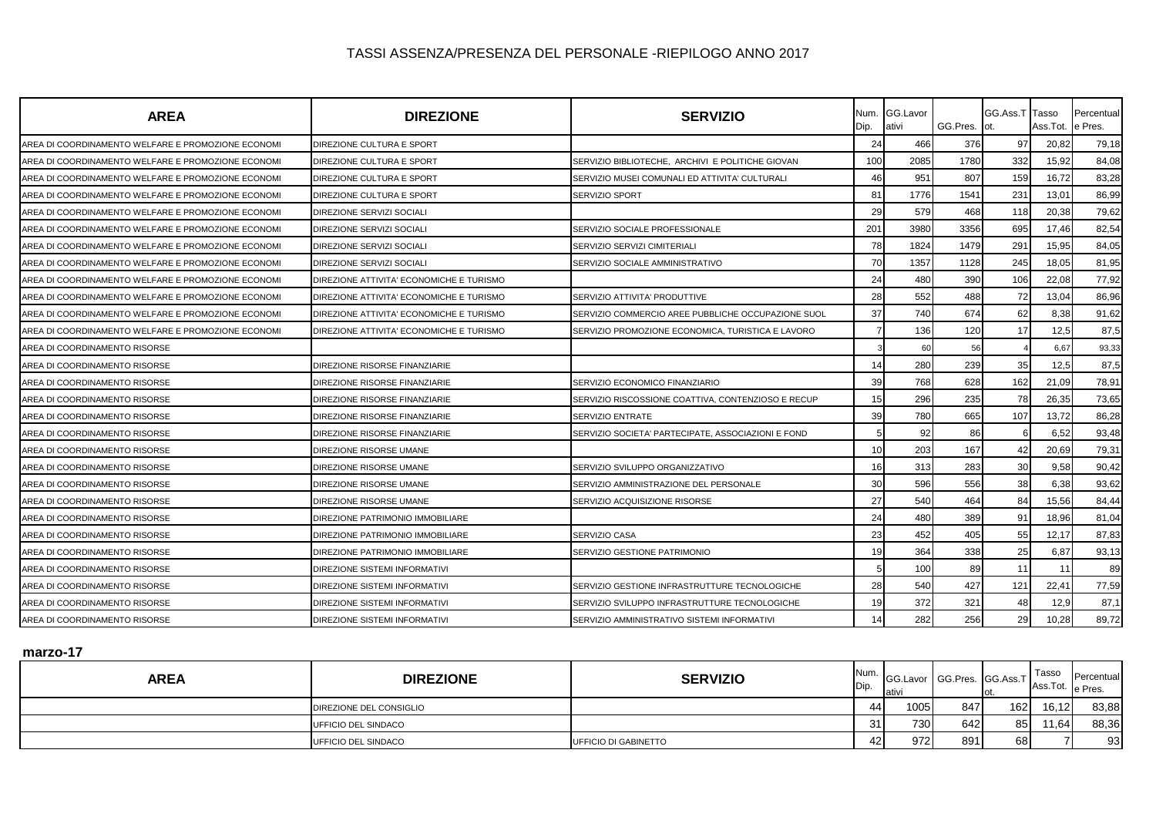| <b>AREA</b>                                        | <b>DIREZIONE</b>                         | <b>SERVIZIO</b>                                    | Dip. | Num. GG.Lavor<br>ativi | GG.Pres. | GG.Ass.T Tasso | Ass.Tot. | Percentual<br>e Pres. |
|----------------------------------------------------|------------------------------------------|----------------------------------------------------|------|------------------------|----------|----------------|----------|-----------------------|
| AREA DI COORDINAMENTO WELFARE E PROMOZIONE ECONOMI | DIREZIONE CULTURA E SPORT                |                                                    | 24   | 466                    | 376      | 97             | 20,82    | 79,18                 |
| AREA DI COORDINAMENTO WELFARE E PROMOZIONE ECONOMI | DIREZIONE CULTURA E SPORT                | SERVIZIO BIBLIOTECHE, ARCHIVI E POLITICHE GIOVAN   | 100  | 2085                   | 1780     | 332            | 15,92    | 84,08                 |
| AREA DI COORDINAMENTO WELFARE E PROMOZIONE ECONOMI | DIREZIONE CULTURA E SPORT                | SERVIZIO MUSEI COMUNALI ED ATTIVITA' CULTURALI     | 46   | 951                    | 807      | 159            | 16,72    | 83,28                 |
| AREA DI COORDINAMENTO WELFARE E PROMOZIONE ECONOMI | DIREZIONE CULTURA E SPORT                | SERVIZIO SPORT                                     | 81   | 1776                   | 1541     | 231            | 13,01    | 86,99                 |
| AREA DI COORDINAMENTO WELFARE E PROMOZIONE ECONOMI | DIREZIONE SERVIZI SOCIALI                |                                                    | 29   | 579                    | 468      | 118            | 20,38    | 79,62                 |
| AREA DI COORDINAMENTO WELFARE E PROMOZIONE ECONOMI | DIREZIONE SERVIZI SOCIALI                | SERVIZIO SOCIALE PROFESSIONALE                     | 201  | 3980                   | 3356     | 695            | 17,46    | 82,54                 |
| AREA DI COORDINAMENTO WELFARE E PROMOZIONE ECONOMI | DIREZIONE SERVIZI SOCIALI                | SERVIZIO SERVIZI CIMITERIALI                       | 78   | 1824                   | 1479     | 291            | 15,95    | 84,05                 |
| AREA DI COORDINAMENTO WELFARE E PROMOZIONE ECONOMI | DIREZIONE SERVIZI SOCIALI                | SERVIZIO SOCIALE AMMINISTRATIVO                    | 70   | 1357                   | 1128     | 245            | 18,05    | 81,95                 |
| AREA DI COORDINAMENTO WELFARE E PROMOZIONE ECONOMI | DIREZIONE ATTIVITA' ECONOMICHE E TURISMO |                                                    | 24   | 480                    | 390      | 106            | 22,08    | 77,92                 |
| AREA DI COORDINAMENTO WELFARE E PROMOZIONE ECONOMI | DIREZIONE ATTIVITA' ECONOMICHE E TURISMO | SERVIZIO ATTIVITA' PRODUTTIVE                      | 28   | 552                    | 488      | 72             | 13,04    | 86,96                 |
| AREA DI COORDINAMENTO WELFARE E PROMOZIONE ECONOMI | DIREZIONE ATTIVITA' ECONOMICHE E TURISMO | SERVIZIO COMMERCIO AREE PUBBLICHE OCCUPAZIONE SUOL | 37   | 740                    | 674      | 62             | 8,38     | 91,62                 |
| AREA DI COORDINAMENTO WELFARE E PROMOZIONE ECONOMI | DIREZIONE ATTIVITA' ECONOMICHE E TURISMO | SERVIZIO PROMOZIONE ECONOMICA, TURISTICA E LAVORO  |      | 136                    | 120      | 17             | 12,5     | 87,5                  |
| AREA DI COORDINAMENTO RISORSE                      |                                          |                                                    |      | 60                     | 56       |                | 6,67     | 93,33                 |
| AREA DI COORDINAMENTO RISORSE                      | DIREZIONE RISORSE FINANZIARIE            |                                                    | 14   | 280                    | 239      | 35             | 12,5     | 87,5                  |
| AREA DI COORDINAMENTO RISORSE                      | DIREZIONE RISORSE FINANZIARIE            | SERVIZIO ECONOMICO FINANZIARIO                     | 39   | 768                    | 628      | 162            | 21,09    | 78,91                 |
| AREA DI COORDINAMENTO RISORSE                      | DIREZIONE RISORSE FINANZIARIE            | SERVIZIO RISCOSSIONE COATTIVA, CONTENZIOSO E RECUP | 15   | 296                    | 235      | 78             | 26,35    | 73,65                 |
| AREA DI COORDINAMENTO RISORSE                      | DIREZIONE RISORSE FINANZIARIE            | <b>SERVIZIO ENTRATE</b>                            | 39   | 780                    | 665      | 107            | 13,72    | 86,28                 |
| AREA DI COORDINAMENTO RISORSE                      | DIREZIONE RISORSE FINANZIARIE            | SERVIZIO SOCIETA' PARTECIPATE, ASSOCIAZIONI E FOND |      | 92                     | 86       | 6              | 6,52     | 93,48                 |
| AREA DI COORDINAMENTO RISORSE                      | DIREZIONE RISORSE UMANE                  |                                                    | 10   | 203                    | 167      | 42             | 20,69    | 79,31                 |
| AREA DI COORDINAMENTO RISORSE                      | DIREZIONE RISORSE UMANE                  | SERVIZIO SVILUPPO ORGANIZZATIVO                    | 16   | 313                    | 283      | 30             | 9,58     | 90,42                 |
| AREA DI COORDINAMENTO RISORSE                      | DIREZIONE RISORSE UMANE                  | SERVIZIO AMMINISTRAZIONE DEL PERSONALE             | 30   | 596                    | 556      | 38             | 6,38     | 93,62                 |
| AREA DI COORDINAMENTO RISORSE                      | DIREZIONE RISORSE UMANE                  | SERVIZIO ACQUISIZIONE RISORSE                      | 27   | 540                    | 464      | 84             | 15,56    | 84,44                 |
| AREA DI COORDINAMENTO RISORSE                      | DIREZIONE PATRIMONIO IMMOBILIARE         |                                                    | 24   | 480                    | 389      | 91             | 18,96    | 81,04                 |
| AREA DI COORDINAMENTO RISORSE                      | DIREZIONE PATRIMONIO IMMOBILIARE         | SERVIZIO CASA                                      | 23   | 452                    | 405      | 55             | 12,17    | 87,83                 |
| AREA DI COORDINAMENTO RISORSE                      | DIREZIONE PATRIMONIO IMMOBILIARE         | SERVIZIO GESTIONE PATRIMONIO                       | 19   | 364                    | 338      | 25             | 6,87     | 93,13                 |
| AREA DI COORDINAMENTO RISORSE                      | DIREZIONE SISTEMI INFORMATIVI            |                                                    |      | 100                    | 89       | 11             | -11      | 89                    |
| AREA DI COORDINAMENTO RISORSE                      | DIREZIONE SISTEMI INFORMATIVI            | SERVIZIO GESTIONE INFRASTRUTTURE TECNOLOGICHE      | 28   | 540                    | 427      | 121            | 22,41    | 77,59                 |
| AREA DI COORDINAMENTO RISORSE                      | DIREZIONE SISTEMI INFORMATIVI            | SERVIZIO SVILUPPO INFRASTRUTTURE TECNOLOGICHE      | 19   | 372                    | 321      | 48             | 12,9     | 87,1                  |
| AREA DI COORDINAMENTO RISORSE                      | DIREZIONE SISTEMI INFORMATIVI            | SERVIZIO AMMINISTRATIVO SISTEMI INFORMATIVI        | 14   | 282                    | 256      | 29             | 10,28    | 89,72                 |

#### **marzo-17**

| <b>AREA</b> | <b>DIREZIONE</b>        | <b>SERVIZIO</b>             | Num.<br>Dip. | lativi | GG.Lavor GG.Pres. GG.Ass.T | 1 U L. | Tasso<br>Ass.Tot. | Percentual<br>le Pres. |
|-------------|-------------------------|-----------------------------|--------------|--------|----------------------------|--------|-------------------|------------------------|
|             | DIREZIONE DEL CONSIGLIO |                             | 44           | 1005.  | 847                        | 162    | 16,12             | 83,88                  |
|             | UFFICIO DEL SINDACO     |                             | -31 I        | 7301   | 642                        | 85 I   | 1,64              | 88,36                  |
|             | UFFICIO DEL SINDACO     | <b>UFFICIO DI GABINETTO</b> | 42           | 972    | 891                        | 68     |                   | 93                     |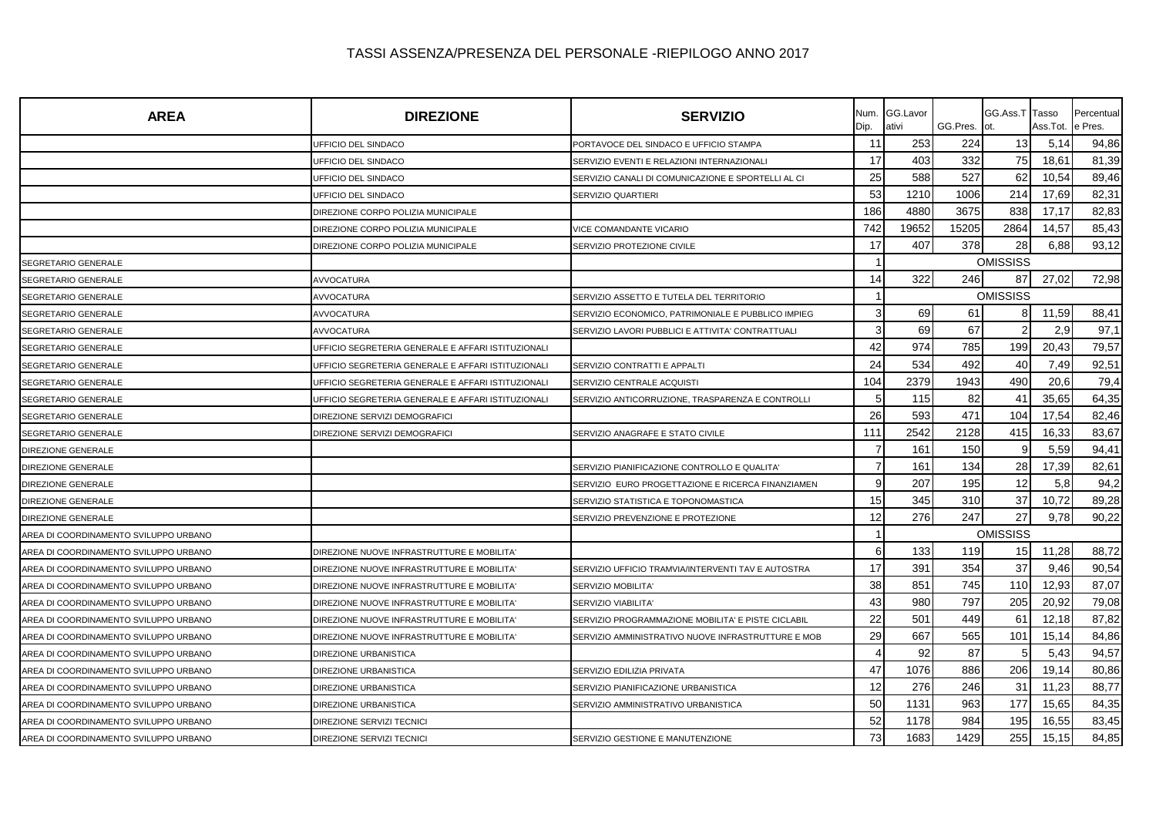| <b>AREA</b>                           | <b>DIREZIONE</b>                                   | <b>SERVIZIO</b>                                    | Num.<br>Dip.   | GG.Lavor<br>ativi | GG.Pres. | GG.Ass.T Tasso  | Ass.Tot | Percentual<br>e Pres. |
|---------------------------------------|----------------------------------------------------|----------------------------------------------------|----------------|-------------------|----------|-----------------|---------|-----------------------|
|                                       | UFFICIO DEL SINDACO                                | PORTAVOCE DEL SINDACO E UFFICIO STAMPA             | -11            | 253               | 224      | 13              | 5,14    | 94,86                 |
|                                       | UFFICIO DEL SINDACO                                | SERVIZIO EVENTI E RELAZIONI INTERNAZIONALI         | 17             | 403               | 332      | 75              | 18,61   | 81,39                 |
|                                       | UFFICIO DEL SINDACO                                | SERVIZIO CANALI DI COMUNICAZIONE E SPORTELLI AL CI | 25             | 588               | 527      | 62              | 10,54   | 89,46                 |
|                                       | UFFICIO DEL SINDACO                                | SERVIZIO QUARTIERI                                 | 53             | 1210              | 1006     | 214             | 17,69   | 82,31                 |
|                                       | DIREZIONE CORPO POLIZIA MUNICIPALE                 |                                                    | 186            | 4880              | 3675     | 838             | 17,17   | 82,83                 |
|                                       | DIREZIONE CORPO POLIZIA MUNICIPALE                 | VICE COMANDANTE VICARIO                            | 742            | 19652             | 15205    | 2864            | 14,57   | 85,43                 |
|                                       | DIREZIONE CORPO POLIZIA MUNICIPALE                 | SERVIZIO PROTEZIONE CIVILE                         | 17             | 407               | 378      | 28              | 6,88    | 93,12                 |
| SEGRETARIO GENERALE                   |                                                    |                                                    |                |                   |          | <b>OMISSISS</b> |         |                       |
| SEGRETARIO GENERALE                   | AVVOCATURA                                         |                                                    | 14             | 322               | 246      | 87              | 27,02   | 72,98                 |
| SEGRETARIO GENERALE                   | AVVOCATURA                                         | SERVIZIO ASSETTO E TUTELA DEL TERRITORIO           |                |                   |          | <b>OMISSISS</b> |         |                       |
| SEGRETARIO GENERALE                   | AVVOCATURA                                         | SERVIZIO ECONOMICO, PATRIMONIALE E PUBBLICO IMPIEG | 3              | 69                | 61       | 8               | 11,59   | 88,41                 |
| SEGRETARIO GENERALE                   | AVVOCATURA                                         | SERVIZIO LAVORI PUBBLICI E ATTIVITA' CONTRATTUALI  | 3              | 69                | 67       |                 | 2,9     | 97,1                  |
| SEGRETARIO GENERALE                   | UFFICIO SEGRETERIA GENERALE E AFFARI ISTITUZIONALI |                                                    | 42             | 974               | 785      | 199             | 20,43   | 79,57                 |
| SEGRETARIO GENERALE                   | UFFICIO SEGRETERIA GENERALE E AFFARI ISTITUZIONALI | SERVIZIO CONTRATTI E APPALTI                       | 24             | 534               | 492      | 40              | 7,49    | 92,51                 |
| SEGRETARIO GENERALE                   | UFFICIO SEGRETERIA GENERALE E AFFARI ISTITUZIONALI | SERVIZIO CENTRALE ACQUISTI                         | 104            | 2379              | 1943     | 490             | 20,6    | 79,4                  |
| SEGRETARIO GENERALE                   | UFFICIO SEGRETERIA GENERALE E AFFARI ISTITUZIONALI | SERVIZIO ANTICORRUZIONE, TRASPARENZA E CONTROLLI   | 5              | 115               | 82       | 41              | 35,65   | 64,35                 |
| SEGRETARIO GENERALE                   | DIREZIONE SERVIZI DEMOGRAFICI                      |                                                    | 26             | 593               | 471      | 104             | 17,54   | 82,46                 |
| SEGRETARIO GENERALE                   | DIREZIONE SERVIZI DEMOGRAFICI                      | SERVIZIO ANAGRAFE E STATO CIVILE                   | 111            | 2542              | 2128     | 415             | 16,33   | 83,67                 |
| DIREZIONE GENERALE                    |                                                    |                                                    | $\overline{7}$ | 161               | 150      |                 | 5,59    | 94,41                 |
| DIREZIONE GENERALE                    |                                                    | SERVIZIO PIANIFICAZIONE CONTROLLO E QUALITA'       | $\overline{7}$ | 161               | 134      | 28              | 17,39   | 82,61                 |
| DIREZIONE GENERALE                    |                                                    | SERVIZIO EURO PROGETTAZIONE E RICERCA FINANZIAMEN  | 9              | 207               | 195      | 12              | 5,8     | 94,2                  |
| DIREZIONE GENERALE                    |                                                    | SERVIZIO STATISTICA E TOPONOMASTICA                | 15             | 345               | 310      | 37              | 10,72   | 89,28                 |
| DIREZIONE GENERALE                    |                                                    | SERVIZIO PREVENZIONE E PROTEZIONE                  | 12             | 276               | 247      | 27              | 9,78    | 90,22                 |
| AREA DI COORDINAMENTO SVILUPPO URBANO |                                                    |                                                    | $\overline{1}$ |                   |          | <b>OMISSISS</b> |         |                       |
| AREA DI COORDINAMENTO SVILUPPO URBANO | DIREZIONE NUOVE INFRASTRUTTURE E MOBILITA'         |                                                    | 6              | 133               | 119      | 15              | 11,28   | 88,72                 |
| AREA DI COORDINAMENTO SVILUPPO URBANO | DIREZIONE NUOVE INFRASTRUTTURE E MOBILITA'         | SERVIZIO UFFICIO TRAMVIA/INTERVENTI TAV E AUTOSTRA | 17             | 391               | 354      | 37              | 9,46    | 90,54                 |
| AREA DI COORDINAMENTO SVILUPPO URBANO | DIREZIONE NUOVE INFRASTRUTTURE E MOBILITA'         | SERVIZIO MOBILITA'                                 | 38             | 851               | 745      | 110             | 12,93   | 87,07                 |
| AREA DI COORDINAMENTO SVILUPPO URBANO | DIREZIONE NUOVE INFRASTRUTTURE E MOBILITA'         | SERVIZIO VIABILITA'                                | 43             | 980               | 797      | 205             | 20,92   | 79,08                 |
| AREA DI COORDINAMENTO SVILUPPO URBANO | DIREZIONE NUOVE INFRASTRUTTURE E MOBILITA'         | SERVIZIO PROGRAMMAZIONE MOBILITA' E PISTE CICLABIL | 22             | 501               | 449      | 61              | 12,18   | 87,82                 |
| AREA DI COORDINAMENTO SVILUPPO URBANO | DIREZIONE NUOVE INFRASTRUTTURE E MOBILITA'         | SERVIZIO AMMINISTRATIVO NUOVE INFRASTRUTTURE E MOB | 29             | 667               | 565      | 101             | 15,14   | 84,86                 |
| AREA DI COORDINAMENTO SVILUPPO URBANO | DIREZIONE URBANISTICA                              |                                                    |                | 92                | 87       |                 | 5,43    | 94,57                 |
| AREA DI COORDINAMENTO SVILUPPO URBANO | DIREZIONE URBANISTICA                              | SERVIZIO EDILIZIA PRIVATA                          | 47             | 1076              | 886      | 206             | 19,14   | 80,86                 |
| AREA DI COORDINAMENTO SVILUPPO URBANO | DIREZIONE URBANISTICA                              | SERVIZIO PIANIFICAZIONE URBANISTICA                | 12             | 276               | 246      | 31              | 11,23   | 88,77                 |
| AREA DI COORDINAMENTO SVILUPPO URBANO | DIREZIONE URBANISTICA                              | SERVIZIO AMMINISTRATIVO URBANISTICA                | 50             | 1131              | 963      | 177             | 15,65   | 84,35                 |
| AREA DI COORDINAMENTO SVILUPPO URBANO | DIREZIONE SERVIZI TECNICI                          |                                                    | 52             | 1178              | 984      | 195             | 16,55   | 83,45                 |
| AREA DI COORDINAMENTO SVILUPPO URBANO | DIREZIONE SERVIZI TECNICI                          | SERVIZIO GESTIONE E MANUTENZIONE                   | 73             | 1683              | 1429     | 255             | 15,15   | 84,85                 |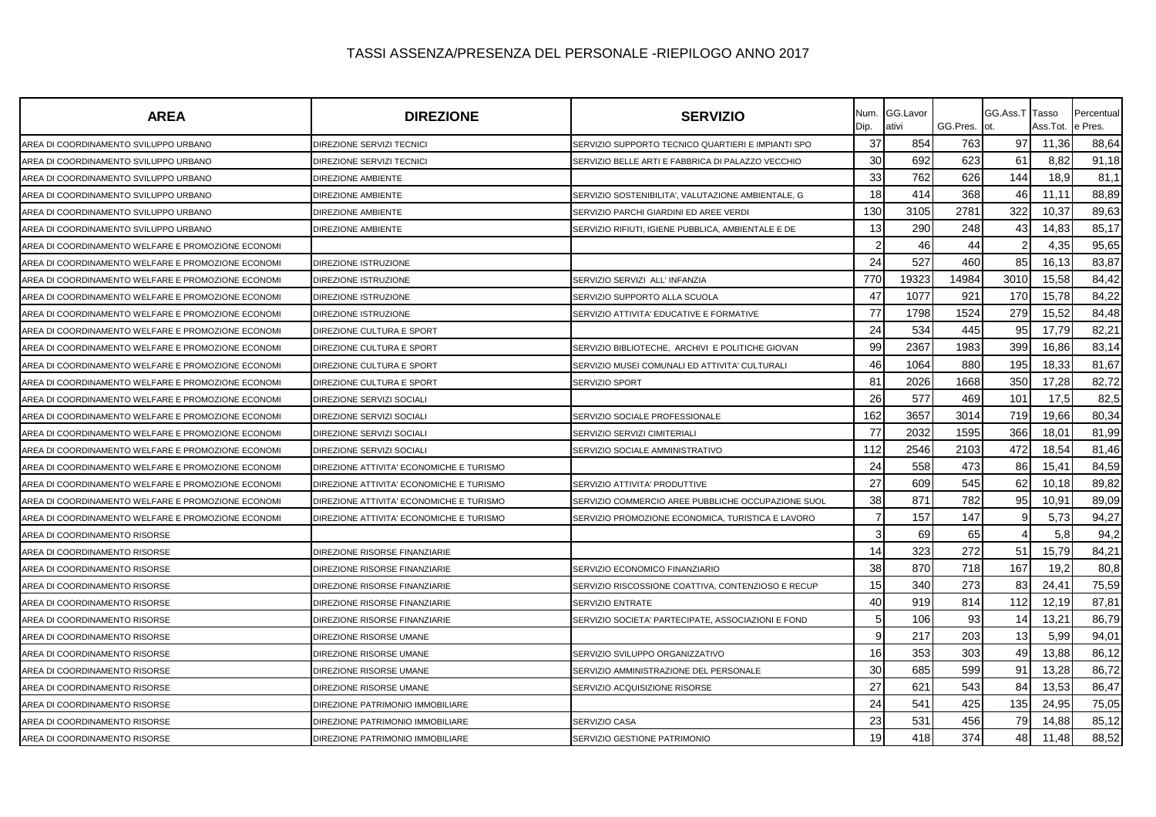| <b>AREA</b>                                        | <b>DIREZIONE</b>                         | <b>SERVIZIO</b>                                    | Num.<br>Dip.   | GG.Lavor<br>ativi | GG.Pres. | GG.Ass.T Tasso<br>ot. | Ass.Tot | Percentual<br>e Pres. |
|----------------------------------------------------|------------------------------------------|----------------------------------------------------|----------------|-------------------|----------|-----------------------|---------|-----------------------|
| AREA DI COORDINAMENTO SVILUPPO URBANO              | DIREZIONE SERVIZI TECNICI                | SERVIZIO SUPPORTO TECNICO QUARTIERI E IMPIANTI SPO | 37             | 854               | 763      | 97                    | 11,36   | 88,64                 |
| AREA DI COORDINAMENTO SVILUPPO URBANO              | DIREZIONE SERVIZI TECNICI                | SERVIZIO BELLE ARTI E FABBRICA DI PALAZZO VECCHIO  | 30             | 692               | 623      | 61                    | 8,82    | 91,18                 |
| AREA DI COORDINAMENTO SVILUPPO URBANO              | <b>DIREZIONE AMBIENTE</b>                |                                                    | 33             | 762               | 626      | 144                   | 18,9    | 81,1                  |
| AREA DI COORDINAMENTO SVILUPPO URBANO              | DIREZIONE AMBIENTE                       | SERVIZIO SOSTENIBILITA', VALUTAZIONE AMBIENTALE, G | 18             | 414               | 368      | 46                    | 11,11   | 88,89                 |
| AREA DI COORDINAMENTO SVILUPPO URBANO              | DIREZIONE AMBIENTE                       | SERVIZIO PARCHI GIARDINI ED AREE VERDI             | 130            | 3105              | 2781     | 322                   | 10,37   | 89,63                 |
| AREA DI COORDINAMENTO SVILUPPO URBANO              | <b>DIREZIONE AMBIENTE</b>                | SERVIZIO RIFIUTI, IGIENE PUBBLICA, AMBIENTALE E DE | 13             | 290               | 248      | 43                    | 14,83   | 85,17                 |
| AREA DI COORDINAMENTO WELFARE E PROMOZIONE ECONOMI |                                          |                                                    | $\mathcal{P}$  | 46                | 44       |                       | 4,35    | 95,65                 |
| AREA DI COORDINAMENTO WELFARE E PROMOZIONE ECONOMI | DIREZIONE ISTRUZIONE                     |                                                    | 24             | 527               | 460      | 85                    | 16,13   | 83,87                 |
| AREA DI COORDINAMENTO WELFARE E PROMOZIONE ECONOMI | DIREZIONE ISTRUZIONE                     | SERVIZIO SERVIZI ALL' INFANZIA                     | 770            | 19323             | 14984    | 3010                  | 15,58   | 84,42                 |
| AREA DI COORDINAMENTO WELFARE E PROMOZIONE ECONOMI | DIREZIONE ISTRUZIONE                     | SERVIZIO SUPPORTO ALLA SCUOLA                      | 47             | 1077              | 921      | 170                   | 15,78   | 84,22                 |
| AREA DI COORDINAMENTO WELFARE E PROMOZIONE ECONOMI | <b>DIREZIONE ISTRUZIONE</b>              | SERVIZIO ATTIVITA' EDUCATIVE E FORMATIVE           | 77             | 1798              | 1524     | 279                   | 15,52   | 84,48                 |
| AREA DI COORDINAMENTO WELFARE E PROMOZIONE ECONOMI | DIREZIONE CULTURA E SPORT                |                                                    | 24             | 534               | 445      | 95                    | 17,79   | 82,21                 |
| AREA DI COORDINAMENTO WELFARE E PROMOZIONE ECONOMI | DIREZIONE CULTURA E SPORT                | SERVIZIO BIBLIOTECHE, ARCHIVI E POLITICHE GIOVAN   | 99             | 2367              | 1983     | 399                   | 16,86   | 83,14                 |
| AREA DI COORDINAMENTO WELFARE E PROMOZIONE ECONOMI | DIREZIONE CULTURA E SPORT                | SERVIZIO MUSEI COMUNALI ED ATTIVITA' CULTURALI     | 46             | 1064              | 880      | 195                   | 18,33   | 81,67                 |
| AREA DI COORDINAMENTO WELFARE E PROMOZIONE ECONOMI | DIREZIONE CULTURA E SPORT                | <b>SERVIZIO SPORT</b>                              | 81             | 2026              | 1668     | 350                   | 17,28   | 82,72                 |
| AREA DI COORDINAMENTO WELFARE E PROMOZIONE ECONOMI | DIREZIONE SERVIZI SOCIALI                |                                                    | 26             | 577               | 469      | 101                   | 17,5    | 82,5                  |
| AREA DI COORDINAMENTO WELFARE E PROMOZIONE ECONOMI | DIREZIONE SERVIZI SOCIALI                | SERVIZIO SOCIALE PROFESSIONALE                     | 162            | 3657              | 3014     | 719                   | 19,66   | 80,34                 |
| AREA DI COORDINAMENTO WELFARE E PROMOZIONE ECONOMI | DIREZIONE SERVIZI SOCIALI                | SERVIZIO SERVIZI CIMITERIALI                       | 77             | 2032              | 1595     | 366                   | 18,01   | 81,99                 |
| AREA DI COORDINAMENTO WELFARE E PROMOZIONE ECONOMI | DIREZIONE SERVIZI SOCIALI                | SERVIZIO SOCIALE AMMINISTRATIVO                    | 112            | 2546              | 2103     | 472                   | 18,54   | 81,46                 |
| AREA DI COORDINAMENTO WELFARE E PROMOZIONE ECONOMI | DIREZIONE ATTIVITA' ECONOMICHE E TURISMO |                                                    | 24             | 558               | 473      | 86                    | 15,41   | 84,59                 |
| AREA DI COORDINAMENTO WELFARE E PROMOZIONE ECONOMI | DIREZIONE ATTIVITA' ECONOMICHE E TURISMO | SERVIZIO ATTIVITA' PRODUTTIVE                      | 27             | 609               | 545      | 62                    | 10,18   | 89,82                 |
| AREA DI COORDINAMENTO WELFARE E PROMOZIONE ECONOMI | DIREZIONE ATTIVITA' ECONOMICHE E TURISMO | SERVIZIO COMMERCIO AREE PUBBLICHE OCCUPAZIONE SUOL | 38             | 871               | 782      | 95                    | 10,91   | 89,09                 |
| AREA DI COORDINAMENTO WELFARE E PROMOZIONE ECONOMI | DIREZIONE ATTIVITA' ECONOMICHE E TURISMO | SERVIZIO PROMOZIONE ECONOMICA, TURISTICA E LAVORO  | $\overline{7}$ | 157               | 147      | -9                    | 5,73    | 94,27                 |
| AREA DI COORDINAMENTO RISORSE                      |                                          |                                                    | 3              | 69                | 65       |                       | 5,8     | 94,2                  |
| AREA DI COORDINAMENTO RISORSE                      | DIREZIONE RISORSE FINANZIARIE            |                                                    | 14             | 323               | 272      | 51                    | 15,79   | 84,21                 |
| AREA DI COORDINAMENTO RISORSE                      | DIREZIONE RISORSE FINANZIARIE            | SERVIZIO ECONOMICO FINANZIARIO                     | 38             | 870               | 718      | 167                   | 19,2    | 80,8                  |
| AREA DI COORDINAMENTO RISORSE                      | DIREZIONE RISORSE FINANZIARIE            | SERVIZIO RISCOSSIONE COATTIVA, CONTENZIOSO E RECUP | 15             | 340               | 273      | 83                    | 24,41   | 75,59                 |
| AREA DI COORDINAMENTO RISORSE                      | DIREZIONE RISORSE FINANZIARIE            | SERVIZIO ENTRATE                                   | 40             | 919               | 814      | 112                   | 12,19   | 87,81                 |
| AREA DI COORDINAMENTO RISORSE                      | DIREZIONE RISORSE FINANZIARIE            | SERVIZIO SOCIETA' PARTECIPATE, ASSOCIAZIONI E FOND | 5              | 106               | 93       | 14                    | 13,21   | 86,79                 |
| AREA DI COORDINAMENTO RISORSE                      | DIREZIONE RISORSE UMANE                  |                                                    | 9              | 217               | 203      | 13                    | 5,99    | 94,01                 |
| AREA DI COORDINAMENTO RISORSE                      | DIREZIONE RISORSE UMANE                  | SERVIZIO SVILUPPO ORGANIZZATIVO                    | 16             | 353               | 303      | 49                    | 13,88   | 86,12                 |
| AREA DI COORDINAMENTO RISORSE                      | DIREZIONE RISORSE UMANE                  | SERVIZIO AMMINISTRAZIONE DEL PERSONALE             | 30             | 685               | 599      | 91                    | 13,28   | 86,72                 |
| AREA DI COORDINAMENTO RISORSE                      | DIREZIONE RISORSE UMANE                  | SERVIZIO ACQUISIZIONE RISORSE                      | 27             | 621               | 543      | 84                    | 13,53   | 86,47                 |
| AREA DI COORDINAMENTO RISORSE                      | DIREZIONE PATRIMONIO IMMOBILIARE         |                                                    | 24             | 541               | 425      | 135                   | 24,95   | 75,05                 |
| AREA DI COORDINAMENTO RISORSE                      | DIREZIONE PATRIMONIO IMMOBILIARE         | <b>SERVIZIO CASA</b>                               | 23             | 531               | 456      | 79                    | 14,88   | 85,12                 |
| AREA DI COORDINAMENTO RISORSE                      | DIREZIONE PATRIMONIO IMMOBILIARE         | SERVIZIO GESTIONE PATRIMONIO                       | 19             | 418               | 374      | 48                    | 11,48   | 88,52                 |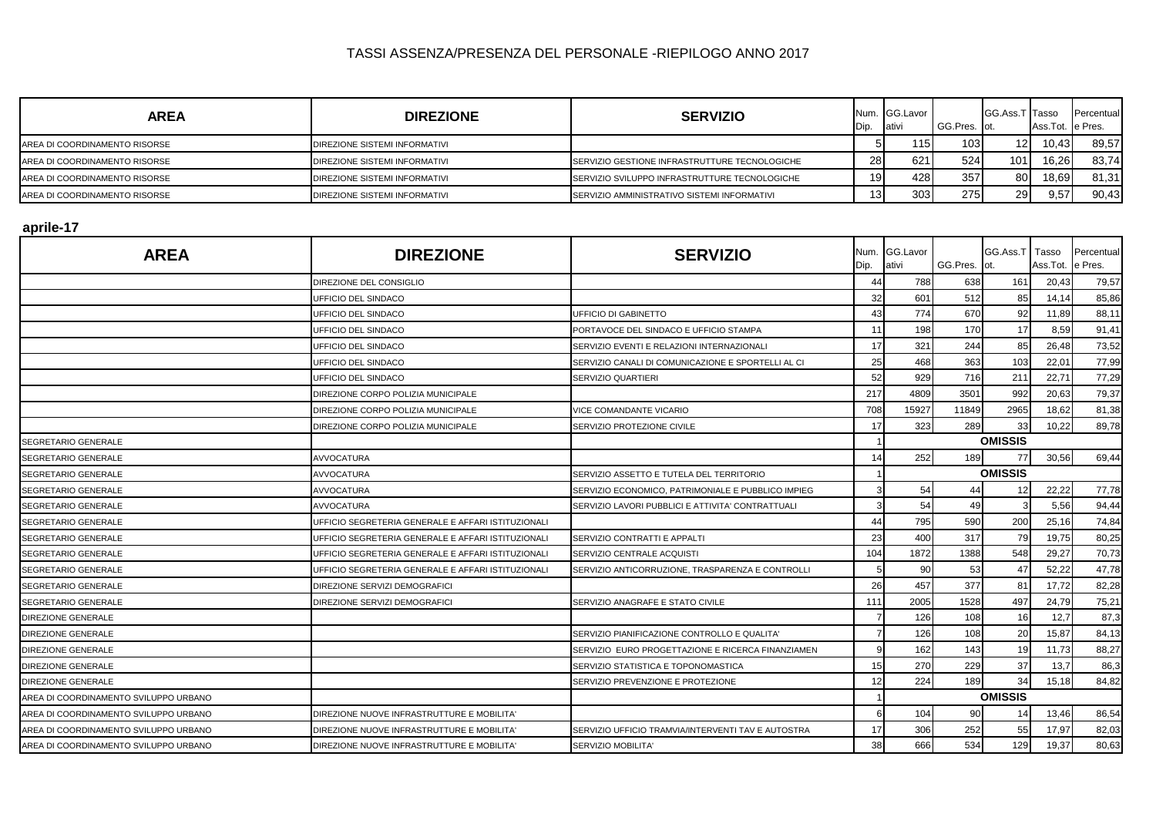| <b>AREA</b>                   | <b>DIREZIONE</b>              | <b>SERVIZIO</b>                                       | Din | Num. GG.Lavor<br>lativi | GG.Pres. ot. | <b>GG.Ass.T Tasso</b> | Ass.Tot. e Pres. | Percentual |
|-------------------------------|-------------------------------|-------------------------------------------------------|-----|-------------------------|--------------|-----------------------|------------------|------------|
| AREA DI COORDINAMENTO RISORSE | DIREZIONE SISTEMI INFORMATIVI |                                                       |     | 1151                    | 103          | 12 <sup>1</sup>       | 10,43            | 89,57      |
| AREA DI COORDINAMENTO RISORSE | DIREZIONE SISTEMI INFORMATIVI | <b>ISERVIZIO GESTIONE INFRASTRUTTURE TECNOLOGICHE</b> | 28  | 621                     | 524          | 101                   | 16,26            | 83,74      |
| AREA DI COORDINAMENTO RISORSE | DIREZIONE SISTEMI INFORMATIVI | SERVIZIO SVILUPPO INFRASTRUTTURE TECNOLOGICHE         | 19  | 428                     | 357          | 80                    | 18,69            | 81,31      |
| AREA DI COORDINAMENTO RISORSE | DIREZIONE SISTEMI INFORMATIVI | <b>SERVIZIO AMMINISTRATIVO SISTEMI INFORMATIVI</b>    | 13  | 303                     | 275          | 29                    | 9,57             | 90,43      |

### **aprile-17**

| <b>AREA</b>                           | <b>DIREZIONE</b>                                   | <b>SERVIZIO</b>                                    | Num.<br>Dip. | GG.Lavor<br>ativi | GG.Pres. ot. | GG.Ass.T       | Tasso<br>Ass.Tot. | Percentual<br>e Pres. |
|---------------------------------------|----------------------------------------------------|----------------------------------------------------|--------------|-------------------|--------------|----------------|-------------------|-----------------------|
|                                       | DIREZIONE DEL CONSIGLIO                            |                                                    |              | 788               | 638          | 161            | 20,43             | 79,57                 |
|                                       | UFFICIO DEL SINDACO                                |                                                    | 32           | 601               | 512          | 85             | 14,14             | 85,86                 |
|                                       | <b>JFFICIO DEL SINDACO</b>                         | UFFICIO DI GABINETTO                               | 43           | 774               | 670          | 92             | 11,89             | 88,11                 |
|                                       | UFFICIO DEL SINDACO                                | PORTAVOCE DEL SINDACO E UFFICIO STAMPA             | 11           | 198               | 170          | 17             | 8,59              | 91,41                 |
|                                       | UFFICIO DEL SINDACO                                | SERVIZIO EVENTI E RELAZIONI INTERNAZIONALI         | 17           | 321               | 244          | 85             | 26,48             | 73,52                 |
|                                       | <b>JFFICIO DEL SINDACO</b>                         | SERVIZIO CANALI DI COMUNICAZIONE E SPORTELLI AL CI | 25           | 468               | 363          | 103            | 22,01             | 77,99                 |
|                                       | UFFICIO DEL SINDACO                                | SERVIZIO QUARTIERI                                 | 52           | 929               | 716          | 211            | 22,71             | 77,29                 |
|                                       | DIREZIONE CORPO POLIZIA MUNICIPALE                 |                                                    | 217          | 4809              | 3501         | 992            | 20,63             | 79,37                 |
|                                       | DIREZIONE CORPO POLIZIA MUNICIPALE                 | VICE COMANDANTE VICARIO                            | 708          | 15927             | 11849        | 2965           | 18,62             | 81,38                 |
|                                       | DIREZIONE CORPO POLIZIA MUNICIPALE                 | SERVIZIO PROTEZIONE CIVILE                         | 17           | 323               | 289          | 33             | 10,22             | 89,78                 |
| SEGRETARIO GENERALE                   |                                                    |                                                    |              |                   |              | <b>OMISSIS</b> |                   |                       |
| <b>SEGRETARIO GENERALE</b>            | <b>AVVOCATURA</b>                                  |                                                    | 14           | 252               | 189          | 77             | 30,56             | 69,44                 |
| SEGRETARIO GENERALE                   | AVVOCATURA                                         | SERVIZIO ASSETTO E TUTELA DEL TERRITORIO           |              |                   |              | <b>OMISSIS</b> |                   |                       |
| <b>SEGRETARIO GENERALE</b>            | <b>AVVOCATURA</b>                                  | SERVIZIO ECONOMICO, PATRIMONIALE E PUBBLICO IMPIEG |              | 54                | 44           | 12             | 22,22             | 77,78                 |
| <b>SEGRETARIO GENERALE</b>            | <b>AVVOCATURA</b>                                  | SERVIZIO LAVORI PUBBLICI E ATTIVITA' CONTRATTUALI  |              | 54                | 49           |                | 5,56              | 94,44                 |
| SEGRETARIO GENERALE                   | JFFICIO SEGRETERIA GENERALE E AFFARI ISTITUZIONALI |                                                    | 44           | 795               | 590          | 200            | 25,16             | 74,84                 |
| <b>SEGRETARIO GENERALE</b>            | UFFICIO SEGRETERIA GENERALE E AFFARI ISTITUZIONALI | SERVIZIO CONTRATTI E APPALTI                       | 23           | 400               | 317          | 79             | 19,75             | 80,25                 |
| SEGRETARIO GENERALE                   | UFFICIO SEGRETERIA GENERALE E AFFARI ISTITUZIONALI | SERVIZIO CENTRALE ACQUISTI                         | 104          | 1872              | 1388         | 548            | 29,27             | 70,73                 |
| SEGRETARIO GENERALE                   | JFFICIO SEGRETERIA GENERALE E AFFARI ISTITUZIONALI | SERVIZIO ANTICORRUZIONE, TRASPARENZA E CONTROLLI   |              | 90                | 53           | 47             | 52,22             | 47,78                 |
| <b>SEGRETARIO GENERALE</b>            | DIREZIONE SERVIZI DEMOGRAFICI                      |                                                    | 26           | 457               | 377          | 81             | 17,72             | 82,28                 |
| <b>SEGRETARIO GENERALE</b>            | DIREZIONE SERVIZI DEMOGRAFICI                      | SERVIZIO ANAGRAFE E STATO CIVILE                   | 111          | 2005              | 1528         | 497            | 24,79             | 75,21                 |
| <b>DIREZIONE GENERALE</b>             |                                                    |                                                    |              | 126               | 108          | 16             | 12,7              | 87,3                  |
| <b>DIREZIONE GENERALE</b>             |                                                    | SERVIZIO PIANIFICAZIONE CONTROLLO E QUALITA'       |              | 126               | 108          | 20             | 15,87             | 84,13                 |
| <b>DIREZIONE GENERALE</b>             |                                                    | SERVIZIO EURO PROGETTAZIONE E RICERCA FINANZIAMEN  |              | 162               | 143          | 19             | 11,73             | 88,27                 |
| <b>DIREZIONE GENERALE</b>             |                                                    | SERVIZIO STATISTICA E TOPONOMASTICA                | 15           | 270               | 229          | 37             | 13,7              | 86,3                  |
| <b>DIREZIONE GENERALE</b>             |                                                    | SERVIZIO PREVENZIONE E PROTEZIONE                  | 12           | 224               | 189          | 34             | 15,18             | 84,82                 |
| AREA DI COORDINAMENTO SVILUPPO URBANO |                                                    |                                                    |              |                   |              | <b>OMISSIS</b> |                   |                       |
| AREA DI COORDINAMENTO SVILUPPO URBANO | DIREZIONE NUOVE INFRASTRUTTURE E MOBILITA'         |                                                    | 6            | 104               | 90           | 14             | 13,46             | 86,54                 |
| AREA DI COORDINAMENTO SVILUPPO URBANO | DIREZIONE NUOVE INFRASTRUTTURE E MOBILITA'         | SERVIZIO UFFICIO TRAMVIA/INTERVENTI TAV E AUTOSTRA | 17           | 306               | 252          | 55             | 17,97             | 82,03                 |
| AREA DI COORDINAMENTO SVILUPPO URBANO | DIREZIONE NUOVE INFRASTRUTTURE E MOBILITA'         | SERVIZIO MOBILITA'                                 | 38           | 666               | 534          | 129            | 19,37             | 80,63                 |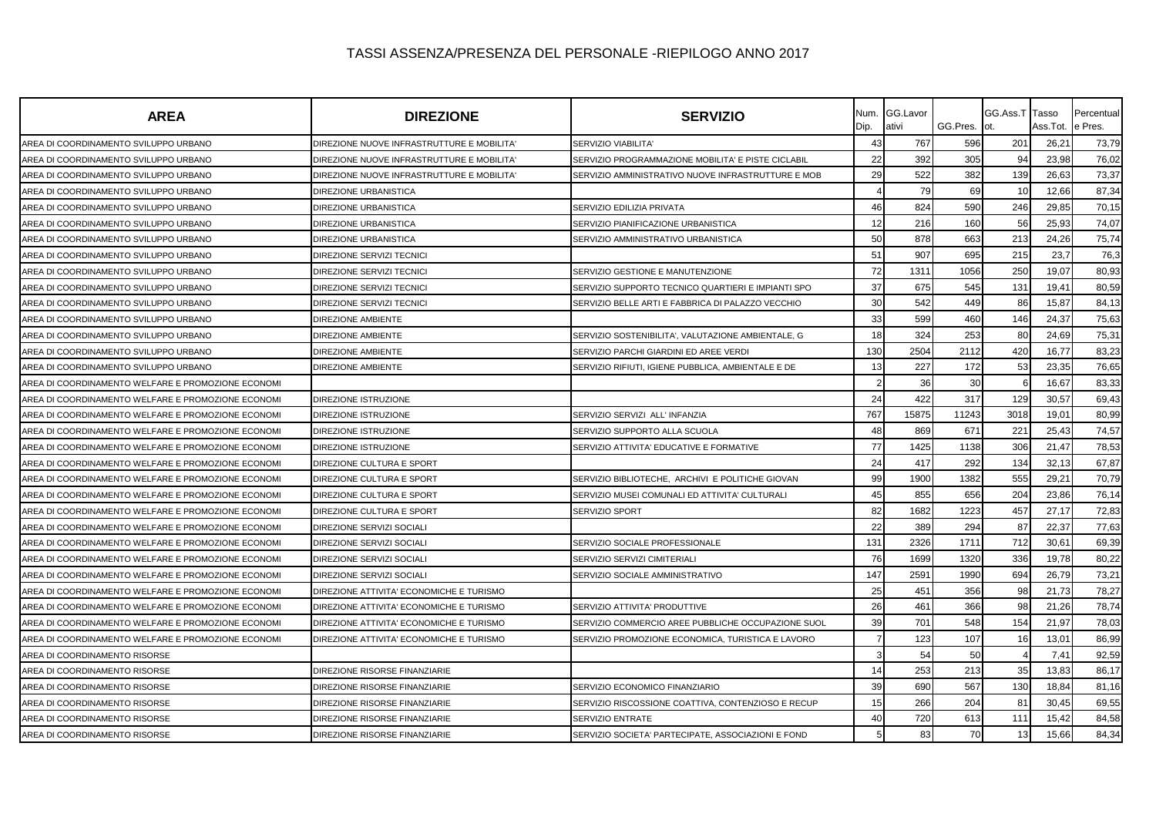| <b>AREA</b>                                        | <b>DIREZIONE</b>                           | <b>SERVIZIO</b>                                    | Num.<br>Dip.   | GG.Lavor<br>ativi | GG Pres. | GG.Ass.T Tasso<br>lot. | Ass.Tot | Percentual<br>e Pres. |
|----------------------------------------------------|--------------------------------------------|----------------------------------------------------|----------------|-------------------|----------|------------------------|---------|-----------------------|
| AREA DI COORDINAMENTO SVILUPPO URBANO              | DIREZIONE NUOVE INFRASTRUTTURE E MOBILITA' | SERVIZIO VIABILITA'                                | 43             | 767               | 596      | 201                    | 26,21   | 73,79                 |
| AREA DI COORDINAMENTO SVILUPPO URBANO              | DIREZIONE NUOVE INFRASTRUTTURE E MOBILITA' | SERVIZIO PROGRAMMAZIONE MOBILITA' E PISTE CICLABIL | 22             | 392               | 305      | 94                     | 23,98   | 76,02                 |
| AREA DI COORDINAMENTO SVILUPPO URBANO              | DIREZIONE NUOVE INFRASTRUTTURE E MOBILITA' | SERVIZIO AMMINISTRATIVO NUOVE INFRASTRUTTURE E MOB | 29             | 522               | 382      | 139                    | 26,63   | 73,37                 |
| AREA DI COORDINAMENTO SVILUPPO URBANO              | <b>DIREZIONE URBANISTICA</b>               |                                                    |                | 79                | 69       | 10                     | 12,66   | 87,34                 |
| AREA DI COORDINAMENTO SVILUPPO URBANO              | <b>DIREZIONE URBANISTICA</b>               | SERVIZIO EDILIZIA PRIVATA                          | 46             | 824               | 590      | 246                    | 29,85   | 70,15                 |
| AREA DI COORDINAMENTO SVILUPPO URBANO              | DIREZIONE URBANISTICA                      | SERVIZIO PIANIFICAZIONE URBANISTICA                | 12             | 216               | 160      | 56                     | 25,93   | 74,07                 |
| AREA DI COORDINAMENTO SVILUPPO URBANO              | <b>DIREZIONE URBANISTICA</b>               | SERVIZIO AMMINISTRATIVO URBANISTICA                | 50             | 878               | 663      | 213                    | 24,26   | 75,74                 |
| AREA DI COORDINAMENTO SVILUPPO URBANO              | DIREZIONE SERVIZI TECNICI                  |                                                    | 51             | 907               | 695      | 215                    | 23,7    | 76,3                  |
| AREA DI COORDINAMENTO SVILUPPO URBANO              | DIREZIONE SERVIZI TECNICI                  | SERVIZIO GESTIONE E MANUTENZIONE                   | 72             | 1311              | 1056     | 250                    | 19,07   | 80,93                 |
| AREA DI COORDINAMENTO SVILUPPO URBANO              | DIREZIONE SERVIZI TECNICI                  | SERVIZIO SUPPORTO TECNICO QUARTIERI E IMPIANTI SPO | 37             | 675               | 545      | 131                    | 19,41   | 80,59                 |
| AREA DI COORDINAMENTO SVILUPPO URBANO              | DIREZIONE SERVIZI TECNICI                  | SERVIZIO BELLE ARTI E FABBRICA DI PALAZZO VECCHIO  | 30             | 542               | 449      | 86                     | 15,87   | 84,13                 |
| AREA DI COORDINAMENTO SVILUPPO URBANO              | <b>DIREZIONE AMBIENTE</b>                  |                                                    | 33             | 599               | 460      | 146                    | 24,37   | 75,63                 |
| AREA DI COORDINAMENTO SVILUPPO URBANO              | <b>DIREZIONE AMBIENTE</b>                  | SERVIZIO SOSTENIBILITA', VALUTAZIONE AMBIENTALE, G | 18             | 324               | 253      | 80                     | 24,69   | 75,31                 |
| AREA DI COORDINAMENTO SVILUPPO URBANO              | DIREZIONE AMBIENTE                         | SERVIZIO PARCHI GIARDINI ED AREE VERDI             | 130            | 2504              | 2112     | 420                    | 16,77   | 83,23                 |
| AREA DI COORDINAMENTO SVILUPPO URBANO              | DIREZIONE AMBIENTE                         | SERVIZIO RIFIUTI, IGIENE PUBBLICA, AMBIENTALE E DE | 13             | 227               | 172      | 53                     | 23,35   | 76,65                 |
| AREA DI COORDINAMENTO WELFARE E PROMOZIONE ECONOMI |                                            |                                                    | $\mathfrak{p}$ | 36                | 30       |                        | 16,67   | 83,33                 |
| AREA DI COORDINAMENTO WELFARE E PROMOZIONE ECONOMI | DIREZIONE ISTRUZIONE                       |                                                    | 24             | 422               | 317      | 129                    | 30,57   | 69,43                 |
| AREA DI COORDINAMENTO WELFARE E PROMOZIONE ECONOMI | DIREZIONE ISTRUZIONE                       | SERVIZIO SERVIZI ALL' INFANZIA                     | 767            | 15875             | 11243    | 3018                   | 19,01   | 80,99                 |
| AREA DI COORDINAMENTO WELFARE E PROMOZIONE ECONOMI | DIREZIONE ISTRUZIONE                       | SERVIZIO SUPPORTO ALLA SCUOLA                      | 48             | 869               | 671      | 221                    | 25,43   | 74,57                 |
| AREA DI COORDINAMENTO WELFARE E PROMOZIONE ECONOMI | DIREZIONE ISTRUZIONE                       | SERVIZIO ATTIVITA' EDUCATIVE E FORMATIVE           | 77             | 1425              | 1138     | 306                    | 21,47   | 78,53                 |
| AREA DI COORDINAMENTO WELFARE E PROMOZIONE ECONOMI | DIREZIONE CULTURA E SPORT                  |                                                    | 24             | 417               | 292      | 134                    | 32,13   | 67,87                 |
| AREA DI COORDINAMENTO WELFARE E PROMOZIONE ECONOMI | DIREZIONE CULTURA E SPORT                  | SERVIZIO BIBLIOTECHE, ARCHIVI E POLITICHE GIOVAN   | 99             | 1900              | 1382     | 555                    | 29,21   | 70,79                 |
| AREA DI COORDINAMENTO WELFARE E PROMOZIONE ECONOMI | DIREZIONE CULTURA E SPORT                  | SERVIZIO MUSEI COMUNALI ED ATTIVITA' CULTURALI     | 45             | 855               | 656      | 204                    | 23,86   | 76,14                 |
| AREA DI COORDINAMENTO WELFARE E PROMOZIONE ECONOMI | DIREZIONE CULTURA E SPORT                  | <b>SERVIZIO SPORT</b>                              | 82             | 1682              | 1223     | 457                    | 27,17   | 72,83                 |
| AREA DI COORDINAMENTO WELFARE E PROMOZIONE ECONOMI | DIREZIONE SERVIZI SOCIALI                  |                                                    | 22             | 389               | 294      | 87                     | 22,37   | 77,63                 |
| AREA DI COORDINAMENTO WELFARE E PROMOZIONE ECONOMI | DIREZIONE SERVIZI SOCIALI                  | SERVIZIO SOCIALE PROFESSIONALE                     | 131            | 2326              | 1711     | 712                    | 30,61   | 69,39                 |
| AREA DI COORDINAMENTO WELFARE E PROMOZIONE ECONOMI | DIREZIONE SERVIZI SOCIALI                  | SERVIZIO SERVIZI CIMITERIALI                       | 76             | 1699              | 1320     | 336                    | 19,78   | 80,22                 |
| AREA DI COORDINAMENTO WELFARE E PROMOZIONE ECONOMI | DIREZIONE SERVIZI SOCIALI                  | SERVIZIO SOCIALE AMMINISTRATIVO                    | 147            | 2591              | 1990     | 694                    | 26,79   | 73,21                 |
| AREA DI COORDINAMENTO WELFARE E PROMOZIONE ECONOMI | DIREZIONE ATTIVITA' ECONOMICHE E TURISMO   |                                                    | 25             | 451               | 356      | 98                     | 21,73   | 78,27                 |
| AREA DI COORDINAMENTO WELFARE E PROMOZIONE ECONOMI | DIREZIONE ATTIVITA' ECONOMICHE E TURISMO   | SERVIZIO ATTIVITA' PRODUTTIVE                      | 26             | 461               | 366      | 98                     | 21,26   | 78,74                 |
| AREA DI COORDINAMENTO WELFARE E PROMOZIONE ECONOMI | DIREZIONE ATTIVITA' ECONOMICHE E TURISMO   | SERVIZIO COMMERCIO AREE PUBBLICHE OCCUPAZIONE SUOL | 39             | 701               | 548      | 154                    | 21,97   | 78,03                 |
| AREA DI COORDINAMENTO WELFARE E PROMOZIONE ECONOMI | DIREZIONE ATTIVITA' ECONOMICHE E TURISMO   | SERVIZIO PROMOZIONE ECONOMICA, TURISTICA E LAVORO  | $\overline{7}$ | 123               | 107      | 16                     | 13,01   | 86,99                 |
| AREA DI COORDINAMENTO RISORSE                      |                                            |                                                    | 3              | 54                | 50       |                        | 7,41    | 92,59                 |
| AREA DI COORDINAMENTO RISORSE                      | DIREZIONE RISORSE FINANZIARIE              |                                                    | 14             | 253               | 213      | 35                     | 13,83   | 86,17                 |
| AREA DI COORDINAMENTO RISORSE                      | DIREZIONE RISORSE FINANZIARIE              | SERVIZIO ECONOMICO FINANZIARIO                     | 39             | 690               | 567      | 130                    | 18,84   | 81,16                 |
| AREA DI COORDINAMENTO RISORSE                      | DIREZIONE RISORSE FINANZIARIE              | SERVIZIO RISCOSSIONE COATTIVA, CONTENZIOSO E RECUP | 15             | 266               | 204      | 81                     | 30,45   | 69,55                 |
| AREA DI COORDINAMENTO RISORSE                      | DIREZIONE RISORSE FINANZIARIE              | SERVIZIO ENTRATE                                   | 40             | 720               | 613      | 111                    | 15,42   | 84,58                 |
| AREA DI COORDINAMENTO RISORSE                      | DIREZIONE RISORSE FINANZIARIE              | SERVIZIO SOCIETA' PARTECIPATE, ASSOCIAZIONI E FOND |                | 83                | 70       | 13                     | 15,66   | 84,34                 |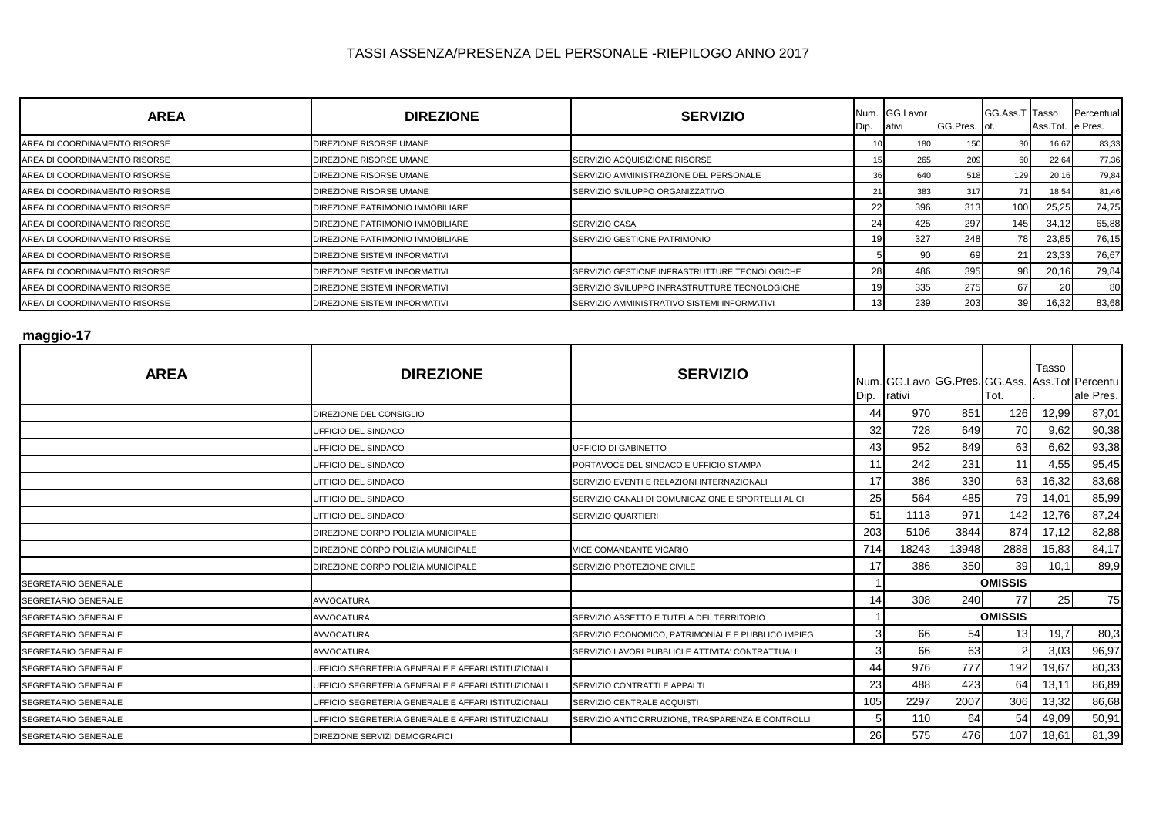| <b>AREA</b>                   | <b>DIREZIONE</b>                 | <b>SERVIZIO</b>                               | Dip.            | Num. GG.Lavor<br>ativi | GG.Pres. ot. | GG.Ass.T Tasso  | Ass. Tot. e Pres. | Percentual |
|-------------------------------|----------------------------------|-----------------------------------------------|-----------------|------------------------|--------------|-----------------|-------------------|------------|
| AREA DI COORDINAMENTO RISORSE | DIREZIONE RISORSE UMANE          |                                               |                 | 180                    | 15(          | 30 <sup>1</sup> | 16,67             | 83,33      |
| AREA DI COORDINAMENTO RISORSE | DIREZIONE RISORSE UMANE          | SERVIZIO ACQUISIZIONE RISORSE                 |                 | 265                    | 209          |                 | 22,64             | 77,36      |
| AREA DI COORDINAMENTO RISORSE | DIREZIONE RISORSE UMANE          | SERVIZIO AMMINISTRAZIONE DEL PERSONALE        | 36              | 640                    | 518          | 129             | 20,16             | 79,84      |
| AREA DI COORDINAMENTO RISORSE | DIREZIONE RISORSE UMANE          | SERVIZIO SVILUPPO ORGANIZZATIVO               |                 | 383                    | 317          | 71              | 18,54             | 81,46      |
| AREA DI COORDINAMENTO RISORSE | DIREZIONE PATRIMONIO IMMOBILIARE |                                               | 22              | 396                    | 313          | 100             | 25,25             | 74,75      |
| AREA DI COORDINAMENTO RISORSE | DIREZIONE PATRIMONIO IMMOBILIARE | SERVIZIO CASA                                 | 24              | 425                    | 297          | 145             | 34,12             | 65,88      |
| AREA DI COORDINAMENTO RISORSE | DIREZIONE PATRIMONIO IMMOBILIARE | SERVIZIO GESTIONE PATRIMONIO                  | 19              | 327                    | 248          | 78              | 23,85             | 76,15      |
| AREA DI COORDINAMENTO RISORSE | DIREZIONE SISTEMI INFORMATIVI    |                                               |                 |                        | 69           | 21              | 23,33             | 76,67      |
| AREA DI COORDINAMENTO RISORSE | DIREZIONE SISTEMI INFORMATIVI    | SERVIZIO GESTIONE INFRASTRUTTURE TECNOLOGICHE | 28              | 486                    | 395          | 98              | 20,16             | 79,84      |
| AREA DI COORDINAMENTO RISORSE | DIREZIONE SISTEMI INFORMATIVI    | SERVIZIO SVILUPPO INFRASTRUTTURE TECNOLOGICHE | 19              | 335                    | 275          | 67I             | 20                | 80         |
| AREA DI COORDINAMENTO RISORSE | DIREZIONE SISTEMI INFORMATIVI    | SERVIZIO AMMINISTRATIVO SISTEMI INFORMATIVI   | 13 <sub>1</sub> | 239                    | 203          | 39              | 16,32             | 83,68      |

### **maggio-17**

| <u></u>             |                                                    |                                                    |      |        |                                                |                |       |           |
|---------------------|----------------------------------------------------|----------------------------------------------------|------|--------|------------------------------------------------|----------------|-------|-----------|
| <b>AREA</b>         | <b>DIREZIONE</b>                                   | <b>SERVIZIO</b>                                    | Dip. | rativi | Num. GG.Lavo GG.Pres. GG.Ass. Ass.Tot Percentu | Tot.           | Tasso | ale Pres. |
|                     | DIREZIONE DEL CONSIGLIO                            |                                                    | 44   | 970    | 851                                            | 126            | 12,99 | 87,01     |
|                     | UFFICIO DEL SINDACO                                |                                                    | 32   | 728    | 649                                            | <b>70</b>      | 9,62  | 90,38     |
|                     | UFFICIO DEL SINDACO                                | <b>UFFICIO DI GABINETTO</b>                        | 43   | 952    | 849                                            | 63             | 6,62  | 93,38     |
|                     | UFFICIO DEL SINDACO                                | PORTAVOCE DEL SINDACO E UFFICIO STAMPA             | 11   | 242    | 231                                            | 11             | 4,55  | 95,45     |
|                     | UFFICIO DEL SINDACO                                | SERVIZIO EVENTI E RELAZIONI INTERNAZIONALI         | 17   | 386    | 330                                            | 63             | 16,32 | 83,68     |
|                     | UFFICIO DEL SINDACO                                | SERVIZIO CANALI DI COMUNICAZIONE E SPORTELLI AL CI | 25   | 564    | 485                                            | 79             | 14,01 | 85,99     |
|                     | UFFICIO DEL SINDACO                                | SERVIZIO QUARTIERI                                 | 51   | 1113   | 971                                            | 142            | 12,76 | 87,24     |
|                     | DIREZIONE CORPO POLIZIA MUNICIPALE                 |                                                    | 203  | 5106   | 3844                                           | 874            | 17,12 | 82,88     |
|                     | DIREZIONE CORPO POLIZIA MUNICIPALE                 | VICE COMANDANTE VICARIO                            | 714  | 18243  | 13948                                          | 2888           | 15,83 | 84,17     |
|                     | DIREZIONE CORPO POLIZIA MUNICIPALE                 | SERVIZIO PROTEZIONE CIVILE                         | 17   | 386    | 350                                            | 39             | 10,1  | 89,9      |
| SEGRETARIO GENERALE |                                                    |                                                    |      |        |                                                | <b>OMISSIS</b> |       |           |
| SEGRETARIO GENERALE | <b>AVVOCATURA</b>                                  |                                                    | 14   | 308    | 240                                            | 77             | 25    | <b>75</b> |
| SEGRETARIO GENERALE | <b>AVVOCATURA</b>                                  | SERVIZIO ASSETTO E TUTELA DEL TERRITORIO           |      |        |                                                | <b>OMISSIS</b> |       |           |
| SEGRETARIO GENERALE | <b>AVVOCATURA</b>                                  | SERVIZIO ECONOMICO, PATRIMONIALE E PUBBLICO IMPIEG | 3    | 66     | 54                                             | 13             | 19,7  | 80,3      |
| SEGRETARIO GENERALE | <b>AVVOCATURA</b>                                  | SERVIZIO LAVORI PUBBLICI E ATTIVITA' CONTRATTUALI  | 3    | 66     | 63                                             |                | 3,03  | 96,97     |
| SEGRETARIO GENERALE | UFFICIO SEGRETERIA GENERALE E AFFARI ISTITUZIONALI |                                                    | 44   | 976    | 777                                            | 192            | 19,67 | 80,33     |
| SEGRETARIO GENERALE | UFFICIO SEGRETERIA GENERALE E AFFARI ISTITUZIONALI | SERVIZIO CONTRATTI E APPALTI                       | 23   | 488    | 423                                            | 64             | 13,11 | 86,89     |
| SEGRETARIO GENERALE | UFFICIO SEGRETERIA GENERALE E AFFARI ISTITUZIONALI | SERVIZIO CENTRALE ACQUISTI                         | 105  | 2297   | 2007                                           | 306            | 13,32 | 86,68     |
| SEGRETARIO GENERALE | UFFICIO SEGRETERIA GENERALE E AFFARI ISTITUZIONALI | SERVIZIO ANTICORRUZIONE, TRASPARENZA E CONTROLLI   | 5    | 110    | 64                                             | 54             | 49,09 | 50,91     |
| SEGRETARIO GENERALE | DIREZIONE SERVIZI DEMOGRAFICI                      |                                                    | 26   | 575    | 476                                            | 107            | 18,61 | 81,39     |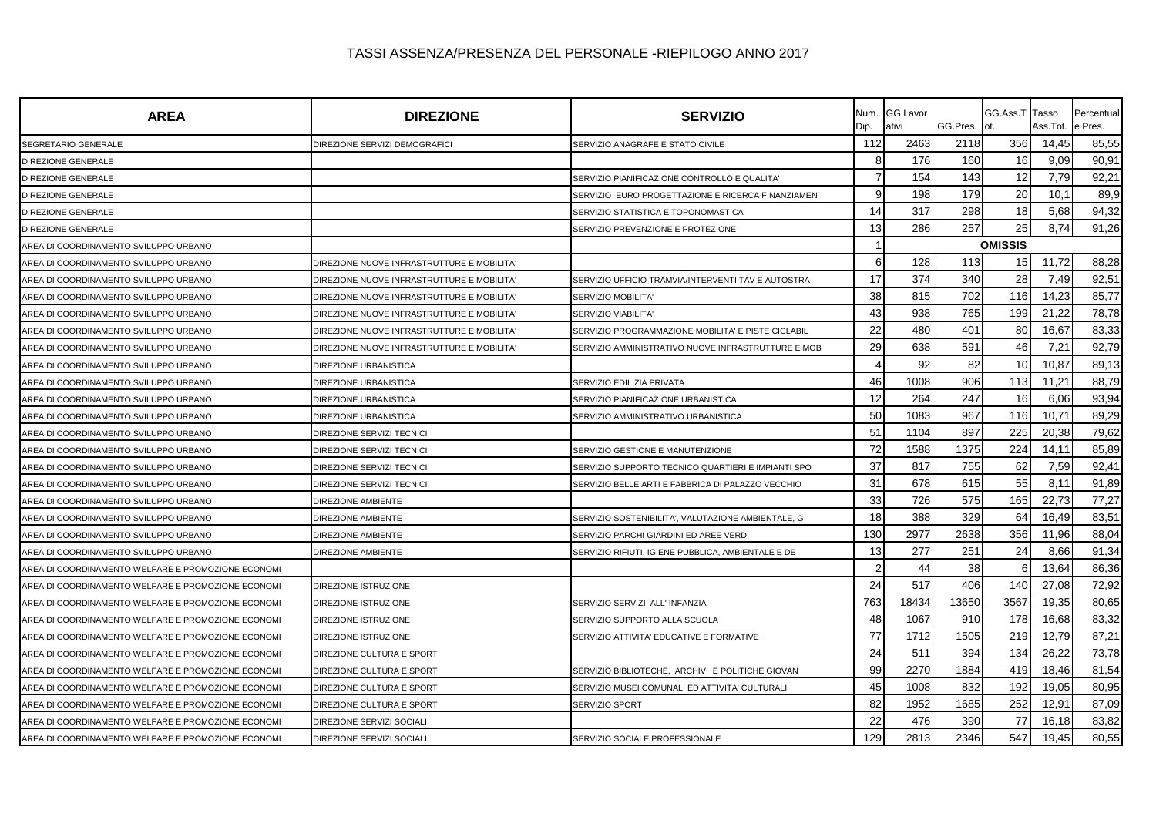| <b>AREA</b>                                        | <b>DIREZIONE</b>                           | <b>SERVIZIO</b>                                    | Num.<br>Dip. | GG.Lavor<br>ativi | GG.Pres. | GG.Ass.T Tasso<br>ot. | Ass.Tot. | Percentual<br>e Pres. |
|----------------------------------------------------|--------------------------------------------|----------------------------------------------------|--------------|-------------------|----------|-----------------------|----------|-----------------------|
| <b>SEGRETARIO GENERALE</b>                         | DIREZIONE SERVIZI DEMOGRAFICI              | SERVIZIO ANAGRAFE E STATO CIVILE                   | 112          | 2463              | 2118     | 356                   | 14,45    | 85,55                 |
| <b>DIREZIONE GENERALE</b>                          |                                            |                                                    | 8            | 176               | 160      | 16                    | 9,09     | 90,91                 |
| DIREZIONE GENERALE                                 |                                            | SERVIZIO PIANIFICAZIONE CONTROLLO E QUALITA'       | 7            | 154               | 143      | 12                    | 7,79     | 92,21                 |
| DIREZIONE GENERALE                                 |                                            | SERVIZIO EURO PROGETTAZIONE E RICERCA FINANZIAMEN  | $\mathbf{Q}$ | 198               | 179      | 20                    | 10.1     | 89,9                  |
| DIREZIONE GENERALE                                 |                                            | SERVIZIO STATISTICA E TOPONOMASTICA                | 14           | 317               | 298      | 18                    | 5,68     | 94,32                 |
| DIREZIONE GENERALE                                 |                                            | SERVIZIO PREVENZIONE E PROTEZIONE                  | 13           | 286               | 257      | 25                    | 8,74     | 91,26                 |
| AREA DI COORDINAMENTO SVILUPPO URBANO              |                                            |                                                    |              |                   |          | <b>OMISSIS</b>        |          |                       |
| AREA DI COORDINAMENTO SVILUPPO URBANO              | DIREZIONE NUOVE INFRASTRUTTURE E MOBILITA' |                                                    | 6            | 128               | 113      | 15                    | 11,72    | 88,28                 |
| AREA DI COORDINAMENTO SVILUPPO URBANO              | DIREZIONE NUOVE INFRASTRUTTURE E MOBILITA' | SERVIZIO UFFICIO TRAMVIA/INTERVENTI TAV E AUTOSTRA | 17           | 374               | 340      | 28                    | 7,49     | 92,51                 |
| AREA DI COORDINAMENTO SVILUPPO URBANO              | DIREZIONE NUOVE INFRASTRUTTURE E MOBILITA' | <b>SERVIZIO MOBILITA'</b>                          | 38           | 815               | 702      | 116                   | 14,23    | 85,77                 |
| AREA DI COORDINAMENTO SVILUPPO URBANO              | DIREZIONE NUOVE INFRASTRUTTURE E MOBILITA' | SERVIZIO VIABILITA'                                | 43           | 938               | 765      | 199                   | 21,22    | 78,78                 |
| AREA DI COORDINAMENTO SVILUPPO URBANO              | DIREZIONE NUOVE INFRASTRUTTURE E MOBILITA' | SERVIZIO PROGRAMMAZIONE MOBILITA' E PISTE CICLABIL | 22           | 480               | 401      | 80                    | 16,67    | 83,33                 |
| AREA DI COORDINAMENTO SVILUPPO URBANO              | DIREZIONE NUOVE INFRASTRUTTURE E MOBILITA' | SERVIZIO AMMINISTRATIVO NUOVE INFRASTRUTTURE E MOB | 29           | 638               | 591      | 46                    | 7,21     | 92,79                 |
| AREA DI COORDINAMENTO SVILUPPO URBANO              | DIREZIONE URBANISTICA                      |                                                    | 4            | 92                | 82       | 10                    | 10,87    | 89,13                 |
| AREA DI COORDINAMENTO SVILUPPO URBANO              | DIREZIONE URBANISTICA                      | SERVIZIO EDILIZIA PRIVATA                          | 46           | 1008              | 906      | 113                   | 11,21    | 88,79                 |
| AREA DI COORDINAMENTO SVILUPPO URBANO              | DIREZIONE URBANISTICA                      | SERVIZIO PIANIFICAZIONE URBANISTICA                | 12           | 264               | 247      | 16                    | 6,06     | 93,94                 |
| AREA DI COORDINAMENTO SVILUPPO URBANO              | DIREZIONE URBANISTICA                      | SERVIZIO AMMINISTRATIVO URBANISTICA                | 50           | 1083              | 967      | 116                   | 10,71    | 89,29                 |
| AREA DI COORDINAMENTO SVILUPPO URBANO              | DIREZIONE SERVIZI TECNICI                  |                                                    | 51           | 1104              | 897      | 225                   | 20,38    | 79,62                 |
| AREA DI COORDINAMENTO SVILUPPO URBANO              | DIREZIONE SERVIZI TECNICI                  | SERVIZIO GESTIONE E MANUTENZIONE                   | 72           | 1588              | 1375     | 224                   | 14,11    | 85,89                 |
| AREA DI COORDINAMENTO SVILUPPO URBANO              | DIREZIONE SERVIZI TECNICI                  | SERVIZIO SUPPORTO TECNICO QUARTIERI E IMPIANTI SPO | 37           | 817               | 755      | 62                    | 7,59     | 92,41                 |
| AREA DI COORDINAMENTO SVILUPPO URBANO              | DIREZIONE SERVIZI TECNICI                  | SERVIZIO BELLE ARTI E FABBRICA DI PALAZZO VECCHIO  | 31           | 678               | 615      | 55                    | 8,11     | 91,89                 |
| AREA DI COORDINAMENTO SVILUPPO URBANO              | DIREZIONE AMBIENTE                         |                                                    | 33           | 726               | 575      | 165                   | 22,73    | 77,27                 |
| AREA DI COORDINAMENTO SVILUPPO URBANO              | DIREZIONE AMBIENTE                         | SERVIZIO SOSTENIBILITA', VALUTAZIONE AMBIENTALE, G | 18           | 388               | 329      | 64                    | 16,49    | 83,51                 |
| AREA DI COORDINAMENTO SVILUPPO URBANO              | DIREZIONE AMBIENTE                         | SERVIZIO PARCHI GIARDINI ED AREE VERDI             | 130          | 2977              | 2638     | 356                   | 11,96    | 88,04                 |
| AREA DI COORDINAMENTO SVILUPPO URBANO              | DIREZIONE AMBIENTE                         | SERVIZIO RIFIUTI, IGIENE PUBBLICA, AMBIENTALE E DE | 13           | 277               | 251      | 24                    | 8,66     | 91,34                 |
| AREA DI COORDINAMENTO WELFARE E PROMOZIONE ECONOMI |                                            |                                                    |              | 44                | 38       |                       | 13,64    | 86,36                 |
| AREA DI COORDINAMENTO WELFARE E PROMOZIONE ECONOMI | DIREZIONE ISTRUZIONE                       |                                                    | 24           | 517               | 406      | 140                   | 27.08    | 72,92                 |
| AREA DI COORDINAMENTO WELFARE E PROMOZIONE ECONOMI | DIREZIONE ISTRUZIONE                       | SERVIZIO SERVIZI ALL' INFANZIA                     | 763          | 18434             | 13650    | 3567                  | 19,35    | 80,65                 |
| AREA DI COORDINAMENTO WELFARE E PROMOZIONE ECONOMI | DIREZIONE ISTRUZIONE                       | SERVIZIO SUPPORTO ALLA SCUOLA                      | 48           | 1067              | 910      | 178                   | 16,68    | 83,32                 |
| AREA DI COORDINAMENTO WELFARE E PROMOZIONE ECONOMI | DIREZIONE ISTRUZIONE                       | SERVIZIO ATTIVITA' EDUCATIVE E FORMATIVE           | 77           | 1712              | 1505     | 219                   | 12,79    | 87,21                 |
| AREA DI COORDINAMENTO WELFARE E PROMOZIONE ECONOMI | DIREZIONE CULTURA E SPORT                  |                                                    | 24           | 511               | 394      | 134                   | 26,22    | 73,78                 |
| AREA DI COORDINAMENTO WELFARE E PROMOZIONE ECONOMI | DIREZIONE CULTURA E SPORT                  | SERVIZIO BIBLIOTECHE, ARCHIVI E POLITICHE GIOVAN   | 99           | 2270              | 1884     | 419                   | 18,46    | 81,54                 |
| AREA DI COORDINAMENTO WELFARE E PROMOZIONE ECONOMI | DIREZIONE CULTURA E SPORT                  | SERVIZIO MUSEI COMUNALI ED ATTIVITA' CULTURALI     | 45           | 1008              | 832      | 192                   | 19,05    | 80,95                 |
| AREA DI COORDINAMENTO WELFARE E PROMOZIONE ECONOMI | DIREZIONE CULTURA E SPORT                  | <b>SERVIZIO SPORT</b>                              | 82           | 1952              | 1685     | 252                   | 12,91    | 87,09                 |
| AREA DI COORDINAMENTO WELFARE E PROMOZIONE ECONOMI | DIREZIONE SERVIZI SOCIALI                  |                                                    | 22           | 476               | 390      | 77                    | 16,18    | 83,82                 |
| AREA DI COORDINAMENTO WELFARE E PROMOZIONE ECONOMI | DIREZIONE SERVIZI SOCIALI                  | SERVIZIO SOCIALE PROFESSIONALE                     | 129          | 2813              | 2346     | 547                   | 19,45    | 80,55                 |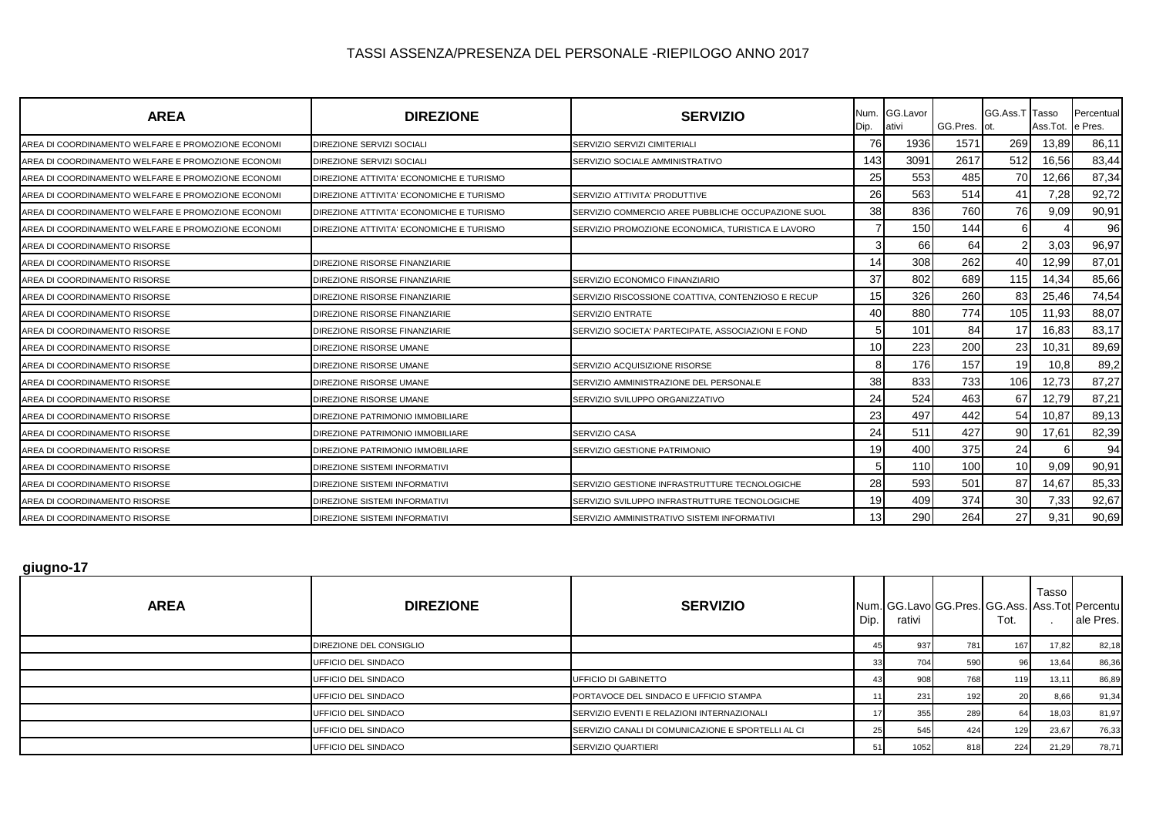| <b>AREA</b>                                        | <b>DIREZIONE</b>                         | <b>SERVIZIO</b>                                    | Dip.            | Num. GG.Lavor<br>ativi | GG.Pres. ot. | GG.Ass.T Tasso  | Ass.Tot. | Percentual<br>e Pres. |
|----------------------------------------------------|------------------------------------------|----------------------------------------------------|-----------------|------------------------|--------------|-----------------|----------|-----------------------|
| AREA DI COORDINAMENTO WELFARE E PROMOZIONE ECONOMI | DIREZIONE SERVIZI SOCIALI                | SERVIZIO SERVIZI CIMITERIALI                       | 76              | 1936                   | 1571         | 269             | 13,89    | 86,11                 |
| AREA DI COORDINAMENTO WELFARE E PROMOZIONE ECONOMI | DIREZIONE SERVIZI SOCIALI                | SERVIZIO SOCIALE AMMINISTRATIVO                    | 143             | 3091                   | 2617         | 512             | 16,56    | 83,44                 |
| AREA DI COORDINAMENTO WELFARE E PROMOZIONE ECONOMI | DIREZIONE ATTIVITA' ECONOMICHE E TURISMO |                                                    | 25              | 553                    | 485          | 70              | 12,66    | 87,34                 |
| AREA DI COORDINAMENTO WELFARE E PROMOZIONE ECONOMI | DIREZIONE ATTIVITA' ECONOMICHE E TURISMO | SERVIZIO ATTIVITA' PRODUTTIVE                      | 26              | 563                    | 514          | 41              | 7,28     | 92,72                 |
| AREA DI COORDINAMENTO WELFARE E PROMOZIONE ECONOMI | DIREZIONE ATTIVITA' ECONOMICHE E TURISMO | SERVIZIO COMMERCIO AREE PUBBLICHE OCCUPAZIONE SUOL | 38              | 836                    | 760          | 76              | 9,09     | 90,91                 |
| AREA DI COORDINAMENTO WELFARE E PROMOZIONE ECONOMI | DIREZIONE ATTIVITA' ECONOMICHE E TURISMO | SERVIZIO PROMOZIONE ECONOMICA, TURISTICA E LAVORO  |                 | 150                    | 144          | 61              |          | 96                    |
| AREA DI COORDINAMENTO RISORSE                      |                                          |                                                    | 3               | 66                     | 64           |                 | 3,03     | 96,97                 |
| AREA DI COORDINAMENTO RISORSE                      | DIREZIONE RISORSE FINANZIARIE            |                                                    | 14              | 308                    | 262          | 40              | 12,99    | 87,01                 |
| AREA DI COORDINAMENTO RISORSE                      | DIREZIONE RISORSE FINANZIARIE            | SERVIZIO ECONOMICO FINANZIARIO                     | 37              | 802                    | 689          | 115             | 14,34    | 85,66                 |
| AREA DI COORDINAMENTO RISORSE                      | DIREZIONE RISORSE FINANZIARIE            | SERVIZIO RISCOSSIONE COATTIVA, CONTENZIOSO E RECUP | 15              | 326                    | 260          | 83              | 25,46    | 74,54                 |
| AREA DI COORDINAMENTO RISORSE                      | DIREZIONE RISORSE FINANZIARIE            | <b>SERVIZIO ENTRATE</b>                            | 40              | 880                    | 774          | 105             | 11,93    | 88,07                 |
| AREA DI COORDINAMENTO RISORSE                      | DIREZIONE RISORSE FINANZIARIE            | SERVIZIO SOCIETA' PARTECIPATE, ASSOCIAZIONI E FOND | 5               | 101                    | 84           | 17              | 16,83    | 83,17                 |
| AREA DI COORDINAMENTO RISORSE                      | DIREZIONE RISORSE UMANE                  |                                                    | 10              | 223                    | 200          | 23              | 10,31    | 89,69                 |
| AREA DI COORDINAMENTO RISORSE                      | DIREZIONE RISORSE UMANE                  | SERVIZIO ACQUISIZIONE RISORSE                      | 8               | 176                    | 157          | 19              | 10,8     | 89,2                  |
| AREA DI COORDINAMENTO RISORSE                      | DIREZIONE RISORSE UMANE                  | SERVIZIO AMMINISTRAZIONE DEL PERSONALE             | 38              | 833                    | 733          | 106             | 12,73    | 87,27                 |
| AREA DI COORDINAMENTO RISORSE                      | DIREZIONE RISORSE UMANE                  | SERVIZIO SVILUPPO ORGANIZZATIVO                    | 24              | 524                    | 463          | 67              | 12,79    | 87,21                 |
| AREA DI COORDINAMENTO RISORSE                      | DIREZIONE PATRIMONIO IMMOBILIARE         |                                                    | 23              | 497                    | 442          | 54              | 10,87    | 89,13                 |
| AREA DI COORDINAMENTO RISORSE                      | DIREZIONE PATRIMONIO IMMOBILIARE         | SERVIZIO CASA                                      | 24              | 511                    | 427          | 90 <sup>°</sup> | 17,61    | 82,39                 |
| AREA DI COORDINAMENTO RISORSE                      | DIREZIONE PATRIMONIO IMMOBILIARE         | SERVIZIO GESTIONE PATRIMONIO                       | 19              | 400                    | 375          | 24              |          | 94                    |
| AREA DI COORDINAMENTO RISORSE                      | DIREZIONE SISTEMI INFORMATIVI            |                                                    | 5               | 110                    | 100          | 10 <sup>1</sup> | 9,09     | 90,91                 |
| AREA DI COORDINAMENTO RISORSE                      | DIREZIONE SISTEMI INFORMATIVI            | SERVIZIO GESTIONE INFRASTRUTTURE TECNOLOGICHE      | 28              | 593                    | 501          | 87              | 14,67    | 85,33                 |
| AREA DI COORDINAMENTO RISORSE                      | DIREZIONE SISTEMI INFORMATIVI            | SERVIZIO SVILUPPO INFRASTRUTTURE TECNOLOGICHE      | 19              | 409                    | 374          | 30 <sup>l</sup> | 7,33     | 92,67                 |
| AREA DI COORDINAMENTO RISORSE                      | DIREZIONE SISTEMI INFORMATIVI            | SERVIZIO AMMINISTRATIVO SISTEMI INFORMATIVI        | 13 <sub>1</sub> | 290                    | 264          | 27              | 9,31     | 90,69                 |

**giugno-17**

| ູ່<br><b>AREA</b> | <b>DIREZIONE</b>        | <b>SERVIZIO</b>                                    | Dip. | rativi |     | Tot. | Tasso | Num. GG.Lavo GG.Pres. GG.Ass. Ass.Tot Percentu<br>ale Pres. |
|-------------------|-------------------------|----------------------------------------------------|------|--------|-----|------|-------|-------------------------------------------------------------|
|                   | DIREZIONE DEL CONSIGLIO |                                                    |      | 937    | 781 | 167  | 17,82 | 82,18                                                       |
|                   | UFFICIO DEL SINDACO     |                                                    | 33   | 704    | 590 | 96   | 13,64 | 86,36                                                       |
|                   | UFFICIO DEL SINDACO     | <b>UFFICIO DI GABINETTO</b>                        |      | 908    | 768 | 119  | 13,11 | 86,89                                                       |
|                   | UFFICIO DEL SINDACO     | PORTAVOCE DEL SINDACO E UFFICIO STAMPA             |      | 231    | 192 | 20   | 8,66  | 91,34                                                       |
|                   | UFFICIO DEL SINDACO     | SERVIZIO EVENTI E RELAZIONI INTERNAZIONALI         |      | 355    | 289 | 64   | 18,03 | 81,97                                                       |
|                   | UFFICIO DEL SINDACO     | SERVIZIO CANALI DI COMUNICAZIONE E SPORTELLI AL CI | 25   | 545    | 424 | 129  | 23,67 | 76,33                                                       |
|                   | UFFICIO DEL SINDACO     | SERVIZIO QUARTIERI                                 | 51   | 1052   | 818 | 224  | 21,29 | 78,71                                                       |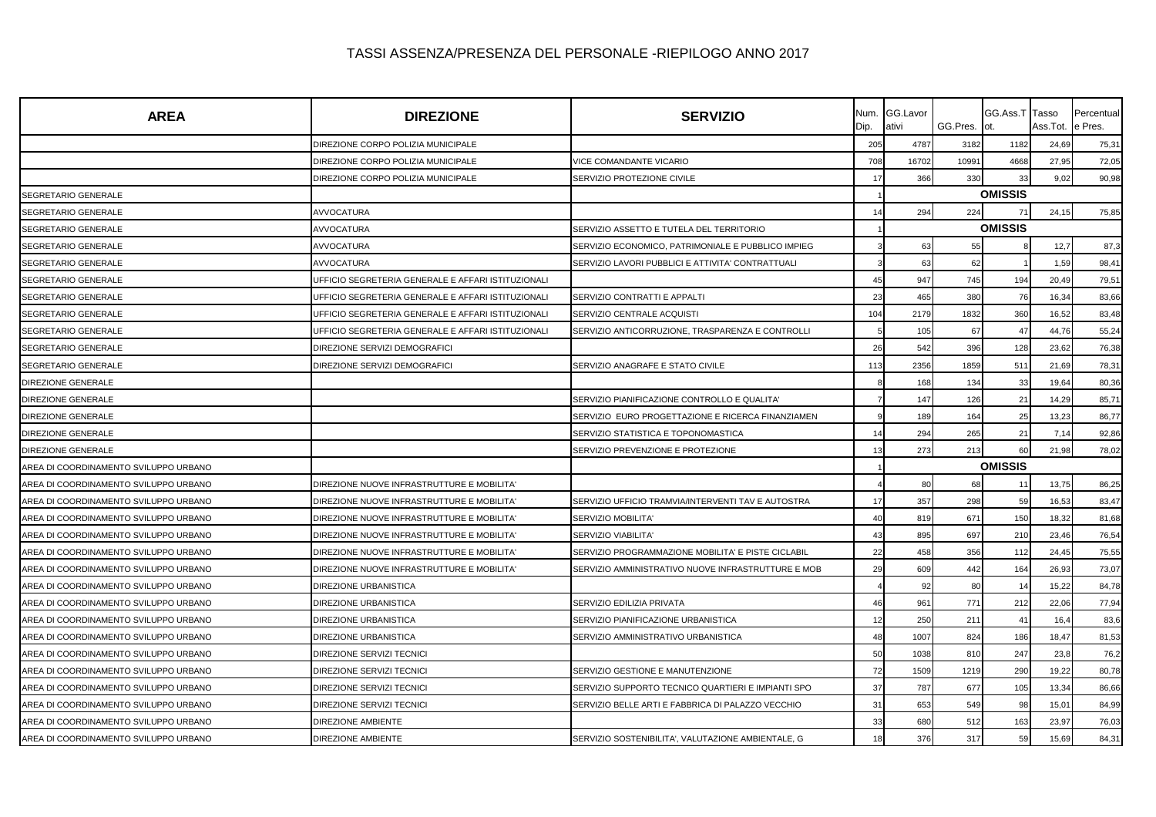| <b>AREA</b>                           | <b>DIREZIONE</b>                                   | <b>SERVIZIO</b>                                    | Num.<br>Dip. | GG.Lavor<br>ativi | GG.Pres. | GG.Ass.T Tasso<br>ot. | Ass.Tot. | Percentual<br>e Pres. |
|---------------------------------------|----------------------------------------------------|----------------------------------------------------|--------------|-------------------|----------|-----------------------|----------|-----------------------|
|                                       | DIREZIONE CORPO POLIZIA MUNICIPALE                 |                                                    | 205          | 4787              | 3182     | 1182                  | 24,69    | 75,31                 |
|                                       | DIREZIONE CORPO POLIZIA MUNICIPALE                 | VICE COMANDANTE VICARIO                            | 708          | 16702             | 10991    | 4668                  | 27,95    | 72,05                 |
|                                       | DIREZIONE CORPO POLIZIA MUNICIPALE                 | SERVIZIO PROTEZIONE CIVILE                         | 17           | 366               | 330      | 33                    | 9,02     | 90,98                 |
| <b>SEGRETARIO GENERALE</b>            |                                                    |                                                    |              |                   |          | <b>OMISSIS</b>        |          |                       |
| SEGRETARIO GENERALE                   | <b>AVVOCATURA</b>                                  |                                                    | 14           | 294               | 224      |                       | 24,15    | 75,85                 |
| SEGRETARIO GENERALE                   | AVVOCATURA                                         | SERVIZIO ASSETTO E TUTELA DEL TERRITORIO           |              |                   |          | <b>OMISSIS</b>        |          |                       |
| <b>SEGRETARIO GENERALE</b>            | AVVOCATURA                                         | SERVIZIO ECONOMICO, PATRIMONIALE E PUBBLICO IMPIEG |              | 63                | 55       |                       | 12,7     | 87,3                  |
| SEGRETARIO GENERALE                   | AVVOCATURA                                         | SERVIZIO LAVORI PUBBLICI E ATTIVITA' CONTRATTUALI  |              | 63                | 62       |                       | 1,59     | 98,41                 |
| SEGRETARIO GENERALE                   | UFFICIO SEGRETERIA GENERALE E AFFARI ISTITUZIONALI |                                                    |              | 947               | 745      | 194                   | 20,49    | 79,51                 |
| SEGRETARIO GENERALE                   | JFFICIO SEGRETERIA GENERALE E AFFARI ISTITUZIONALI | SERVIZIO CONTRATTI E APPALTI                       | 23           | 465               | 380      | 76                    | 16,34    | 83,66                 |
| SEGRETARIO GENERALE                   | UFFICIO SEGRETERIA GENERALE E AFFARI ISTITUZIONALI | SERVIZIO CENTRALE ACQUISTI                         | 104          | 2179              | 1832     | 360                   | 16,52    | 83,48                 |
| SEGRETARIO GENERALE                   | UFFICIO SEGRETERIA GENERALE E AFFARI ISTITUZIONALI | SERVIZIO ANTICORRUZIONE, TRASPARENZA E CONTROLLI   |              | 105               | 67       | 47                    | 44,76    | 55,24                 |
| SEGRETARIO GENERALE                   | DIREZIONE SERVIZI DEMOGRAFICI                      |                                                    | 26           | 542               | 396      | 128                   | 23,62    | 76,38                 |
| SEGRETARIO GENERALE                   | DIREZIONE SERVIZI DEMOGRAFICI                      | SERVIZIO ANAGRAFE E STATO CIVILE                   | 113          | 2356              | 1859     | 511                   | 21,69    | 78,31                 |
| DIREZIONE GENERALE                    |                                                    |                                                    |              | 168               | 134      | 33                    | 19,64    | 80,36                 |
| DIREZIONE GENERALE                    |                                                    | SERVIZIO PIANIFICAZIONE CONTROLLO E QUALITA'       |              | 147               | 126      | 21                    | 14,29    | 85,71                 |
| DIREZIONE GENERALE                    |                                                    | SERVIZIO EURO PROGETTAZIONE E RICERCA FINANZIAMEN  |              | 189               | 164      | 25                    | 13,23    | 86,77                 |
| <b>DIREZIONE GENERALE</b>             |                                                    | SERVIZIO STATISTICA E TOPONOMASTICA                | 14           | 294               | 265      | 21                    | 7,14     | 92,86                 |
| DIREZIONE GENERALE                    |                                                    | SERVIZIO PREVENZIONE E PROTEZIONE                  | 13           | 273               | 213      | 60                    | 21,98    | 78,02                 |
| AREA DI COORDINAMENTO SVILUPPO URBANO |                                                    |                                                    |              |                   |          | <b>OMISSIS</b>        |          |                       |
| AREA DI COORDINAMENTO SVILUPPO URBANO | DIREZIONE NUOVE INFRASTRUTTURE E MOBILITA'         |                                                    |              | 80                | 68       | 11                    | 13,75    | 86,25                 |
| AREA DI COORDINAMENTO SVILUPPO URBANO | DIREZIONE NUOVE INFRASTRUTTURE E MOBILITA'         | SERVIZIO UFFICIO TRAMVIA/INTERVENTI TAV E AUTOSTRA | 17           | 357               | 298      | 59                    | 16,53    | 83,47                 |
| AREA DI COORDINAMENTO SVILUPPO URBANO | DIREZIONE NUOVE INFRASTRUTTURE E MOBILITA'         | SERVIZIO MOBILITA'                                 | 40           | 819               | 671      | 150                   | 18,32    | 81,68                 |
| AREA DI COORDINAMENTO SVILUPPO URBANO | DIREZIONE NUOVE INFRASTRUTTURE E MOBILITA'         | <b>SERVIZIO VIABILITA'</b>                         | 43           | 895               | 697      | 210                   | 23,46    | 76,54                 |
| AREA DI COORDINAMENTO SVILUPPO URBANO | DIREZIONE NUOVE INFRASTRUTTURE E MOBILITA'         | SERVIZIO PROGRAMMAZIONE MOBILITA' E PISTE CICLABIL | 22           | 458               | 356      | 112                   | 24,45    | 75,55                 |
| AREA DI COORDINAMENTO SVILUPPO URBANO | DIREZIONE NUOVE INFRASTRUTTURE E MOBILITA'         | SERVIZIO AMMINISTRATIVO NUOVE INFRASTRUTTURE E MOB | 29           | 609               | 442      | 164                   | 26,93    | 73,07                 |
| AREA DI COORDINAMENTO SVILUPPO URBANO | DIREZIONE URBANISTICA                              |                                                    |              | 92                | 80       |                       | 15,22    | 84,78                 |
| AREA DI COORDINAMENTO SVILUPPO URBANO | DIREZIONE URBANISTICA                              | SERVIZIO EDILIZIA PRIVATA                          | 46           | 961               | 771      | 212                   | 22,06    | 77,94                 |
| AREA DI COORDINAMENTO SVILUPPO URBANO | DIREZIONE URBANISTICA                              | SERVIZIO PIANIFICAZIONE URBANISTICA                | 12           | 250               | 211      | 41                    | 16,4     | 83,6                  |
| AREA DI COORDINAMENTO SVILUPPO URBANO | DIREZIONE URBANISTICA                              | SERVIZIO AMMINISTRATIVO URBANISTICA                | 48           | 1007              | 824      | 186                   | 18,47    | 81,53                 |
| AREA DI COORDINAMENTO SVILUPPO URBANO | DIREZIONE SERVIZI TECNICI                          |                                                    | 50           | 1038              | 810      | 247                   | 23,8     | 76,2                  |
| AREA DI COORDINAMENTO SVILUPPO URBANO | DIREZIONE SERVIZI TECNICI                          | SERVIZIO GESTIONE E MANUTENZIONE                   | 72           | 1509              | 1219     | 290                   | 19,22    | 80,78                 |
| AREA DI COORDINAMENTO SVILUPPO URBANO | DIREZIONE SERVIZI TECNICI                          | SERVIZIO SUPPORTO TECNICO QUARTIERI E IMPIANTI SPO | 37           | 787               | 677      | 105                   | 13,34    | 86,66                 |
| AREA DI COORDINAMENTO SVILUPPO URBANO | DIREZIONE SERVIZI TECNICI                          | SERVIZIO BELLE ARTI E FABBRICA DI PALAZZO VECCHIO  | $3^{\circ}$  | 653               | 549      | 98                    | 15,01    | 84,99                 |
| AREA DI COORDINAMENTO SVILUPPO URBANO | DIREZIONE AMBIENTE                                 |                                                    | 33           | 680               | 512      | 163                   | 23,97    | 76,03                 |
| AREA DI COORDINAMENTO SVILUPPO URBANO | DIREZIONE AMBIENTE                                 | SERVIZIO SOSTENIBILITA', VALUTAZIONE AMBIENTALE, G | 18           | 376               | 317      | 59                    | 15,69    | 84,31                 |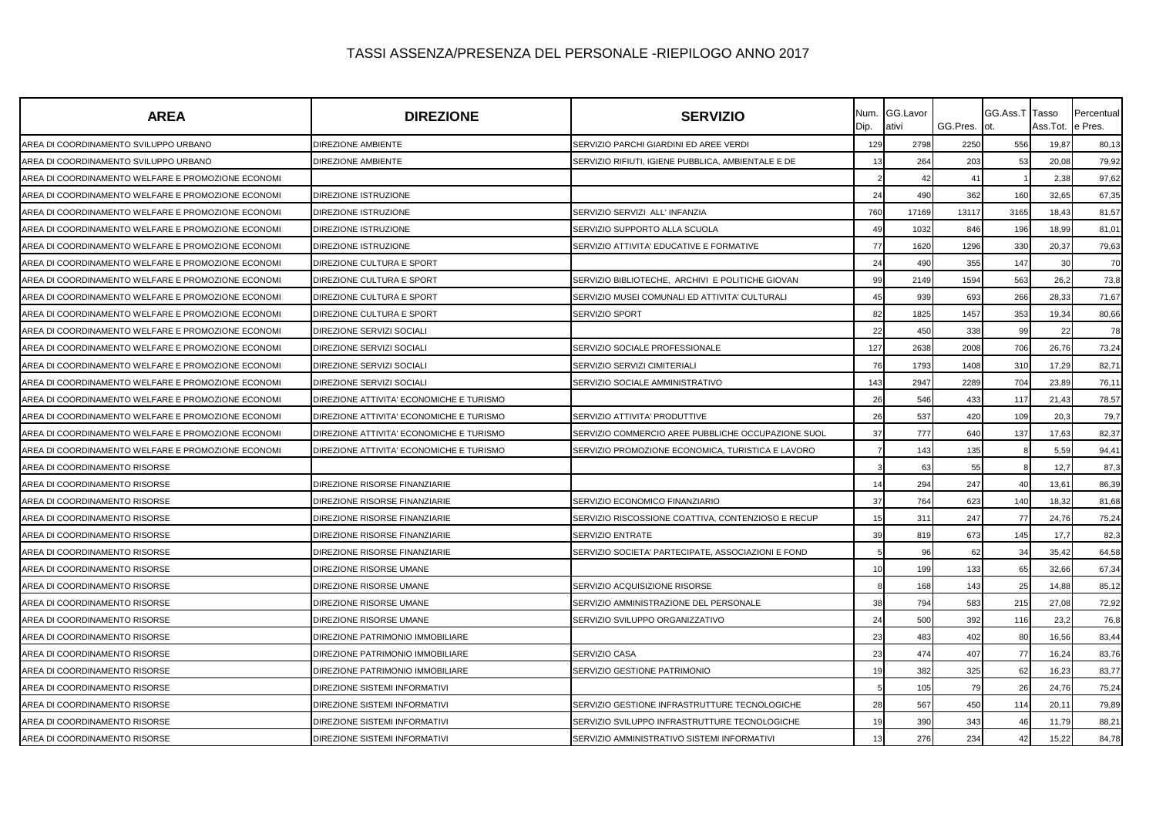| <b>AREA</b>                                        | <b>DIREZIONE</b>                         | <b>SERVIZIO</b>                                    | Num.<br>Dip. | GG.Lavor<br>ativi | GG.Pres. | GG.Ass.T Tasso<br>ot. | Ass.Tot | Percentual<br>e Pres. |
|----------------------------------------------------|------------------------------------------|----------------------------------------------------|--------------|-------------------|----------|-----------------------|---------|-----------------------|
| AREA DI COORDINAMENTO SVILUPPO URBANO              | DIREZIONE AMBIENTE                       | SERVIZIO PARCHI GIARDINI ED AREE VERDI             | 129          | 2798              | 2250     | 556                   | 19,87   | 80,13                 |
| AREA DI COORDINAMENTO SVILUPPO URBANO              | DIREZIONE AMBIENTE                       | SERVIZIO RIFIUTI, IGIENE PUBBLICA, AMBIENTALE E DE | 13           | 264               | 203      | 53                    | 20,08   | 79,92                 |
| AREA DI COORDINAMENTO WELFARE E PROMOZIONE ECONOMI |                                          |                                                    |              | 42                | 41       |                       | 2,38    | 97,62                 |
| AREA DI COORDINAMENTO WELFARE E PROMOZIONE ECONOMI | DIREZIONE ISTRUZIONE                     |                                                    | 24           | 490               | 362      | 160                   | 32,65   | 67,35                 |
| AREA DI COORDINAMENTO WELFARE E PROMOZIONE ECONOMI | DIREZIONE ISTRUZIONE                     | SERVIZIO SERVIZI ALL' INFANZIA                     | 760          | 17169             | 13117    | 3165                  | 18,43   | 81,57                 |
| AREA DI COORDINAMENTO WELFARE E PROMOZIONE ECONOMI | DIREZIONE ISTRUZIONE                     | SERVIZIO SUPPORTO ALLA SCUOLA                      | 49           | 1032              | 846      | 196                   | 18,99   | 81,01                 |
| AREA DI COORDINAMENTO WELFARE E PROMOZIONE ECONOMI | DIREZIONE ISTRUZIONE                     | SERVIZIO ATTIVITA' EDUCATIVE E FORMATIVE           | 77           | 1620              | 1296     | 330                   | 20,3    | 79,63                 |
| AREA DI COORDINAMENTO WELFARE E PROMOZIONE ECONOMI | DIREZIONE CULTURA E SPORT                |                                                    | 24           | 490               | 355      | 147                   | 30      | 70                    |
| AREA DI COORDINAMENTO WELFARE E PROMOZIONE ECONOMI | DIREZIONE CULTURA E SPORT                | SERVIZIO BIBLIOTECHE, ARCHIVI E POLITICHE GIOVAN   | 99           | 2149              | 1594     | 563                   | 26,2    | 73,8                  |
| AREA DI COORDINAMENTO WELFARE E PROMOZIONE ECONOMI | DIREZIONE CULTURA E SPORT                | SERVIZIO MUSEI COMUNALI ED ATTIVITA' CULTURALI     | 45           | 939               | 693      | 266                   | 28,33   | 71,67                 |
| AREA DI COORDINAMENTO WELFARE E PROMOZIONE ECONOMI | DIREZIONE CULTURA E SPORT                | SERVIZIO SPORT                                     | 82           | 1825              | 1457     | 353                   | 19,34   | 80,66                 |
| AREA DI COORDINAMENTO WELFARE E PROMOZIONE ECONOMI | DIREZIONE SERVIZI SOCIALI                |                                                    | 22           | 450               | 338      | 99                    | 22      | 78                    |
| AREA DI COORDINAMENTO WELFARE E PROMOZIONE ECONOMI | DIREZIONE SERVIZI SOCIALI                | SERVIZIO SOCIALE PROFESSIONALE                     | 127          | 2638              | 2008     | 706                   | 26,76   | 73,24                 |
| AREA DI COORDINAMENTO WELFARE E PROMOZIONE ECONOMI | DIREZIONE SERVIZI SOCIALI                | SERVIZIO SERVIZI CIMITERIALI                       | 76           | 1793              | 1408     | 310                   | 17,29   | 82,71                 |
| AREA DI COORDINAMENTO WELFARE E PROMOZIONE ECONOMI | DIREZIONE SERVIZI SOCIALI                | SERVIZIO SOCIALE AMMINISTRATIVO                    | 143          | 2947              | 2289     | 704                   | 23.89   | 76,11                 |
| AREA DI COORDINAMENTO WELFARE E PROMOZIONE ECONOMI | DIREZIONE ATTIVITA' ECONOMICHE E TURISMO |                                                    | 26           | 546               | 433      | 117                   | 21,43   | 78,57                 |
| AREA DI COORDINAMENTO WELFARE E PROMOZIONE ECONOMI | DIREZIONE ATTIVITA' ECONOMICHE E TURISMO | SERVIZIO ATTIVITA' PRODUTTIVE                      | 26           | 537               | 420      | 109                   | 20.3    | 79,7                  |
| AREA DI COORDINAMENTO WELFARE E PROMOZIONE ECONOMI | DIREZIONE ATTIVITA' ECONOMICHE E TURISMO | SERVIZIO COMMERCIO AREE PUBBLICHE OCCUPAZIONE SUOL | 37           | 777               | 640      | 137                   | 17,63   | 82,37                 |
| AREA DI COORDINAMENTO WELFARE E PROMOZIONE ECONOMI | DIREZIONE ATTIVITA' ECONOMICHE E TURISMO | SERVIZIO PROMOZIONE ECONOMICA, TURISTICA E LAVORO  |              | 143               | 135      |                       | 5,59    | 94,41                 |
| AREA DI COORDINAMENTO RISORSE                      |                                          |                                                    |              | 63                | 55       |                       | 12,7    | 87,3                  |
| AREA DI COORDINAMENTO RISORSE                      | DIREZIONE RISORSE FINANZIARIE            |                                                    | 14           | 294               | 247      | 40                    | 13,61   | 86,39                 |
| AREA DI COORDINAMENTO RISORSE                      | DIREZIONE RISORSE FINANZIARIE            | SERVIZIO ECONOMICO FINANZIARIO                     | 37           | 764               | 623      | 140                   | 18,32   | 81,68                 |
| AREA DI COORDINAMENTO RISORSE                      | DIREZIONE RISORSE FINANZIARIE            | SERVIZIO RISCOSSIONE COATTIVA, CONTENZIOSO E RECUP | 15           | 311               | 247      | 77                    | 24,76   | 75,24                 |
| AREA DI COORDINAMENTO RISORSE                      | DIREZIONE RISORSE FINANZIARIE            | SERVIZIO ENTRATE                                   | 39           | 819               | 673      | 145                   | 17,7    | 82,3                  |
| AREA DI COORDINAMENTO RISORSE                      | DIREZIONE RISORSE FINANZIARIE            | SERVIZIO SOCIETA' PARTECIPATE, ASSOCIAZIONI E FOND |              | 96                | 62       | 34                    | 35,42   | 64,58                 |
| AREA DI COORDINAMENTO RISORSE                      | DIREZIONE RISORSE UMANE                  |                                                    | 10           | 199               | 133      | 65                    | 32.66   | 67,34                 |
| AREA DI COORDINAMENTO RISORSE                      | DIREZIONE RISORSE UMANE                  | SERVIZIO ACQUISIZIONE RISORSE                      |              | 168               | 143      | 25                    | 14,88   | 85,12                 |
| AREA DI COORDINAMENTO RISORSE                      | DIREZIONE RISORSE UMANE                  | SERVIZIO AMMINISTRAZIONE DEL PERSONALE             | 38           | 794               | 583      | 215                   | 27,08   | 72,92                 |
| AREA DI COORDINAMENTO RISORSE                      | DIREZIONE RISORSE UMANE                  | SERVIZIO SVILUPPO ORGANIZZATIVO                    | 24           | 500               | 392      | 116                   | 23,2    | 76,8                  |
| AREA DI COORDINAMENTO RISORSE                      | DIREZIONE PATRIMONIO IMMOBILIARE         |                                                    | 23           | 483               | 402      | 80                    | 16,56   | 83,44                 |
| AREA DI COORDINAMENTO RISORSE                      | DIREZIONE PATRIMONIO IMMOBILIARE         | SERVIZIO CASA                                      | 23           | 474               | 407      | 77                    | 16,24   | 83,76                 |
| AREA DI COORDINAMENTO RISORSE                      | DIREZIONE PATRIMONIO IMMOBILIARE         | SERVIZIO GESTIONE PATRIMONIO                       | 19           | 382               | 325      | 62                    | 16,23   | 83,77                 |
| AREA DI COORDINAMENTO RISORSE                      | DIREZIONE SISTEMI INFORMATIVI            |                                                    |              | 105               | 79       | 26                    | 24,76   | 75,24                 |
| AREA DI COORDINAMENTO RISORSE                      | DIREZIONE SISTEMI INFORMATIVI            | SERVIZIO GESTIONE INFRASTRUTTURE TECNOLOGICHE      | 28           | 567               | 450      | 114                   | 20,1'   | 79,89                 |
| AREA DI COORDINAMENTO RISORSE                      | DIREZIONE SISTEMI INFORMATIVI            | SERVIZIO SVILUPPO INFRASTRUTTURE TECNOLOGICHE      | 19           | 390               | 343      | 46                    | 11,79   | 88,21                 |
| AREA DI COORDINAMENTO RISORSE                      | DIREZIONE SISTEMI INFORMATIVI            | SERVIZIO AMMINISTRATIVO SISTEMI INFORMATIVI        | 13           | 276               | 234      | 42                    | 15,22   | 84,78                 |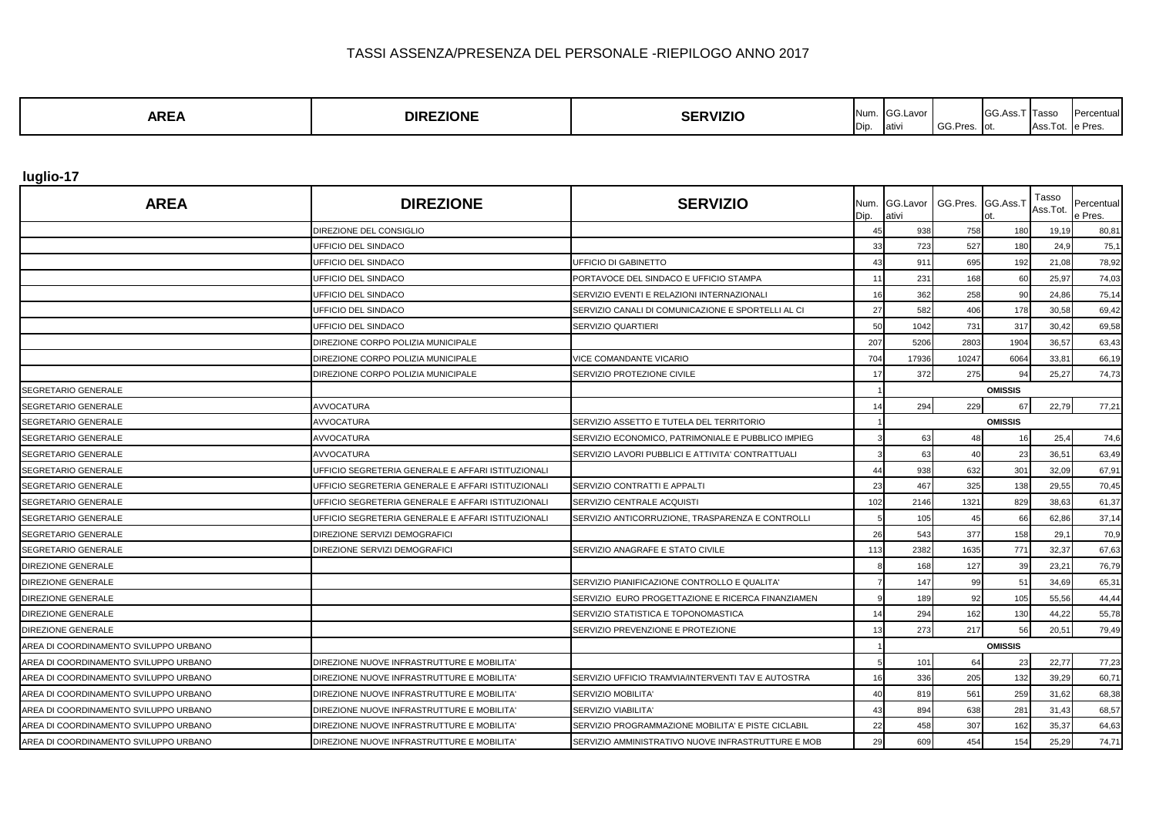| <b>AREA</b><br>DIR'<br><b>ZIONL</b> | <b>SERVIZIC</b> | INI.<br><br><b>IDip</b> | .Lavo<br>.<br>ativi | $\sim$ $\sim$<br>טט '.<br>55.101 | $\sim$ | Tass<br>ASS. I O' | .<br>. шан<br>. |
|-------------------------------------|-----------------|-------------------------|---------------------|----------------------------------|--------|-------------------|-----------------|
|-------------------------------------|-----------------|-------------------------|---------------------|----------------------------------|--------|-------------------|-----------------|

**luglio-17**

| <b>AREA</b>                           | <b>DIREZIONE</b>                                   | <b>SERVIZIO</b>                                    | Num.<br>Dip. | GG.Lavor<br>ativi | GG.Pres. | GG.Ass.T       | Tasso<br>Ass.Tot. | Percentual<br>e Pres. |
|---------------------------------------|----------------------------------------------------|----------------------------------------------------|--------------|-------------------|----------|----------------|-------------------|-----------------------|
|                                       | DIREZIONE DEL CONSIGLIO                            |                                                    | 45           | 938               | 758      | 180            | 19,19             | 80,81                 |
|                                       | UFFICIO DEL SINDACO                                |                                                    | 33           | 723               | 527      | 180            | 24,9              | 75,1                  |
|                                       | UFFICIO DEL SINDACO                                | <b>UFFICIO DI GABINETTO</b>                        | 43           | 911               | 695      | 192            | 21,08             | 78,92                 |
|                                       | UFFICIO DEL SINDACO                                | PORTAVOCE DEL SINDACO E UFFICIO STAMPA             | 11           | 231               | 168      | 60             | 25,97             | 74,03                 |
|                                       | UFFICIO DEL SINDACO                                | SERVIZIO EVENTI E RELAZIONI INTERNAZIONALI         | 16           | 362               | 258      | 90             | 24,86             | 75,14                 |
|                                       | UFFICIO DEL SINDACO                                | SERVIZIO CANALI DI COMUNICAZIONE E SPORTELLI AL CI | 27           | 582               | 406      | 178            | 30,58             | 69,42                 |
|                                       | UFFICIO DEL SINDACO                                | <b>SERVIZIO QUARTIERI</b>                          | 50           | 1042              | 731      | 317            | 30,42             | 69,58                 |
|                                       | DIREZIONE CORPO POLIZIA MUNICIPALE                 |                                                    | 207          | 5206              | 2803     | 1904           | 36,57             | 63,43                 |
|                                       | DIREZIONE CORPO POLIZIA MUNICIPALE                 | VICE COMANDANTE VICARIO                            | 704          | 17936             | 10247    | 6064           | 33,81             | 66,19                 |
|                                       | DIREZIONE CORPO POLIZIA MUNICIPALE                 | SERVIZIO PROTEZIONE CIVILE                         | 17           | 372               | 275      | 94             | 25,27             | 74,73                 |
| SEGRETARIO GENERALE                   |                                                    |                                                    |              |                   |          | <b>OMISSIS</b> |                   |                       |
| <b>SEGRETARIO GENERALE</b>            | <b>AVVOCATURA</b>                                  |                                                    | 14           | 294               | 229      | 67             | 22,79             | 77,21                 |
| SEGRETARIO GENERALE                   | AVVOCATURA                                         | SERVIZIO ASSETTO E TUTELA DEL TERRITORIO           |              |                   |          | <b>OMISSIS</b> |                   |                       |
| SEGRETARIO GENERALE                   | AVVOCATURA                                         | SERVIZIO ECONOMICO, PATRIMONIALE E PUBBLICO IMPIEG |              | 63                |          | 16             | 25,4              | 74,6                  |
| SEGRETARIO GENERALE                   | AVVOCATURA                                         | SERVIZIO LAVORI PUBBLICI E ATTIVITA' CONTRATTUALI  |              | 63                |          | 23             | 36,51             | 63,49                 |
| SEGRETARIO GENERALE                   | UFFICIO SEGRETERIA GENERALE E AFFARI ISTITUZIONALI |                                                    | 44           | 938               | 632      | 301            | 32,09             | 67,91                 |
| SEGRETARIO GENERALE                   | UFFICIO SEGRETERIA GENERALE E AFFARI ISTITUZIONALI | SERVIZIO CONTRATTI E APPALTI                       | 23           | 467               | 325      | 138            | 29,55             | 70,45                 |
| <b>SEGRETARIO GENERALE</b>            | UFFICIO SEGRETERIA GENERALE E AFFARI ISTITUZIONALI | SERVIZIO CENTRALE ACQUISTI                         | 102          | 2146              | 1321     | 829            | 38,63             | 61,37                 |
| SEGRETARIO GENERALE                   | UFFICIO SEGRETERIA GENERALE E AFFARI ISTITUZIONALI | SERVIZIO ANTICORRUZIONE, TRASPARENZA E CONTROLLI   |              | 105               | 45       | 66             | 62,86             | 37,14                 |
| SEGRETARIO GENERALE                   | DIREZIONE SERVIZI DEMOGRAFICI                      |                                                    | 26           | 543               | 377      | 158            | 29,1              | 70,9                  |
| SEGRETARIO GENERALE                   | DIREZIONE SERVIZI DEMOGRAFICI                      | SERVIZIO ANAGRAFE E STATO CIVILE                   | 113          | 2382              | 1635     | 771            | 32,37             | 67,63                 |
| <b>DIREZIONE GENERALE</b>             |                                                    |                                                    |              | 168               | 127      | 39             | 23,21             | 76,79                 |
| <b>DIREZIONE GENERALE</b>             |                                                    | SERVIZIO PIANIFICAZIONE CONTROLLO E QUALITA'       |              | 147               | 99       | 51             | 34,69             | 65,31                 |
| <b>DIREZIONE GENERALE</b>             |                                                    | SERVIZIO EURO PROGETTAZIONE E RICERCA FINANZIAMEN  |              | 189               | 92       | 105            | 55,56             | 44,44                 |
| DIREZIONE GENERALE                    |                                                    | SERVIZIO STATISTICA E TOPONOMASTICA                | 14           | 294               | 162      | 130            | 44,22             | 55,78                 |
| <b>DIREZIONE GENERALE</b>             |                                                    | SERVIZIO PREVENZIONE E PROTEZIONE                  | 13           | 273               | 217      | 56             | 20,51             | 79,49                 |
| AREA DI COORDINAMENTO SVILUPPO URBANO |                                                    |                                                    |              |                   |          | <b>OMISSIS</b> |                   |                       |
| AREA DI COORDINAMENTO SVILUPPO URBANO | DIREZIONE NUOVE INFRASTRUTTURE E MOBILITA'         |                                                    |              | 101               | 64       | 23             | 22,77             | 77,23                 |
| AREA DI COORDINAMENTO SVILUPPO URBANO | DIREZIONE NUOVE INFRASTRUTTURE E MOBILITA'         | SERVIZIO UFFICIO TRAMVIA/INTERVENTI TAV E AUTOSTRA | 16           | 336               | 205      | 132            | 39,29             | 60,71                 |
| AREA DI COORDINAMENTO SVILUPPO URBANO | DIREZIONE NUOVE INFRASTRUTTURE E MOBILITA'         | SERVIZIO MOBILITA'                                 | 40           | 819               | 561      | 259            | 31,62             | 68,38                 |
| AREA DI COORDINAMENTO SVILUPPO URBANO | DIREZIONE NUOVE INFRASTRUTTURE E MOBILITA'         | SERVIZIO VIABILITA'                                | 43           | 894               | 638      | 281            | 31,43             | 68,57                 |
| AREA DI COORDINAMENTO SVILUPPO URBANO | DIREZIONE NUOVE INFRASTRUTTURE E MOBILITA'         | SERVIZIO PROGRAMMAZIONE MOBILITA' E PISTE CICLABIL | 22           | 458               | 307      | 162            | 35,37             | 64,63                 |
| AREA DI COORDINAMENTO SVILUPPO URBANO | DIREZIONE NUOVE INFRASTRUTTURE E MOBILITA'         | SERVIZIO AMMINISTRATIVO NUOVE INFRASTRUTTURE E MOB | 29           | 609               | 454      | 154            | 25,29             | 74,71                 |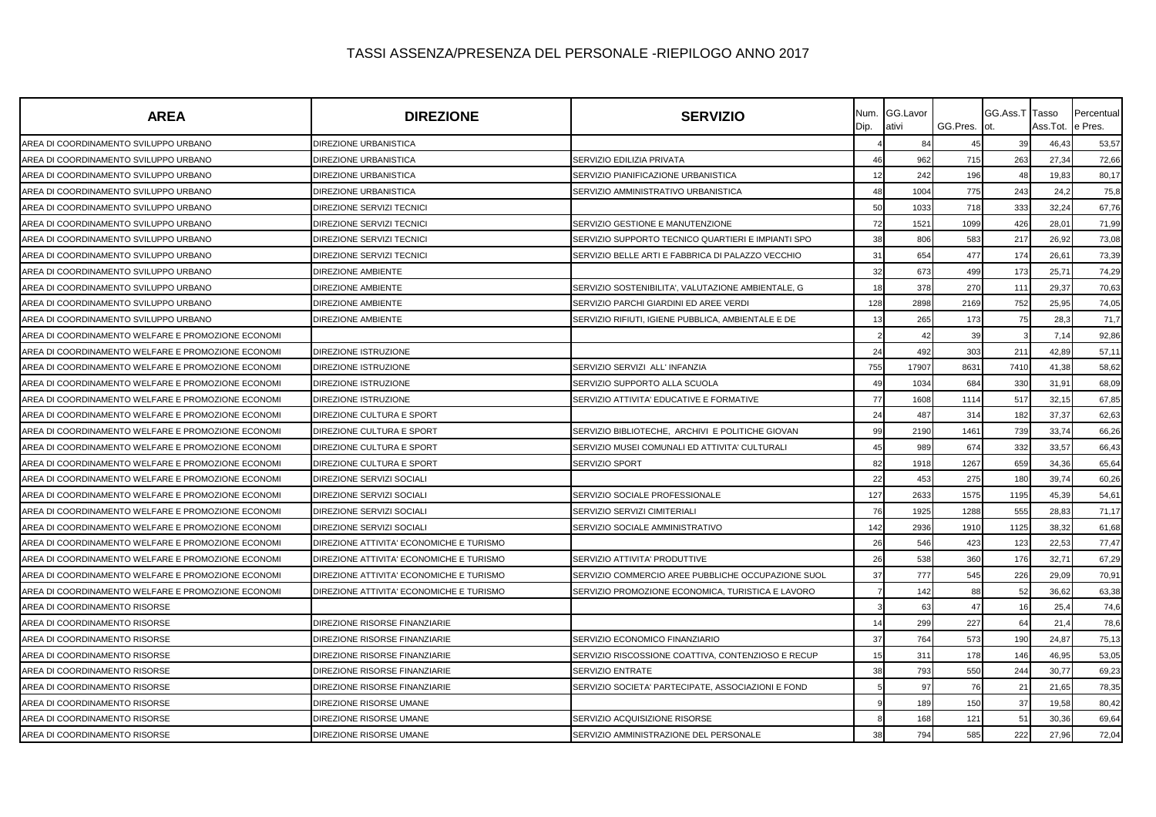| <b>AREA</b>                                        | <b>DIREZIONE</b>                         | <b>SERVIZIO</b>                                    | Num.<br>Dip. | GG.Lavor<br>ativi | GG.Pres. | GG.Ass.T Tasso<br>lot. | Ass.Tot | Percentual<br>e Pres. |
|----------------------------------------------------|------------------------------------------|----------------------------------------------------|--------------|-------------------|----------|------------------------|---------|-----------------------|
| AREA DI COORDINAMENTO SVILUPPO URBANO              | DIREZIONE URBANISTICA                    |                                                    |              | 84                |          |                        | 46,43   | 53,57                 |
| AREA DI COORDINAMENTO SVILUPPO URBANO              | DIREZIONE URBANISTICA                    | SERVIZIO EDILIZIA PRIVATA                          | 46           | 962               | 715      | 263                    | 27,34   | 72,66                 |
| AREA DI COORDINAMENTO SVILUPPO URBANO              | DIREZIONE URBANISTICA                    | SERVIZIO PIANIFICAZIONE URBANISTICA                | 12           | 242               | 196      | 48                     | 19,83   | 80,17                 |
| AREA DI COORDINAMENTO SVILUPPO URBANO              | DIREZIONE URBANISTICA                    | SERVIZIO AMMINISTRATIVO URBANISTICA                | 48           | 1004              | 775      | 243                    | 24,2    | 75,8                  |
| AREA DI COORDINAMENTO SVILUPPO URBANO              | DIREZIONE SERVIZI TECNICI                |                                                    | 50           | 1033              | 718      | 333                    | 32,24   | 67,76                 |
| AREA DI COORDINAMENTO SVILUPPO URBANO              | DIREZIONE SERVIZI TECNICI                | SERVIZIO GESTIONE E MANUTENZIONE                   | 72           | 1521              | 1099     | 426                    | 28,01   | 71,99                 |
| AREA DI COORDINAMENTO SVILUPPO URBANO              | DIREZIONE SERVIZI TECNICI                | SERVIZIO SUPPORTO TECNICO QUARTIERI E IMPIANTI SPO | 38           | 806               | 583      | 217                    | 26,92   | 73,08                 |
| AREA DI COORDINAMENTO SVILUPPO URBANO              | DIREZIONE SERVIZI TECNICI                | SERVIZIO BELLE ARTI E FABBRICA DI PALAZZO VECCHIO  | 31           | 654               | 477      | 174                    | 26,61   | 73,39                 |
| AREA DI COORDINAMENTO SVILUPPO URBANO              | DIREZIONE AMBIENTE                       |                                                    | 32           | 673               | 499      | 173                    | 25.7'   | 74,29                 |
| AREA DI COORDINAMENTO SVILUPPO URBANO              | DIREZIONE AMBIENTE                       | SERVIZIO SOSTENIBILITA', VALUTAZIONE AMBIENTALE, G | 18           | 378               | 270      | 111                    | 29,37   | 70,63                 |
| AREA DI COORDINAMENTO SVILUPPO URBANO              | DIREZIONE AMBIENTE                       | SERVIZIO PARCHI GIARDINI ED AREE VERDI             | 128          | 2898              | 2169     | 752                    | 25,95   | 74,05                 |
| AREA DI COORDINAMENTO SVILUPPO URBANO              | DIREZIONE AMBIENTE                       | SERVIZIO RIFIUTI, IGIENE PUBBLICA, AMBIENTALE E DE | 13           | 265               | 173      | 75                     | 28,3    | 71,7                  |
| AREA DI COORDINAMENTO WELFARE E PROMOZIONE ECONOMI |                                          |                                                    |              | 42                | 39       |                        | 7,14    | 92,86                 |
| AREA DI COORDINAMENTO WELFARE E PROMOZIONE ECONOMI | DIREZIONE ISTRUZIONE                     |                                                    | 24           | 492               | 303      | 211                    | 42,89   | 57,11                 |
| AREA DI COORDINAMENTO WELFARE E PROMOZIONE ECONOMI | DIREZIONE ISTRUZIONE                     | SERVIZIO SERVIZI ALL' INFANZIA                     | 755          | 17907             | 8631     | 7410                   | 41,38   | 58,62                 |
| AREA DI COORDINAMENTO WELFARE E PROMOZIONE ECONOMI | DIREZIONE ISTRUZIONE                     | SERVIZIO SUPPORTO ALLA SCUOLA                      | 49           | 1034              | 684      | 330                    | 31,91   | 68,09                 |
| AREA DI COORDINAMENTO WELFARE E PROMOZIONE ECONOMI | DIREZIONE ISTRUZIONE                     | SERVIZIO ATTIVITA' EDUCATIVE E FORMATIVE           | 77           | 1608              | 1114     | 517                    | 32,15   | 67,85                 |
| AREA DI COORDINAMENTO WELFARE E PROMOZIONE ECONOMI | DIREZIONE CULTURA E SPORT                |                                                    | 24           | 487               | 314      | 182                    | 37,37   | 62,63                 |
| AREA DI COORDINAMENTO WELFARE E PROMOZIONE ECONOMI | DIREZIONE CULTURA E SPORT                | SERVIZIO BIBLIOTECHE, ARCHIVI E POLITICHE GIOVAN   | 99           | 2190              | 1461     | 739                    | 33,74   | 66,26                 |
| AREA DI COORDINAMENTO WELFARE E PROMOZIONE ECONOMI | DIREZIONE CULTURA E SPORT                | SERVIZIO MUSEI COMUNALI ED ATTIVITA' CULTURALI     | 45           | 989               | 674      | 332                    | 33,57   | 66,43                 |
| AREA DI COORDINAMENTO WELFARE E PROMOZIONE ECONOMI | DIREZIONE CULTURA E SPORT                | SERVIZIO SPORT                                     | 82           | 1918              | 1267     | 659                    | 34,36   | 65,64                 |
| AREA DI COORDINAMENTO WELFARE E PROMOZIONE ECONOMI | DIREZIONE SERVIZI SOCIALI                |                                                    | 22           | 453               | 275      | 180                    | 39,74   | 60,26                 |
| AREA DI COORDINAMENTO WELFARE E PROMOZIONE ECONOMI | DIREZIONE SERVIZI SOCIALI                | SERVIZIO SOCIALE PROFESSIONALE                     | 127          | 2633              | 1575     | 1195                   | 45,39   | 54,61                 |
| AREA DI COORDINAMENTO WELFARE E PROMOZIONE ECONOMI | DIREZIONE SERVIZI SOCIALI                | SERVIZIO SERVIZI CIMITERIALI                       | 76           | 1925              | 1288     | 555                    | 28,83   | 71,17                 |
| AREA DI COORDINAMENTO WELFARE E PROMOZIONE ECONOMI | DIREZIONE SERVIZI SOCIALI                | SERVIZIO SOCIALE AMMINISTRATIVO                    | 142          | 2936              | 1910     | 1125                   | 38,32   | 61,68                 |
| AREA DI COORDINAMENTO WELFARE E PROMOZIONE ECONOMI | DIREZIONE ATTIVITA' ECONOMICHE E TURISMO |                                                    | 26           | 546               | 423      | 123                    | 22,53   | 77,47                 |
| AREA DI COORDINAMENTO WELFARE E PROMOZIONE ECONOMI | DIREZIONE ATTIVITA' ECONOMICHE E TURISMO | SERVIZIO ATTIVITA' PRODUTTIVE                      | 26           | 538               | 360      | 176                    | 32,71   | 67,29                 |
| AREA DI COORDINAMENTO WELFARE E PROMOZIONE ECONOMI | DIREZIONE ATTIVITA' ECONOMICHE E TURISMO | SERVIZIO COMMERCIO AREE PUBBLICHE OCCUPAZIONE SUOL | 37           | 777               | 545      | 226                    | 29,09   | 70,91                 |
| AREA DI COORDINAMENTO WELFARE E PROMOZIONE ECONOMI | DIREZIONE ATTIVITA' ECONOMICHE E TURISMO | SERVIZIO PROMOZIONE ECONOMICA, TURISTICA E LAVORO  |              | 142               | 88       | 52                     | 36,62   | 63,38                 |
| AREA DI COORDINAMENTO RISORSE                      |                                          |                                                    |              | 63                | 47       | 16                     | 25,4    | 74,6                  |
| AREA DI COORDINAMENTO RISORSE                      | DIREZIONE RISORSE FINANZIARIE            |                                                    | 14           | 299               | 227      | 64                     | 21,4    | 78,6                  |
| AREA DI COORDINAMENTO RISORSE                      | DIREZIONE RISORSE FINANZIARIE            | SERVIZIO ECONOMICO FINANZIARIO                     | 37           | 764               | 573      | 190                    | 24,87   | 75,13                 |
| AREA DI COORDINAMENTO RISORSE                      | DIREZIONE RISORSE FINANZIARIE            | SERVIZIO RISCOSSIONE COATTIVA, CONTENZIOSO E RECUP | 15           | 311               | 178      | 146                    | 46,95   | 53,05                 |
| AREA DI COORDINAMENTO RISORSE                      | DIREZIONE RISORSE FINANZIARIE            | <b>SERVIZIO ENTRATE</b>                            | 38           | 793               | 550      | 244                    | 30,77   | 69,23                 |
| AREA DI COORDINAMENTO RISORSE                      | DIREZIONE RISORSE FINANZIARIE            | SERVIZIO SOCIETA' PARTECIPATE, ASSOCIAZIONI E FOND |              | 97                | 76       | 21                     | 21,65   | 78,35                 |
| AREA DI COORDINAMENTO RISORSE                      | DIREZIONE RISORSE UMANE                  |                                                    |              | 189               | 150      | 37                     | 19,58   | 80,42                 |
| AREA DI COORDINAMENTO RISORSE                      | DIREZIONE RISORSE UMANE                  | SERVIZIO ACQUISIZIONE RISORSE                      |              | 168               | 121      | 51                     | 30,36   | 69,64                 |
| AREA DI COORDINAMENTO RISORSE                      | DIREZIONE RISORSE UMANE                  | SERVIZIO AMMINISTRAZIONE DEL PERSONALE             | 38           | 794               | 585      | 222                    | 27,96   | 72,04                 |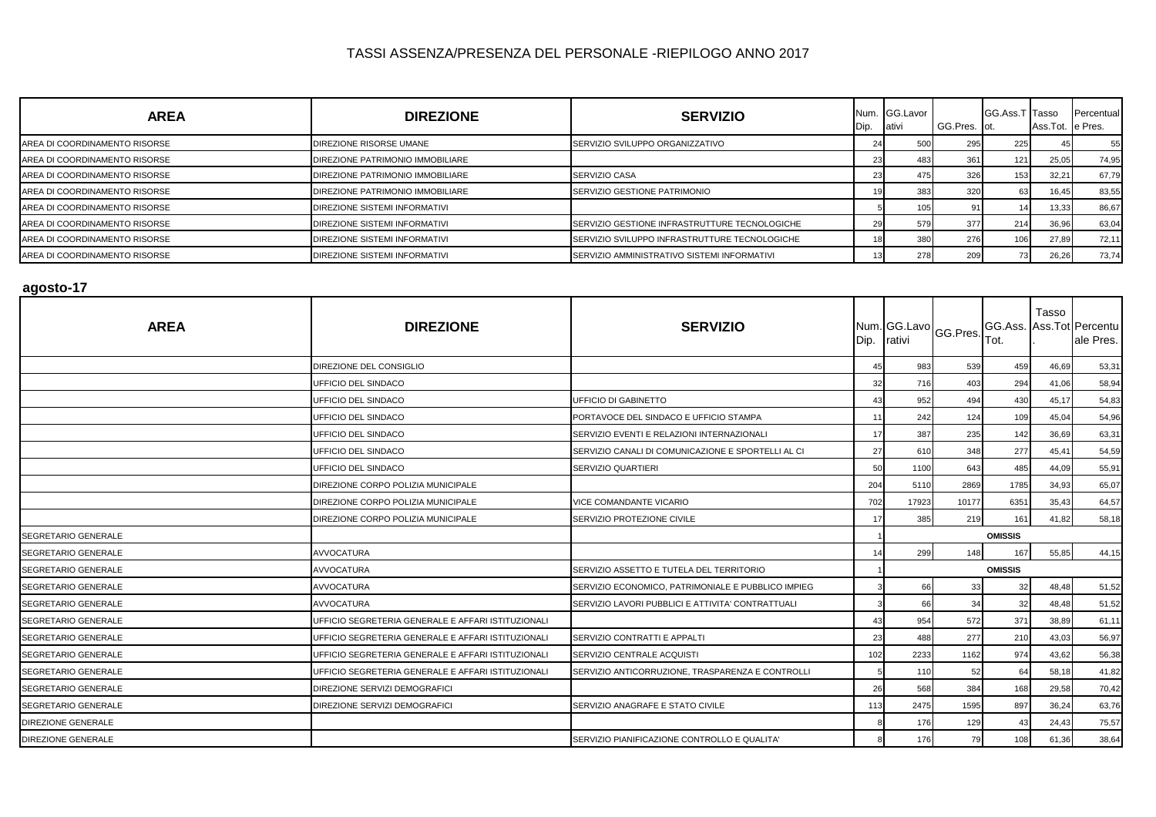| <b>AREA</b>                   | <b>DIREZIONE</b>                     | <b>SERVIZIO</b>                               | Dip. | Num. GG.Lavor<br>lativi | GG.Pres. ot. | <b>GG.Ass.T Tasso</b> | Ass.Tot. e Pres. | Percentual |
|-------------------------------|--------------------------------------|-----------------------------------------------|------|-------------------------|--------------|-----------------------|------------------|------------|
| AREA DI COORDINAMENTO RISORSE | DIREZIONE RISORSE UMANE              | SERVIZIO SVILUPPO ORGANIZZATIVO               |      |                         | 295          | 225                   |                  | 55         |
| AREA DI COORDINAMENTO RISORSE | DIREZIONE PATRIMONIO IMMOBILIARE     |                                               |      | 483                     | 361          | 121                   | 25,05            | 74,95      |
| AREA DI COORDINAMENTO RISORSE | DIREZIONE PATRIMONIO IMMOBILIARE     | SERVIZIO CASA                                 |      |                         | 326          | 153                   | 32,21            | 67,79      |
| AREA DI COORDINAMENTO RISORSE | DIREZIONE PATRIMONIO IMMOBILIARE     | SERVIZIO GESTIONE PATRIMONIO                  |      | 383                     | 320          | 63                    | 16,45            | 83,55      |
| AREA DI COORDINAMENTO RISORSE | <b>DIREZIONE SISTEMI INFORMATIVI</b> |                                               |      | 105                     |              |                       | 13,33            | 86,67      |
| AREA DI COORDINAMENTO RISORSE | DIREZIONE SISTEMI INFORMATIVI        | SERVIZIO GESTIONE INFRASTRUTTURE TECNOLOGICHE |      | 579                     | 377          | 214                   | 36,96            | 63,04      |
| AREA DI COORDINAMENTO RISORSE | DIREZIONE SISTEMI INFORMATIVI        | SERVIZIO SVILUPPO INFRASTRUTTURE TECNOLOGICHE |      | 380                     | 276          | 106                   | 27,89            | 72,11      |
| AREA DI COORDINAMENTO RISORSE | <b>DIREZIONE SISTEMI INFORMATIVI</b> | SERVIZIO AMMINISTRATIVO SISTEMI INFORMATIVI   |      | 278                     | 209          | 73                    | 26,26            | 73,74      |

### **agosto-17**

| <b>AREA</b>               | <b>DIREZIONE</b>                                   | <b>SERVIZIO</b>                                    | Dip. | Num. GG.Lavo GG.Pres.I<br>rativi |       | Tot.           | Tasso | GG.Ass. Ass.Tot Percentu<br>ale Pres. |
|---------------------------|----------------------------------------------------|----------------------------------------------------|------|----------------------------------|-------|----------------|-------|---------------------------------------|
|                           | DIREZIONE DEL CONSIGLIO                            |                                                    |      | 983                              | 539   | 459            | 46,69 | 53,31                                 |
|                           | UFFICIO DEL SINDACO                                |                                                    | 32   | 716                              | 403   | 294            | 41,06 | 58,94                                 |
|                           | UFFICIO DEL SINDACO                                | UFFICIO DI GABINETTO                               | 43   | 952                              | 494   | 430            | 45,17 | 54,83                                 |
|                           | UFFICIO DEL SINDACO                                | PORTAVOCE DEL SINDACO E UFFICIO STAMPA             | 11   | 242                              | 124   | 109            | 45,04 | 54,96                                 |
|                           | UFFICIO DEL SINDACO                                | SERVIZIO EVENTI E RELAZIONI INTERNAZIONALI         | 17   | 387                              | 235   | 142            | 36,69 | 63,31                                 |
|                           | UFFICIO DEL SINDACO                                | SERVIZIO CANALI DI COMUNICAZIONE E SPORTELLI AL CI | 27   | 610                              | 348   | 277            | 45,41 | 54,59                                 |
|                           | UFFICIO DEL SINDACO                                | SERVIZIO QUARTIERI                                 | 50   | 1100                             | 643   | 485            | 44,09 | 55,91                                 |
|                           | DIREZIONE CORPO POLIZIA MUNICIPALE                 |                                                    | 204  | 5110                             | 2869  | 1785           | 34,93 | 65,07                                 |
|                           | DIREZIONE CORPO POLIZIA MUNICIPALE                 | VICE COMANDANTE VICARIO                            | 702  | 17923                            | 10177 | 6351           | 35,43 | 64,57                                 |
|                           | DIREZIONE CORPO POLIZIA MUNICIPALE                 | SERVIZIO PROTEZIONE CIVILE                         | 17   | 385                              | 219   | 161            | 41,82 | 58,18                                 |
| SEGRETARIO GENERALE       |                                                    |                                                    |      |                                  |       | <b>OMISSIS</b> |       |                                       |
| SEGRETARIO GENERALE       | <b>AVVOCATURA</b>                                  |                                                    | 14   | 299                              | 148   | 167            | 55,85 | 44,15                                 |
| SEGRETARIO GENERALE       | <b>AVVOCATURA</b>                                  | SERVIZIO ASSETTO E TUTELA DEL TERRITORIO           |      |                                  |       | <b>OMISSIS</b> |       |                                       |
| SEGRETARIO GENERALE       | <b>AVVOCATURA</b>                                  | SERVIZIO ECONOMICO, PATRIMONIALE E PUBBLICO IMPIEG |      | 66                               | 33    | 32             | 48,48 | 51,52                                 |
| SEGRETARIO GENERALE       | <b>AVVOCATURA</b>                                  | SERVIZIO LAVORI PUBBLICI E ATTIVITA' CONTRATTUALI  |      | 66                               | 34    | 32             | 48,48 | 51,52                                 |
| SEGRETARIO GENERALE       | UFFICIO SEGRETERIA GENERALE E AFFARI ISTITUZIONALI |                                                    | 43   | 954                              | 572   | 371            | 38,89 | 61,11                                 |
| SEGRETARIO GENERALE       | UFFICIO SEGRETERIA GENERALE E AFFARI ISTITUZIONALI | SERVIZIO CONTRATTI E APPALTI                       | 23   | 488                              | 277   | 210            | 43,03 | 56,97                                 |
| SEGRETARIO GENERALE       | UFFICIO SEGRETERIA GENERALE E AFFARI ISTITUZIONALI | SERVIZIO CENTRALE ACQUISTI                         | 102  | 2233                             | 1162  | 974            | 43,62 | 56,38                                 |
| SEGRETARIO GENERALE       | UFFICIO SEGRETERIA GENERALE E AFFARI ISTITUZIONALI | SERVIZIO ANTICORRUZIONE, TRASPARENZA E CONTROLLI   |      | 110                              | 52    | 64             | 58,18 | 41,82                                 |
| SEGRETARIO GENERALE       | DIREZIONE SERVIZI DEMOGRAFICI                      |                                                    | 26   | 568                              | 384   | 168            | 29,58 | 70,42                                 |
| SEGRETARIO GENERALE       | DIREZIONE SERVIZI DEMOGRAFICI                      | SERVIZIO ANAGRAFE E STATO CIVILE                   | 113  | 2475                             | 1595  | 897            | 36,24 | 63,76                                 |
| DIREZIONE GENERALE        |                                                    |                                                    |      | 176                              | 129   |                | 24,43 | 75,57                                 |
| <b>DIREZIONE GENERALE</b> |                                                    | SERVIZIO PIANIFICAZIONE CONTROLLO E QUALITA'       |      | 176                              | 79    | 108            | 61,36 | 38,64                                 |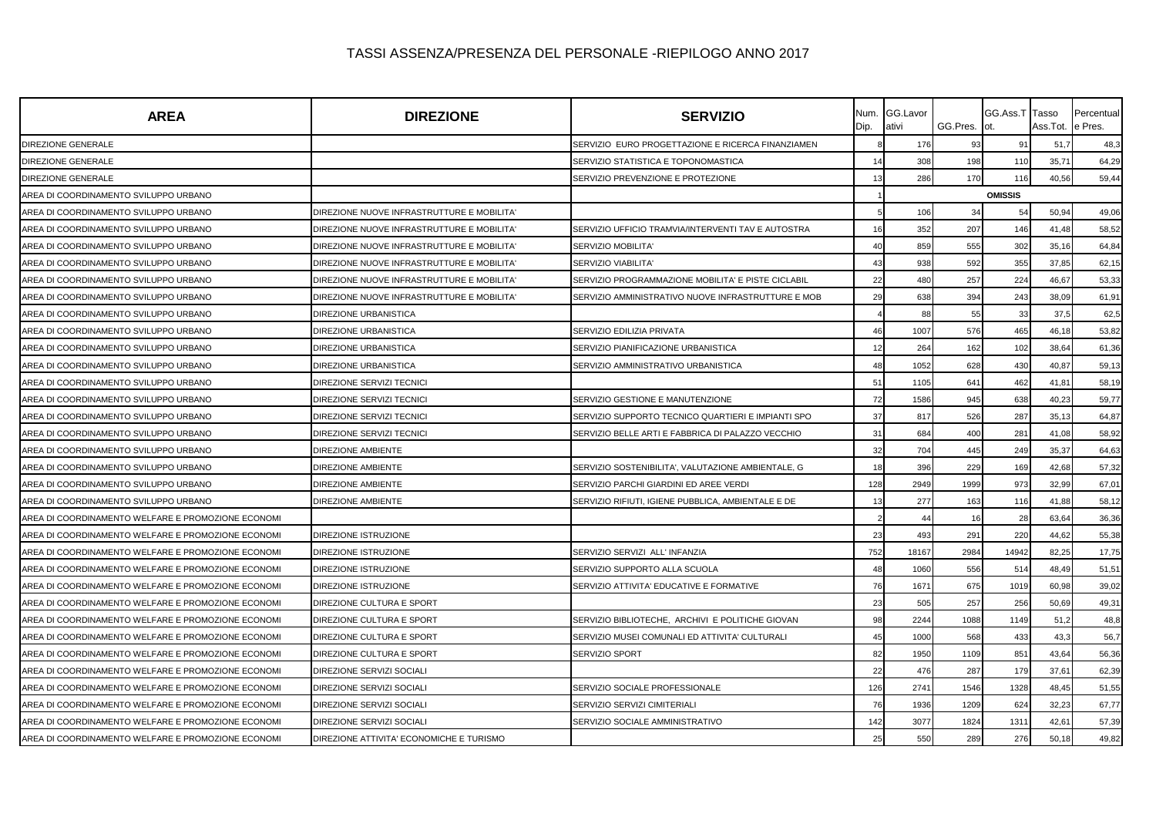| <b>AREA</b>                                        | <b>DIREZIONE</b>                           | <b>SERVIZIO</b>                                    | Num.<br>Dip. | GG.Lavor<br>ativi | GG.Pres. | GG.Ass.T Tasso<br>lot. | Ass.Tot. | Percentual<br>e Pres. |
|----------------------------------------------------|--------------------------------------------|----------------------------------------------------|--------------|-------------------|----------|------------------------|----------|-----------------------|
| DIREZIONE GENERALE                                 |                                            | SERVIZIO EURO PROGETTAZIONE E RICERCA FINANZIAMEN  |              | 176               | 93       | 91                     | 51,      | 48,3                  |
| DIREZIONE GENERALE                                 |                                            | SERVIZIO STATISTICA E TOPONOMASTICA                | 14           | 308               | 198      | 110                    | 35,71    | 64,29                 |
| <b>DIREZIONE GENERALE</b>                          |                                            | SERVIZIO PREVENZIONE E PROTEZIONE                  | 13           | 286               | 170      | 116                    | 40,56    | 59,44                 |
| AREA DI COORDINAMENTO SVILUPPO URBANO              |                                            |                                                    |              |                   |          | <b>OMISSIS</b>         |          |                       |
| AREA DI COORDINAMENTO SVILUPPO URBANO              | DIREZIONE NUOVE INFRASTRUTTURE E MOBILITA' |                                                    |              | 106               | 34       | 54                     | 50,94    | 49,06                 |
| AREA DI COORDINAMENTO SVILUPPO URBANO              | DIREZIONE NUOVE INFRASTRUTTURE E MOBILITA' | SERVIZIO UFFICIO TRAMVIA/INTERVENTI TAV E AUTOSTRA | 16           | 352               | 207      | 146                    | 41,48    | 58,52                 |
| AREA DI COORDINAMENTO SVILUPPO URBANO              | DIREZIONE NUOVE INFRASTRUTTURE E MOBILITA' | SERVIZIO MOBILITA'                                 | 40           | 859               | 555      | 302                    | 35,16    | 64,84                 |
| AREA DI COORDINAMENTO SVILUPPO URBANO              | DIREZIONE NUOVE INFRASTRUTTURE E MOBILITA' | SERVIZIO VIABILITA'                                | 43           | 938               | 592      | 355                    | 37,85    | 62,15                 |
| AREA DI COORDINAMENTO SVILUPPO URBANO              | DIREZIONE NUOVE INFRASTRUTTURE E MOBILITA' | SERVIZIO PROGRAMMAZIONE MOBILITA' E PISTE CICLABIL | 22           | 480               | 257      | 224                    | 46,67    | 53,33                 |
| AREA DI COORDINAMENTO SVILUPPO URBANO              | DIREZIONE NUOVE INFRASTRUTTURE E MOBILITA' | SERVIZIO AMMINISTRATIVO NUOVE INFRASTRUTTURE E MOB | 29           | 638               | 394      | 243                    | 38,09    | 61,91                 |
| AREA DI COORDINAMENTO SVILUPPO URBANO              | DIREZIONE URBANISTICA                      |                                                    |              | 88                | 55       | 33                     | 37,5     | 62,5                  |
| AREA DI COORDINAMENTO SVILUPPO URBANO              | DIREZIONE URBANISTICA                      | SERVIZIO EDILIZIA PRIVATA                          | 46           | 1007              | 576      | 465                    | 46,18    | 53,82                 |
| AREA DI COORDINAMENTO SVILUPPO URBANO              | DIREZIONE URBANISTICA                      | SERVIZIO PIANIFICAZIONE URBANISTICA                | 12           | 264               | 162      | 102                    | 38,64    | 61,36                 |
| AREA DI COORDINAMENTO SVILUPPO URBANO              | DIREZIONE URBANISTICA                      | SERVIZIO AMMINISTRATIVO URBANISTICA                | 48           | 1052              | 628      | 430                    | 40,87    | 59,13                 |
| AREA DI COORDINAMENTO SVILUPPO URBANO              | <b>DIREZIONE SERVIZI TECNICI</b>           |                                                    | 51           | 1105              | 641      | 462                    | 41,81    | 58,19                 |
| AREA DI COORDINAMENTO SVILUPPO URBANO              | DIREZIONE SERVIZI TECNICI                  | SERVIZIO GESTIONE E MANUTENZIONE                   | 72           | 1586              | 945      | 638                    | 40,23    | 59,77                 |
| AREA DI COORDINAMENTO SVILUPPO URBANO              | DIREZIONE SERVIZI TECNICI                  | SERVIZIO SUPPORTO TECNICO QUARTIERI E IMPIANTI SPO | 37           | 817               | 526      | 287                    | 35,13    | 64,87                 |
| AREA DI COORDINAMENTO SVILUPPO URBANO              | DIREZIONE SERVIZI TECNICI                  | SERVIZIO BELLE ARTI E FABBRICA DI PALAZZO VECCHIO  | 31           | 684               | 400      | 281                    | 41,08    | 58,92                 |
| AREA DI COORDINAMENTO SVILUPPO URBANO              | <b>DIREZIONE AMBIENTE</b>                  |                                                    | 32           | 704               | 445      | 249                    | 35,37    | 64,63                 |
| AREA DI COORDINAMENTO SVILUPPO URBANO              | <b>DIREZIONE AMBIENTE</b>                  | SERVIZIO SOSTENIBILITA', VALUTAZIONE AMBIENTALE, G | 18           | 396               | 229      | 169                    | 42,68    | 57,32                 |
| AREA DI COORDINAMENTO SVILUPPO URBANO              | <b>DIREZIONE AMBIENTE</b>                  | SERVIZIO PARCHI GIARDINI ED AREE VERDI             | 128          | 2949              | 1999     | 973                    | 32,99    | 67,01                 |
| AREA DI COORDINAMENTO SVILUPPO URBANO              | <b>DIREZIONE AMBIENTE</b>                  | SERVIZIO RIFIUTI, IGIENE PUBBLICA, AMBIENTALE E DE | 13           | 277               | 163      | 116                    | 41,88    | 58,12                 |
| AREA DI COORDINAMENTO WELFARE E PROMOZIONE ECONOMI |                                            |                                                    |              | 44                | 16       | 28                     | 63,64    | 36,36                 |
| AREA DI COORDINAMENTO WELFARE E PROMOZIONE ECONOMI | DIREZIONE ISTRUZIONE                       |                                                    | 23           | 493               | 291      | 220                    | 44,62    | 55,38                 |
| AREA DI COORDINAMENTO WELFARE E PROMOZIONE ECONOMI | DIREZIONE ISTRUZIONE                       | SERVIZIO SERVIZI ALL'INFANZIA                      | 752          | 18167             | 2984     | 14942                  | 82,25    | 17,75                 |
| AREA DI COORDINAMENTO WELFARE E PROMOZIONE ECONOMI | DIREZIONE ISTRUZIONE                       | SERVIZIO SUPPORTO ALLA SCUOLA                      | 48           | 1060              | 556      | 514                    | 48,49    | 51,51                 |
| AREA DI COORDINAMENTO WELFARE E PROMOZIONE ECONOMI | DIREZIONE ISTRUZIONE                       | SERVIZIO ATTIVITA' EDUCATIVE E FORMATIVE           | 76           | 1671              | 675      | 1019                   | 60,98    | 39,02                 |
| AREA DI COORDINAMENTO WELFARE E PROMOZIONE ECONOMI | DIREZIONE CULTURA E SPORT                  |                                                    | 23           | 505               | 257      | 256                    | 50,69    | 49,31                 |
| AREA DI COORDINAMENTO WELFARE E PROMOZIONE ECONOMI | DIREZIONE CULTURA E SPORT                  | SERVIZIO BIBLIOTECHE, ARCHIVI E POLITICHE GIOVAN   | 98           | 2244              | 1088     | 1149                   | 51,2     | 48,8                  |
| AREA DI COORDINAMENTO WELFARE E PROMOZIONE ECONOMI | DIREZIONE CULTURA E SPORT                  | SERVIZIO MUSEI COMUNALI ED ATTIVITA' CULTURALI     | 45           | 1000              | 568      | 433                    | 43,3     | 56,7                  |
| AREA DI COORDINAMENTO WELFARE E PROMOZIONE ECONOMI | DIREZIONE CULTURA E SPORT                  | SERVIZIO SPORT                                     | 82           | 1950              | 1109     | 851                    | 43,64    | 56,36                 |
| AREA DI COORDINAMENTO WELFARE E PROMOZIONE ECONOMI | DIREZIONE SERVIZI SOCIALI                  |                                                    | 22           | 476               | 287      | 179                    | 37,61    | 62,39                 |
| AREA DI COORDINAMENTO WELFARE E PROMOZIONE ECONOMI | DIREZIONE SERVIZI SOCIALI                  | SERVIZIO SOCIALE PROFESSIONALE                     | 126          | 2741              | 1546     | 1328                   | 48,45    | 51,55                 |
| AREA DI COORDINAMENTO WELFARE E PROMOZIONE ECONOMI | DIREZIONE SERVIZI SOCIALI                  | SERVIZIO SERVIZI CIMITERIALI                       | 76           | 1936              | 1209     | 624                    | 32,23    | 67,77                 |
| AREA DI COORDINAMENTO WELFARE E PROMOZIONE ECONOMI | DIREZIONE SERVIZI SOCIALI                  | SERVIZIO SOCIALE AMMINISTRATIVO                    | 142          | 3077              | 1824     | 131'                   | 42,6'    | 57,39                 |
| AREA DI COORDINAMENTO WELFARE E PROMOZIONE ECONOMI | DIREZIONE ATTIVITA' ECONOMICHE E TURISMO   |                                                    | 25           | 550               | 289      | 276                    | 50,18    | 49,82                 |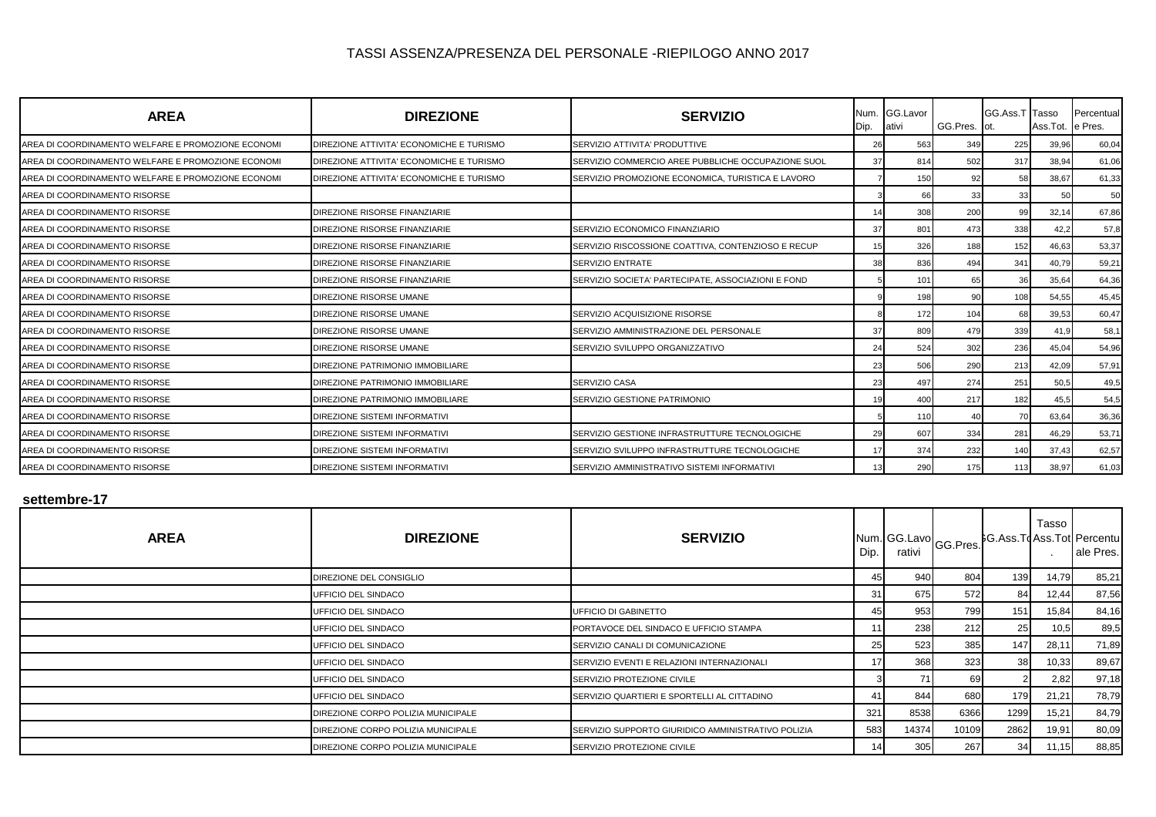| <b>AREA</b>                                        | <b>DIREZIONE</b>                         | <b>SERVIZIO</b>                                    | Dip. | Num. GG.Lavor<br>ativi | GG.Pres. | GG.Ass.T Tasso | Ass.Tot. | Percentual<br>e Pres. |
|----------------------------------------------------|------------------------------------------|----------------------------------------------------|------|------------------------|----------|----------------|----------|-----------------------|
| AREA DI COORDINAMENTO WELFARE E PROMOZIONE ECONOMI | DIREZIONE ATTIVITA' ECONOMICHE E TURISMO | SERVIZIO ATTIVITA' PRODUTTIVE                      | 26   | 563                    | 349      | 225            | 39,96    | 60,04                 |
| AREA DI COORDINAMENTO WELFARE E PROMOZIONE ECONOMI | DIREZIONE ATTIVITA' ECONOMICHE E TURISMO | SERVIZIO COMMERCIO AREE PUBBLICHE OCCUPAZIONE SUOL | 37   | 814                    | 502      | 317            | 38,94    | 61,06                 |
| AREA DI COORDINAMENTO WELFARE E PROMOZIONE ECONOMI | DIREZIONE ATTIVITA' ECONOMICHE E TURISMO | SERVIZIO PROMOZIONE ECONOMICA, TURISTICA E LAVORO  |      | 150                    | 92       | 58             | 38,67    | 61,33                 |
| AREA DI COORDINAMENTO RISORSE                      |                                          |                                                    |      | 66                     | 33       | 33             | 50       | 50                    |
| AREA DI COORDINAMENTO RISORSE                      | DIREZIONE RISORSE FINANZIARIE            |                                                    | 14   | 308                    | 200      | 99             | 32,14    | 67,86                 |
| AREA DI COORDINAMENTO RISORSE                      | DIREZIONE RISORSE FINANZIARIE            | SERVIZIO ECONOMICO FINANZIARIO                     | 37   | 801                    | 473      | 338            | 42.2     | 57,8                  |
| AREA DI COORDINAMENTO RISORSE                      | DIREZIONE RISORSE FINANZIARIE            | SERVIZIO RISCOSSIONE COATTIVA, CONTENZIOSO E RECUP | 15   | 326                    | 188      | 152            | 46,63    | 53,37                 |
| AREA DI COORDINAMENTO RISORSE                      | DIREZIONE RISORSE FINANZIARIE            | <b>SERVIZIO ENTRATE</b>                            | 38   | 836                    | 494      | 341            | 40,79    | 59,21                 |
| AREA DI COORDINAMENTO RISORSE                      | DIREZIONE RISORSE FINANZIARIE            | SERVIZIO SOCIETA' PARTECIPATE, ASSOCIAZIONI E FOND |      | 101                    | 65       | 36             | 35,64    | 64,36                 |
| AREA DI COORDINAMENTO RISORSE                      | DIREZIONE RISORSE UMANE                  |                                                    |      | 198                    | 90       | 108            | 54,55    | 45,45                 |
| AREA DI COORDINAMENTO RISORSE                      | DIREZIONE RISORSE UMANE                  | SERVIZIO ACQUISIZIONE RISORSE                      |      | 172                    | 104      | 68             | 39,53    | 60,47                 |
| AREA DI COORDINAMENTO RISORSE                      | DIREZIONE RISORSE UMANE                  | SERVIZIO AMMINISTRAZIONE DEL PERSONALE             | 37   | 809                    | 479      | 339            | 41,9     | 58,1                  |
| AREA DI COORDINAMENTO RISORSE                      | DIREZIONE RISORSE UMANE                  | SERVIZIO SVILUPPO ORGANIZZATIVO                    | 24   | 524                    | 302      | 236            | 45,04    | 54,96                 |
| AREA DI COORDINAMENTO RISORSE                      | DIREZIONE PATRIMONIO IMMOBILIARE         |                                                    | 23   | 506                    | 290      | 213            | 42,09    | 57,91                 |
| AREA DI COORDINAMENTO RISORSE                      | DIREZIONE PATRIMONIO IMMOBILIARE         | <b>SERVIZIO CASA</b>                               | 23   | 497                    | 274      | 251            | 50,5     | 49,5                  |
| AREA DI COORDINAMENTO RISORSE                      | DIREZIONE PATRIMONIO IMMOBILIARE         | SERVIZIO GESTIONE PATRIMONIO                       | 19   | 400                    | 217      | 182            | 45,5     | 54,5                  |
| AREA DI COORDINAMENTO RISORSE                      | DIREZIONE SISTEMI INFORMATIVI            |                                                    |      | 110                    | 4(       | 70             | 63,64    | 36,36                 |
| AREA DI COORDINAMENTO RISORSE                      | DIREZIONE SISTEMI INFORMATIVI            | SERVIZIO GESTIONE INFRASTRUTTURE TECNOLOGICHE      | 29   | 607                    | 334      | 281            | 46,29    | 53,71                 |
| AREA DI COORDINAMENTO RISORSE                      | DIREZIONE SISTEMI INFORMATIVI            | SERVIZIO SVILUPPO INFRASTRUTTURE TECNOLOGICHE      | 17   | 374                    | 232      | 140            | 37,43    | 62,57                 |
| AREA DI COORDINAMENTO RISORSE                      | <b>DIREZIONE SISTEMI INFORMATIVI</b>     | SERVIZIO AMMINISTRATIVO SISTEMI INFORMATIVI        | 13   | 290                    | 175      | 113            | 38,97    | 61,03                 |

#### **settembre-17**

| <b>AREA</b> | <b>DIREZIONE</b>                   | <b>SERVIZIO</b>                                    | Dip. | rativi | Num. GG.Lavo GG.Pres. <sup>PV</sup> |      | Tasso | G.Ass.TdAss.Tot Percentu<br>ale Pres. |
|-------------|------------------------------------|----------------------------------------------------|------|--------|-------------------------------------|------|-------|---------------------------------------|
|             | DIREZIONE DEL CONSIGLIO            |                                                    |      | 940    | 804                                 | 139  | 14,79 | 85,21                                 |
|             | UFFICIO DEL SINDACO                |                                                    | 31   | 675    | 572                                 | 84   | 12,44 | 87,56                                 |
|             | UFFICIO DEL SINDACO                | UFFICIO DI GABINETTO                               |      | 953    | 799                                 | 151  | 15,84 | 84,16                                 |
|             | UFFICIO DEL SINDACO                | PORTAVOCE DEL SINDACO E UFFICIO STAMPA             |      | 238    | 212                                 | 25   | 10,5  | 89,5                                  |
|             | UFFICIO DEL SINDACO                | SERVIZIO CANALI DI COMUNICAZIONE                   | 25   | 523    | 385                                 | 147  | 28,11 | 71,89                                 |
|             | UFFICIO DEL SINDACO                | SERVIZIO EVENTI E RELAZIONI INTERNAZIONALI         |      | 368    | 323                                 | 38   | 10,33 | 89,67                                 |
|             | UFFICIO DEL SINDACO                | SERVIZIO PROTEZIONE CIVILE                         |      | 71     | 69                                  |      | 2,82  | 97,18                                 |
|             | UFFICIO DEL SINDACO                | SERVIZIO QUARTIERI E SPORTELLI AL CITTADINO        | 41   | 844    | 680                                 | 179  | 21,21 | 78,79                                 |
|             | DIREZIONE CORPO POLIZIA MUNICIPALE |                                                    | 321  | 8538   | 6366                                | 1299 | 15,21 | 84,79                                 |
|             | DIREZIONE CORPO POLIZIA MUNICIPALE | SERVIZIO SUPPORTO GIURIDICO AMMINISTRATIVO POLIZIA | 583  | 14374  | 10109                               | 2862 | 19,91 | 80,09                                 |
|             | DIREZIONE CORPO POLIZIA MUNICIPALE | SERVIZIO PROTEZIONE CIVILE                         | IΔ   | 305    | 267                                 | 341  | 11,15 | 88,85                                 |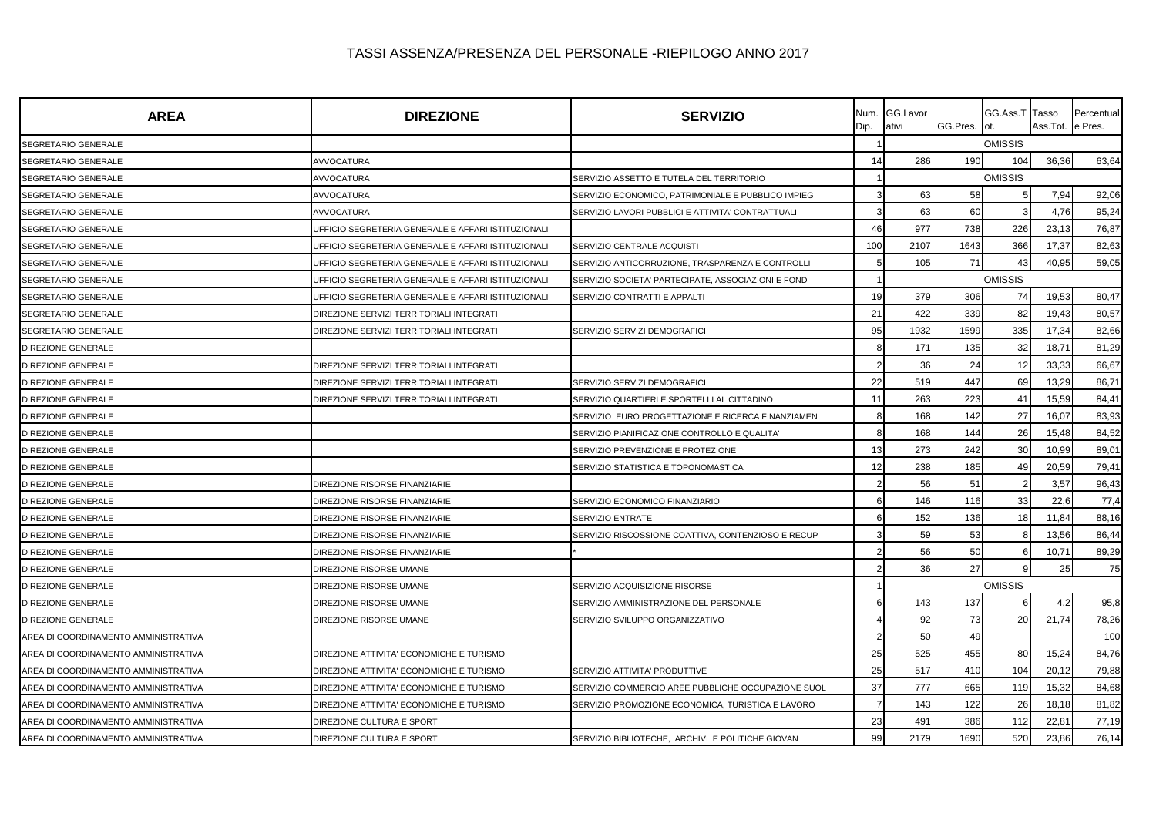| <b>AREA</b>                          | <b>DIREZIONE</b>                                   | <b>SERVIZIO</b>                                    | Num.<br>Dip. | GG.Lavor<br>ativi | GG.Pres. ot. | GG.Ass.T Tasso | Ass.Tot. | Percentual<br>e Pres. |
|--------------------------------------|----------------------------------------------------|----------------------------------------------------|--------------|-------------------|--------------|----------------|----------|-----------------------|
| SEGRETARIO GENERALE                  |                                                    |                                                    |              |                   |              | <b>OMISSIS</b> |          |                       |
| SEGRETARIO GENERALE                  | AVVOCATURA                                         |                                                    | 14           | 286               | 190          | 104            | 36,36    | 63,64                 |
| SEGRETARIO GENERALE                  | AVVOCATURA                                         | SERVIZIO ASSETTO E TUTELA DEL TERRITORIO           |              |                   |              | <b>OMISSIS</b> |          |                       |
| SEGRETARIO GENERALE                  | AVVOCATURA                                         | SERVIZIO ECONOMICO, PATRIMONIALE E PUBBLICO IMPIEG |              | 63                | 58           |                | 7,94     | 92,06                 |
| SEGRETARIO GENERALE                  | AVVOCATURA                                         | SERVIZIO LAVORI PUBBLICI E ATTIVITA' CONTRATTUALI  |              | 63                | 60           |                | 4,76     | 95,24                 |
| SEGRETARIO GENERALE                  | UFFICIO SEGRETERIA GENERALE E AFFARI ISTITUZIONALI |                                                    | 46           | 977               | 738          | 226            | 23,13    | 76,87                 |
| SEGRETARIO GENERALE                  | UFFICIO SEGRETERIA GENERALE E AFFARI ISTITUZIONALI | SERVIZIO CENTRALE ACQUISTI                         | 100          | 2107              | 1643         | 366            | 17,37    | 82,63                 |
| SEGRETARIO GENERALE                  | UFFICIO SEGRETERIA GENERALE E AFFARI ISTITUZIONALI | SERVIZIO ANTICORRUZIONE, TRASPARENZA E CONTROLLI   |              | 105               | 71           |                | 40,95    | 59,05                 |
| SEGRETARIO GENERALE                  | UFFICIO SEGRETERIA GENERALE E AFFARI ISTITUZIONALI | SERVIZIO SOCIETA' PARTECIPATE, ASSOCIAZIONI E FOND |              |                   |              | <b>OMISSIS</b> |          |                       |
| <b>SEGRETARIO GENERALE</b>           | UFFICIO SEGRETERIA GENERALE E AFFARI ISTITUZIONALI | SERVIZIO CONTRATTI E APPALTI                       | 19           | 379               | 306          | 74             | 19,53    | 80,47                 |
| SEGRETARIO GENERALE                  | DIREZIONE SERVIZI TERRITORIALI INTEGRATI           |                                                    | 21           | 422               | 339          | 82             | 19,43    | 80,57                 |
| <b>SEGRETARIO GENERALE</b>           | DIREZIONE SERVIZI TERRITORIALI INTEGRATI           | SERVIZIO SERVIZI DEMOGRAFICI                       | 95           | 1932              | 1599         | 335            | 17,34    | 82,66                 |
| <b>DIREZIONE GENERALE</b>            |                                                    |                                                    |              | 171               | 135          | 32             | 18,71    | 81,29                 |
| DIREZIONE GENERALE                   | DIREZIONE SERVIZI TERRITORIALI INTEGRATI           |                                                    |              | 36                | 24           | 12             | 33,33    | 66,67                 |
| <b>DIREZIONE GENERALE</b>            | DIREZIONE SERVIZI TERRITORIALI INTEGRATI           | SERVIZIO SERVIZI DEMOGRAFICI                       | 22           | 519               | 447          | 69             | 13,29    | 86,71                 |
| <b>DIREZIONE GENERALE</b>            | DIREZIONE SERVIZI TERRITORIALI INTEGRATI           | SERVIZIO QUARTIERI E SPORTELLI AL CITTADINO        | 11           | 263               | 223          | 41             | 15,59    | 84,41                 |
| DIREZIONE GENERALE                   |                                                    | SERVIZIO EURO PROGETTAZIONE E RICERCA FINANZIAMEN  |              | 168               | 142          | 27             | 16,07    | 83,93                 |
| <b>DIREZIONE GENERALE</b>            |                                                    | SERVIZIO PIANIFICAZIONE CONTROLLO E QUALITA'       |              | 168               | 144          | 26             | 15,48    | 84,52                 |
| DIREZIONE GENERALE                   |                                                    | SERVIZIO PREVENZIONE E PROTEZIONE                  | 13           | 273               | 242          | 30             | 10,99    | 89,01                 |
| DIREZIONE GENERALE                   |                                                    | SERVIZIO STATISTICA E TOPONOMASTICA                | 12           | 238               | 185          | 49             | 20,59    | 79,41                 |
| <b>DIREZIONE GENERALE</b>            | DIREZIONE RISORSE FINANZIARIE                      |                                                    |              | 56                | 51           |                | 3,57     | 96,43                 |
| DIREZIONE GENERALE                   | DIREZIONE RISORSE FINANZIARIE                      | SERVIZIO ECONOMICO FINANZIARIO                     |              | 146               | 116          | 33             | 22,6     | 77,4                  |
| DIREZIONE GENERALE                   | DIREZIONE RISORSE FINANZIARIE                      | SERVIZIO ENTRATE                                   |              | 152               | 136          | 18             | 11,84    | 88,16                 |
| DIREZIONE GENERALE                   | DIREZIONE RISORSE FINANZIARIE                      | SERVIZIO RISCOSSIONE COATTIVA, CONTENZIOSO E RECUP |              | 59                | 53           |                | 13,56    | 86,44                 |
| DIREZIONE GENERALE                   | DIREZIONE RISORSE FINANZIARIE                      |                                                    |              | 56                | 50           |                | 10,71    | 89,29                 |
| DIREZIONE GENERALE                   | DIREZIONE RISORSE UMANE                            |                                                    |              | 36                | 27           |                | 25       | 75                    |
| DIREZIONE GENERALE                   | DIREZIONE RISORSE UMANE                            | SERVIZIO ACQUISIZIONE RISORSE                      |              |                   |              | <b>OMISSIS</b> |          |                       |
| DIREZIONE GENERALE                   | DIREZIONE RISORSE UMANE                            | SERVIZIO AMMINISTRAZIONE DEL PERSONALE             |              | 143               | 137          | 6              | 4,2      | 95,8                  |
| <b>DIREZIONE GENERALE</b>            | DIREZIONE RISORSE UMANE                            | SERVIZIO SVILUPPO ORGANIZZATIVO                    |              | 92                | 73           | 20             | 21,74    | 78,26                 |
| AREA DI COORDINAMENTO AMMINISTRATIVA |                                                    |                                                    |              | 50                | 49           |                |          | 100                   |
| AREA DI COORDINAMENTO AMMINISTRATIVA | DIREZIONE ATTIVITA' ECONOMICHE E TURISMO           |                                                    | 25           | 525               | 455          | 80             | 15,24    | 84,76                 |
| AREA DI COORDINAMENTO AMMINISTRATIVA | DIREZIONE ATTIVITA' ECONOMICHE E TURISMO           | SERVIZIO ATTIVITA' PRODUTTIVE                      | 25           | 517               | 410          | 104            | 20,12    | 79,88                 |
| AREA DI COORDINAMENTO AMMINISTRATIVA | DIREZIONE ATTIVITA' ECONOMICHE E TURISMO           | SERVIZIO COMMERCIO AREE PUBBLICHE OCCUPAZIONE SUOL | 37           | 777               | 665          | 119            | 15,32    | 84,68                 |
| AREA DI COORDINAMENTO AMMINISTRATIVA | DIREZIONE ATTIVITA' ECONOMICHE E TURISMO           | SERVIZIO PROMOZIONE ECONOMICA, TURISTICA E LAVORO  |              | 143               | 122          | 26             | 18,18    | 81,82                 |
| AREA DI COORDINAMENTO AMMINISTRATIVA | DIREZIONE CULTURA E SPORT                          |                                                    | 23           | 491               | 386          | 112            | 22,81    | 77,19                 |
| AREA DI COORDINAMENTO AMMINISTRATIVA | DIREZIONE CULTURA E SPORT                          | SERVIZIO BIBLIOTECHE, ARCHIVI E POLITICHE GIOVAN   | 99           | 2179              | 1690         | 520            | 23,86    | 76,14                 |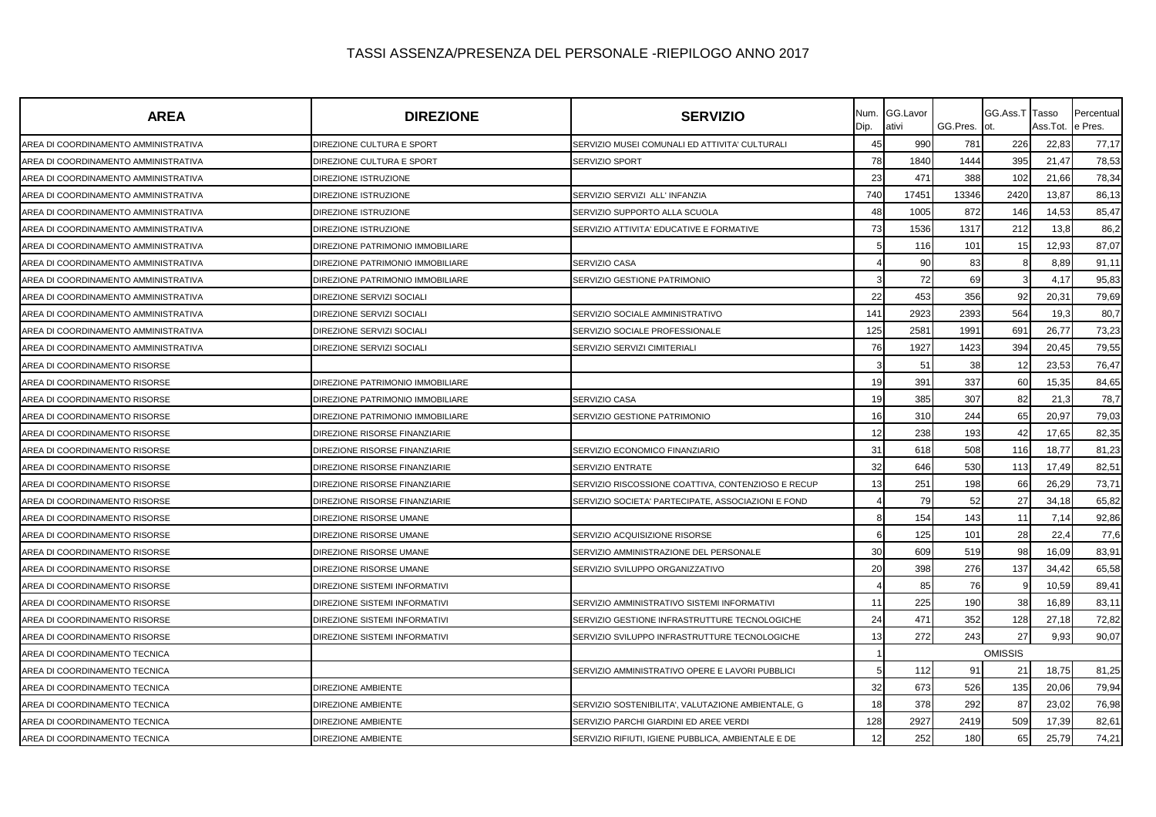| <b>AREA</b>                          | <b>DIREZIONE</b>                 | <b>SERVIZIO</b>                                    | Num.<br>Dip. | GG.Lavor<br>ativi | GG.Pres. | GG.Ass.T Tasso<br>ot. | Ass.Tot. | Percentual<br>e Pres. |
|--------------------------------------|----------------------------------|----------------------------------------------------|--------------|-------------------|----------|-----------------------|----------|-----------------------|
| AREA DI COORDINAMENTO AMMINISTRATIVA | DIREZIONE CULTURA E SPORT        | SERVIZIO MUSEI COMUNALI ED ATTIVITA' CULTURALI     | 45           | 990               | 781      | 226                   | 22,83    | 77,17                 |
| AREA DI COORDINAMENTO AMMINISTRATIVA | DIREZIONE CULTURA E SPORT        | SERVIZIO SPORT                                     | 78           | 1840              | 1444     | 395                   | 21,47    | 78,53                 |
| AREA DI COORDINAMENTO AMMINISTRATIVA | DIREZIONE ISTRUZIONE             |                                                    | 23           | 471               | 388      | 102                   | 21,66    | 78,34                 |
| AREA DI COORDINAMENTO AMMINISTRATIVA | DIREZIONE ISTRUZIONE             | SERVIZIO SERVIZI ALL'INFANZIA                      | 740          | 17451             | 13346    | 2420                  | 13,87    | 86,13                 |
| AREA DI COORDINAMENTO AMMINISTRATIVA | DIREZIONE ISTRUZIONE             | SERVIZIO SUPPORTO ALLA SCUOLA                      | 48           | 1005              | 872      | 146                   | 14,53    | 85,47                 |
| AREA DI COORDINAMENTO AMMINISTRATIVA | DIREZIONE ISTRUZIONE             | SERVIZIO ATTIVITA' EDUCATIVE E FORMATIVE           | 73           | 1536              | 1317     | 212                   | 13,8     | 86,2                  |
| AREA DI COORDINAMENTO AMMINISTRATIVA | DIREZIONE PATRIMONIO IMMOBILIARE |                                                    |              | 116               | 101      | 15                    | 12,93    | 87,07                 |
| AREA DI COORDINAMENTO AMMINISTRATIVA | DIREZIONE PATRIMONIO IMMOBILIARE | SERVIZIO CASA                                      |              | 90                | 83       |                       | 8,89     | 91,11                 |
| AREA DI COORDINAMENTO AMMINISTRATIVA | DIREZIONE PATRIMONIO IMMOBILIARE | SERVIZIO GESTIONE PATRIMONIO                       |              | 72                | 69       |                       | 4.17     | 95,83                 |
| AREA DI COORDINAMENTO AMMINISTRATIVA | DIREZIONE SERVIZI SOCIALI        |                                                    | 22           | 453               | 356      | 92                    | 20,31    | 79,69                 |
| AREA DI COORDINAMENTO AMMINISTRATIVA | DIREZIONE SERVIZI SOCIALI        | SERVIZIO SOCIALE AMMINISTRATIVO                    | 141          | 2923              | 2393     | 564                   | 19,3     | 80,7                  |
| AREA DI COORDINAMENTO AMMINISTRATIVA | DIREZIONE SERVIZI SOCIALI        | SERVIZIO SOCIALE PROFESSIONALE                     | 125          | 2581              | 1991     | 691                   | 26,77    | 73,23                 |
| AREA DI COORDINAMENTO AMMINISTRATIVA | DIREZIONE SERVIZI SOCIALI        | SERVIZIO SERVIZI CIMITERIALI                       | 76           | 1927              | 1423     | 394                   | 20,45    | 79,55                 |
| AREA DI COORDINAMENTO RISORSE        |                                  |                                                    |              | 51                | 38       | 12                    | 23,53    | 76,47                 |
| AREA DI COORDINAMENTO RISORSE        | DIREZIONE PATRIMONIO IMMOBILIARE |                                                    | 19           | 391               | 337      | 60                    | 15,35    | 84,65                 |
| AREA DI COORDINAMENTO RISORSE        | DIREZIONE PATRIMONIO IMMOBILIARE | SERVIZIO CASA                                      | 19           | 385               | 307      | 82                    | 21,3     | 78,7                  |
| AREA DI COORDINAMENTO RISORSE        | DIREZIONE PATRIMONIO IMMOBILIARE | SERVIZIO GESTIONE PATRIMONIO                       | 16           | 310               | 244      | 65                    | 20,97    | 79,03                 |
| AREA DI COORDINAMENTO RISORSE        | DIREZIONE RISORSE FINANZIARIE    |                                                    | 12           | 238               | 193      | 42                    | 17,65    | 82,35                 |
| AREA DI COORDINAMENTO RISORSE        | DIREZIONE RISORSE FINANZIARIE    | SERVIZIO ECONOMICO FINANZIARIO                     | 31           | 618               | 508      | 116                   | 18,77    | 81,23                 |
| AREA DI COORDINAMENTO RISORSE        | DIREZIONE RISORSE FINANZIARIE    | <b>SERVIZIO ENTRATE</b>                            | 32           | 646               | 530      | 113                   | 17,49    | 82,51                 |
| AREA DI COORDINAMENTO RISORSE        | DIREZIONE RISORSE FINANZIARIE    | SERVIZIO RISCOSSIONE COATTIVA, CONTENZIOSO E RECUP | 13           | 251               | 198      | 66                    | 26,29    | 73,71                 |
| AREA DI COORDINAMENTO RISORSE        | DIREZIONE RISORSE FINANZIARIE    | SERVIZIO SOCIETA' PARTECIPATE, ASSOCIAZIONI E FOND |              | 79                | 52       | 27                    | 34,18    | 65,82                 |
| AREA DI COORDINAMENTO RISORSE        | DIREZIONE RISORSE UMANE          |                                                    |              | 154               | 143      | 11                    | 7,14     | 92,86                 |
| AREA DI COORDINAMENTO RISORSE        | DIREZIONE RISORSE UMANE          | SERVIZIO ACQUISIZIONE RISORSE                      |              | 125               | 101      | 28                    | 22,4     | 77,6                  |
| AREA DI COORDINAMENTO RISORSE        | DIREZIONE RISORSE UMANE          | SERVIZIO AMMINISTRAZIONE DEL PERSONALE             | 30           | 609               | 519      | 98                    | 16,09    | 83,91                 |
| AREA DI COORDINAMENTO RISORSE        | DIREZIONE RISORSE UMANE          | SERVIZIO SVILUPPO ORGANIZZATIVO                    | 20           | 398               | 276      | 137                   | 34,42    | 65,58                 |
| AREA DI COORDINAMENTO RISORSE        | DIREZIONE SISTEMI INFORMATIVI    |                                                    |              | 85                | 76       |                       | 10,59    | 89,41                 |
| AREA DI COORDINAMENTO RISORSE        | DIREZIONE SISTEMI INFORMATIVI    | SERVIZIO AMMINISTRATIVO SISTEMI INFORMATIVI        | 11           | 225               | 190      | 38                    | 16,89    | 83,11                 |
| AREA DI COORDINAMENTO RISORSE        | DIREZIONE SISTEMI INFORMATIVI    | SERVIZIO GESTIONE INFRASTRUTTURE TECNOLOGICHE      | 24           | 471               | 352      | 128                   | 27,18    | 72,82                 |
| AREA DI COORDINAMENTO RISORSE        | DIREZIONE SISTEMI INFORMATIVI    | SERVIZIO SVILUPPO INFRASTRUTTURE TECNOLOGICHE      | 13           | 272               | 243      | 27                    | 9,93     | 90,07                 |
| AREA DI COORDINAMENTO TECNICA        |                                  |                                                    |              |                   |          | <b>OMISSIS</b>        |          |                       |
| AREA DI COORDINAMENTO TECNICA        |                                  | SERVIZIO AMMINISTRATIVO OPERE E LAVORI PUBBLICI    |              | 112               | 91       | 21                    | 18,75    | 81,25                 |
| AREA DI COORDINAMENTO TECNICA        | DIREZIONE AMBIENTE               |                                                    | 32           | 673               | 526      | 135                   | 20,06    | 79,94                 |
| AREA DI COORDINAMENTO TECNICA        | <b>DIREZIONE AMBIENTE</b>        | SERVIZIO SOSTENIBILITA', VALUTAZIONE AMBIENTALE, G | 18           | 378               | 292      | 87                    | 23,02    | 76,98                 |
| AREA DI COORDINAMENTO TECNICA        | DIREZIONE AMBIENTE               | SERVIZIO PARCHI GIARDINI ED AREE VERDI             | 128          | 2927              | 2419     | 509                   | 17,39    | 82,61                 |
| AREA DI COORDINAMENTO TECNICA        | DIREZIONE AMBIENTE               | SERVIZIO RIFIUTI, IGIENE PUBBLICA, AMBIENTALE E DE | 12           | 252               | 180      | 65                    | 25,79    | 74,21                 |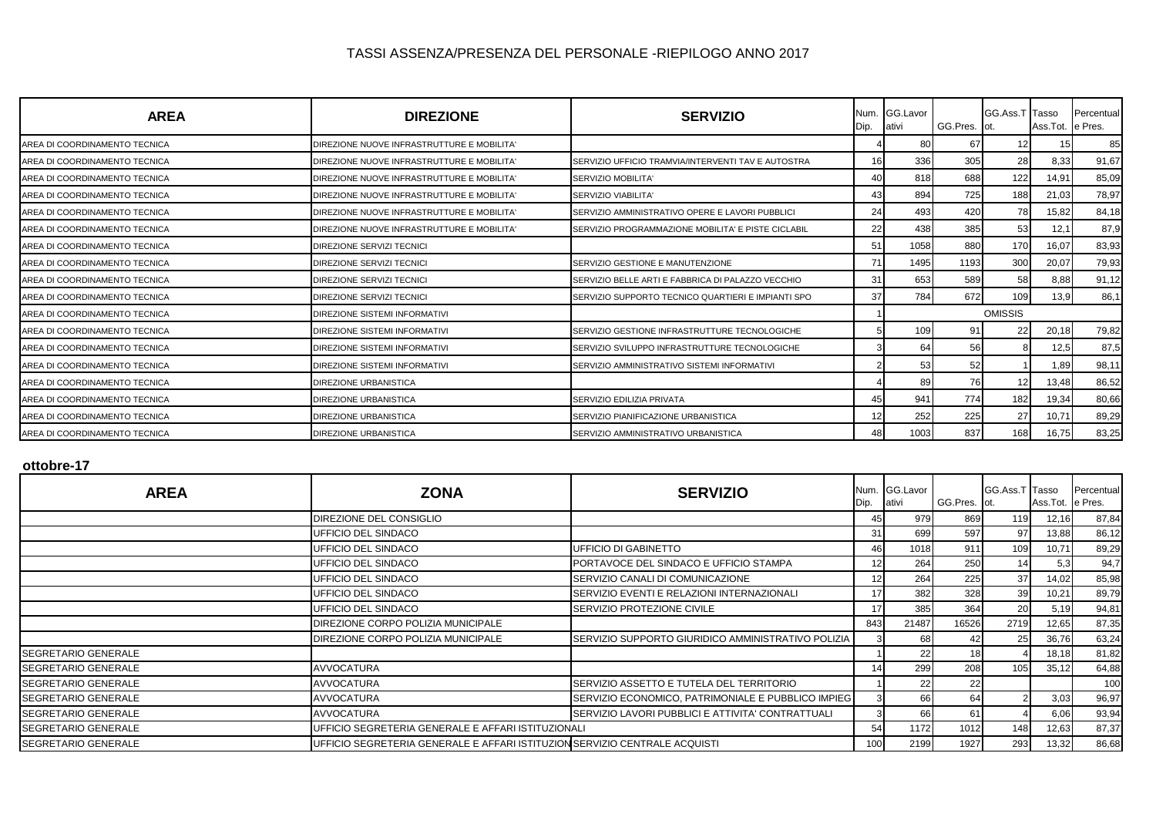| <b>AREA</b>                   | <b>DIREZIONE</b>                                  | <b>SERVIZIO</b>                                    | Num.<br>Dip. | GG.Lavor<br>ativi | GG.Pres. ot. | GG.Ass.T Tasso | Ass. Tot. e Pres. | Percentual |
|-------------------------------|---------------------------------------------------|----------------------------------------------------|--------------|-------------------|--------------|----------------|-------------------|------------|
| AREA DI COORDINAMENTO TECNICA | DIREZIONE NUOVE INFRASTRUTTURE E MOBILITA'        |                                                    |              | 80                | 67           | 12             |                   | 85         |
| AREA DI COORDINAMENTO TECNICA | DIREZIONE NUOVE INFRASTRUTTURE E MOBILITA'        | SERVIZIO UFFICIO TRAMVIA/INTERVENTI TAV E AUTOSTRA | 16           | 336               | 305          | 28             | 8,33              | 91,67      |
| AREA DI COORDINAMENTO TECNICA | DIREZIONE NUOVE INFRASTRUTTURE E MOBILITA'        | <b>SERVIZIO MOBILITA'</b>                          | 40           | 818               | 688          | 122            | 14,91             | 85,09      |
| AREA DI COORDINAMENTO TECNICA | <b>DIREZIONE NUOVE INFRASTRUTTURE E MOBILITA'</b> | <b>SERVIZIO VIABILITA'</b>                         | 43           | 894               | 725          | 188            | 21,03             | 78,97      |
| AREA DI COORDINAMENTO TECNICA | DIREZIONE NUOVE INFRASTRUTTURE E MOBILITA'        | SERVIZIO AMMINISTRATIVO OPERE E LAVORI PUBBLICI    | 24           | 493               | 420          | 78             | 15,82             | 84,18      |
| AREA DI COORDINAMENTO TECNICA | DIREZIONE NUOVE INFRASTRUTTURE E MOBILITA'        | SERVIZIO PROGRAMMAZIONE MOBILITA' E PISTE CICLABIL | 22           | 438               | 385          | 53             | 12,1              | 87,9       |
| AREA DI COORDINAMENTO TECNICA | DIREZIONE SERVIZI TECNICI                         |                                                    | 51           | 1058              | 880          | 170            | 16,07             | 83,93      |
| AREA DI COORDINAMENTO TECNICA | DIREZIONE SERVIZI TECNICI                         | SERVIZIO GESTIONE E MANUTENZIONE                   | 71           | 1495              | 1193         | 300            | 20,07             | 79,93      |
| AREA DI COORDINAMENTO TECNICA | DIREZIONE SERVIZI TECNICI                         | SERVIZIO BELLE ARTI E FABBRICA DI PALAZZO VECCHIO  | 31           | 653               | 589          | 58             | 8,88              | 91,12      |
| AREA DI COORDINAMENTO TECNICA | DIREZIONE SERVIZI TECNICI                         | SERVIZIO SUPPORTO TECNICO QUARTIERI E IMPIANTI SPO | 37           | 784I              | 672          | 109            | 13,9              | 86,1       |
| AREA DI COORDINAMENTO TECNICA | DIREZIONE SISTEMI INFORMATIVI                     |                                                    |              |                   |              | <b>OMISSIS</b> |                   |            |
| AREA DI COORDINAMENTO TECNICA | <b>DIREZIONE SISTEMI INFORMATIVI</b>              | SERVIZIO GESTIONE INFRASTRUTTURE TECNOLOGICHE      |              | 109               | 91           | 22             | 20,18             | 79,82      |
| AREA DI COORDINAMENTO TECNICA | <b>DIREZIONE SISTEMI INFORMATIVI</b>              | SERVIZIO SVILUPPO INFRASTRUTTURE TECNOLOGICHE      |              | 64                | 56           |                | 12,5              | 87,5       |
| AREA DI COORDINAMENTO TECNICA | <b>DIREZIONE SISTEMI INFORMATIVI</b>              | SERVIZIO AMMINISTRATIVO SISTEMI INFORMATIVI        |              | 53                | 52           |                | 1,89              | 98,11      |
| AREA DI COORDINAMENTO TECNICA | <b>DIREZIONE URBANISTICA</b>                      |                                                    |              | 89                | 76           | 12             | 13,48             | 86,52      |
| AREA DI COORDINAMENTO TECNICA | DIREZIONE URBANISTICA                             | SERVIZIO EDILIZIA PRIVATA                          | 45           | 941               | 774          | 182            | 19,34             | 80,66      |
| AREA DI COORDINAMENTO TECNICA | DIREZIONE URBANISTICA                             | SERVIZIO PIANIFICAZIONE URBANISTICA                | 12           | 252               | 225          | 27             | 10,71             | 89,29      |
| AREA DI COORDINAMENTO TECNICA | DIREZIONE URBANISTICA                             | SERVIZIO AMMINISTRATIVO URBANISTICA                | 48           | 1003              | 837          | 168            | 16,75             | 83,25      |

### **ottobre-17**

| <b>AREA</b>                 | <b>ZONA</b>                                                                | <b>SERVIZIO</b>                                    | Dip. | Num. GG.Lavor<br>ativi | GG.Pres. ot. | GG.Ass.T Tasso | Ass. Tot. e Pres. | Percentual |
|-----------------------------|----------------------------------------------------------------------------|----------------------------------------------------|------|------------------------|--------------|----------------|-------------------|------------|
|                             | DIREZIONE DEL CONSIGLIO                                                    |                                                    |      | 979                    | 869          | 119            | 12,16             | 87,84      |
|                             | UFFICIO DEL SINDACO                                                        |                                                    | 31   | 699                    | 597          | 97             | 13,88             | 86,12      |
|                             | UFFICIO DEL SINDACO                                                        | UFFICIO DI GABINETTO                               |      | 1018                   | 911          | 109            | 10,71             | 89,29      |
|                             | UFFICIO DEL SINDACO                                                        | PORTAVOCE DEL SINDACO E UFFICIO STAMPA             |      | 264                    | 250          |                | 5,3               | 94,7       |
|                             | UFFICIO DEL SINDACO                                                        | SERVIZIO CANALI DI COMUNICAZIONE                   |      | 264                    | 225          | 37             | 14,02             | 85,98      |
|                             | UFFICIO DEL SINDACO                                                        | SERVIZIO EVENTI E RELAZIONI INTERNAZIONALI         |      | 382                    | 328          | 39             | 10,21             | 89,79      |
|                             | UFFICIO DEL SINDACO                                                        | SERVIZIO PROTEZIONE CIVILE                         | 17   | 385                    | 364          | 20             | 5,19              | 94,81      |
|                             | DIREZIONE CORPO POLIZIA MUNICIPALE                                         |                                                    | 843  | 21487                  | 16526        | 2719           | 12,65             | 87,35      |
|                             | DIREZIONE CORPO POLIZIA MUNICIPALE                                         | SERVIZIO SUPPORTO GIURIDICO AMMINISTRATIVO POLIZIA |      | 68                     | 42           | 25             | 36,76             | 63,24      |
| <b>SEGRETARIO GENERALE</b>  |                                                                            |                                                    |      | 22                     | 18           |                | 18,18             | 81,82      |
| <b>SEGRETARIO GENERALE</b>  | <b>AVVOCATURA</b>                                                          |                                                    |      | 299                    | 208          | 105            | 35,12             | 64,88      |
| <b>SEGRETARIO GENERALE</b>  | <b>AVVOCATURA</b>                                                          | SERVIZIO ASSETTO E TUTELA DEL TERRITORIO           |      | 22                     | 22           |                |                   | 100        |
| <b>SEGRETARIO GENERALE</b>  | <b>AVVOCATURA</b>                                                          | SERVIZIO ECONOMICO, PATRIMONIALE E PUBBLICO IMPIEG |      | 66                     | 64           |                | 3,03              | 96,97      |
| <b>ISEGRETARIO GENERALE</b> | <b>AVVOCATURA</b>                                                          | SERVIZIO LAVORI PUBBLICI E ATTIVITA' CONTRATTUALI  |      | 66                     | 61           |                | 6,06              | 93,94      |
| <b>ISEGRETARIO GENERALE</b> | UFFICIO SEGRETERIA GENERALE E AFFARI ISTITUZIONALI                         |                                                    | 54   | 1172                   | 1012         | 148            | 12,63             | 87,37      |
| <b>ISEGRETARIO GENERALE</b> | UFFICIO SEGRETERIA GENERALE E AFFARI ISTITUZION SERVIZIO CENTRALE ACQUISTI |                                                    | 100  | 2199                   | 1927         | 293            | 13,32             | 86,68      |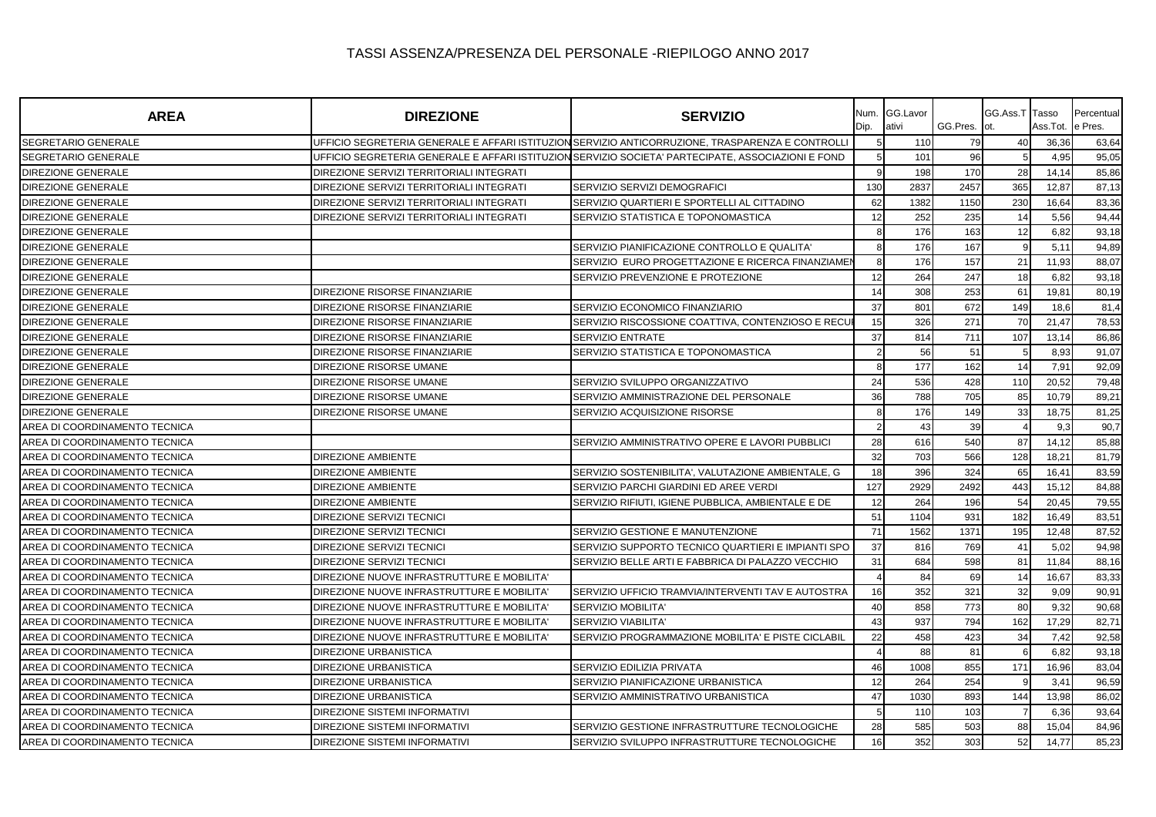| <b>AREA</b>                   | <b>DIREZIONE</b>                           | <b>SERVIZIO</b>                                                                                    | Num.<br>Dip.    | GG.Lavor<br>ativi | GG.Pres. | GG.Ass.T Tasso<br>lot. | Ass.Tot. | Percentual<br>e Pres. |
|-------------------------------|--------------------------------------------|----------------------------------------------------------------------------------------------------|-----------------|-------------------|----------|------------------------|----------|-----------------------|
| SEGRETARIO GENERALE           |                                            | UFFICIO SEGRETERIA GENERALE E AFFARI ISTITUZION SERVIZIO ANTICORRUZIONE, TRASPARENZA E CONTROLLI   |                 | 110               | 79       | 40                     | 36,36    | 63,64                 |
| SEGRETARIO GENERALE           |                                            | UFFICIO SEGRETERIA GENERALE E AFFARI ISTITUZION SERVIZIO SOCIETA' PARTECIPATE, ASSOCIAZIONI E FOND | $5\overline{5}$ | 101               | 96       | 5                      | 4,95     | 95,05                 |
| DIREZIONE GENERALE            | DIREZIONE SERVIZI TERRITORIALI INTEGRATI   |                                                                                                    | 9               | 198               | 170      | 28                     | 14,14    | 85,86                 |
| <b>DIREZIONE GENERALE</b>     | DIREZIONE SERVIZI TERRITORIALI INTEGRATI   | SERVIZIO SERVIZI DEMOGRAFICI                                                                       | 130             | 2837              | 2457     | 365                    | 12,87    | 87,13                 |
| <b>DIREZIONE GENERALE</b>     | DIREZIONE SERVIZI TERRITORIALI INTEGRATI   | SERVIZIO QUARTIERI E SPORTELLI AL CITTADINO                                                        | 62              | 1382              | 1150     | 230                    | 16,64    | 83,36                 |
| DIREZIONE GENERALE            | DIREZIONE SERVIZI TERRITORIALI INTEGRATI   | SERVIZIO STATISTICA E TOPONOMASTICA                                                                | 12              | 252               | 235      | 14                     | 5.56     | 94,44                 |
| <b>DIREZIONE GENERALE</b>     |                                            |                                                                                                    | 8               | 176               | 163      | 12                     | 6,82     | 93,18                 |
| <b>DIREZIONE GENERALE</b>     |                                            | SERVIZIO PIANIFICAZIONE CONTROLLO E QUALITA'                                                       | 8               | 176               | 167      |                        | 5,11     | 94,89                 |
| <b>DIREZIONE GENERALE</b>     |                                            | SERVIZIO EURO PROGETTAZIONE E RICERCA FINANZIAMEI                                                  | 8               | 176               | 157      | 21                     | 11,93    | 88,07                 |
| DIREZIONE GENERALE            |                                            | SERVIZIO PREVENZIONE E PROTEZIONE                                                                  | 12              | 264               | 247      | 18                     | 6,82     | 93,18                 |
| <b>DIREZIONE GENERALE</b>     | DIREZIONE RISORSE FINANZIARIE              |                                                                                                    | 14              | 308               | 253      | 61                     | 19,81    | 80,19                 |
| <b>DIREZIONE GENERALE</b>     | DIREZIONE RISORSE FINANZIARIE              | SERVIZIO ECONOMICO FINANZIARIO                                                                     | 37              | 801               | 672      | 149                    | 18,6     | 81,4                  |
| DIREZIONE GENERALE            | DIREZIONE RISORSE FINANZIARIE              | SERVIZIO RISCOSSIONE COATTIVA, CONTENZIOSO E RECU                                                  | 15              | 326               | 271      | 70                     | 21,47    | 78,53                 |
| <b>DIREZIONE GENERALE</b>     | DIREZIONE RISORSE FINANZIARIE              | <b>SERVIZIO ENTRATE</b>                                                                            | 37              | 814               | 711      | 107                    | 13,14    | 86,86                 |
| <b>DIREZIONE GENERALE</b>     | DIREZIONE RISORSE FINANZIARIE              | SERVIZIO STATISTICA E TOPONOMASTICA                                                                | $\overline{2}$  | 56                | 51       |                        | 8,93     | 91,07                 |
| DIREZIONE GENERALE            | DIREZIONE RISORSE UMANE                    |                                                                                                    | 8               | 177               | 162      | 14                     | 7,91     | 92,09                 |
| <b>DIREZIONE GENERALE</b>     | DIREZIONE RISORSE UMANE                    | SERVIZIO SVILUPPO ORGANIZZATIVO                                                                    | 24              | 536               | 428      | 110                    | 20,52    | 79,48                 |
| <b>DIREZIONE GENERALE</b>     | DIREZIONE RISORSE UMANE                    | SERVIZIO AMMINISTRAZIONE DEL PERSONALE                                                             | 36              | 788               | 705      | 85                     | 10,79    | 89,21                 |
| <b>DIREZIONE GENERALE</b>     | DIREZIONE RISORSE UMANE                    | SERVIZIO ACQUISIZIONE RISORSE                                                                      | 8               | 176               | 149      | 33                     | 18,75    | 81,25                 |
| AREA DI COORDINAMENTO TECNICA |                                            |                                                                                                    | $\overline{2}$  | 43                | 39       |                        | 9,3      | 90,7                  |
| AREA DI COORDINAMENTO TECNICA |                                            | SERVIZIO AMMINISTRATIVO OPERE E LAVORI PUBBLICI                                                    | 28              | 616               | 540      | 87                     | 14,12    | 85,88                 |
| AREA DI COORDINAMENTO TECNICA | <b>DIREZIONE AMBIENTE</b>                  |                                                                                                    | 32              | 703               | 566      | 128                    | 18,21    | 81,79                 |
| AREA DI COORDINAMENTO TECNICA | <b>DIREZIONE AMBIENTE</b>                  | SERVIZIO SOSTENIBILITA', VALUTAZIONE AMBIENTALE, G                                                 | 18              | 396               | 324      | 65                     | 16.41    | 83,59                 |
| AREA DI COORDINAMENTO TECNICA | <b>DIREZIONE AMBIENTE</b>                  | SERVIZIO PARCHI GIARDINI ED AREE VERDI                                                             | 127             | 2929              | 2492     | 443                    | 15,12    | 84,88                 |
| AREA DI COORDINAMENTO TECNICA | <b>DIREZIONE AMBIENTE</b>                  | SERVIZIO RIFIUTI, IGIENE PUBBLICA, AMBIENTALE E DE                                                 | 12              | 264               | 196      | 54                     | 20,45    | 79,55                 |
| AREA DI COORDINAMENTO TECNICA | DIREZIONE SERVIZI TECNICI                  |                                                                                                    | 51              | 1104              | 931      | 182                    | 16,49    | 83,51                 |
| AREA DI COORDINAMENTO TECNICA | DIREZIONE SERVIZI TECNICI                  | SERVIZIO GESTIONE E MANUTENZIONE                                                                   | 71              | 1562              | 1371     | 195                    | 12,48    | 87,52                 |
| AREA DI COORDINAMENTO TECNICA | DIREZIONE SERVIZI TECNICI                  | SERVIZIO SUPPORTO TECNICO QUARTIERI E IMPIANTI SPO                                                 | 37              | 816               | 769      | 41                     | 5,02     | 94,98                 |
| AREA DI COORDINAMENTO TECNICA | DIREZIONE SERVIZI TECNICI                  | SERVIZIO BELLE ARTI E FABBRICA DI PALAZZO VECCHIO                                                  | 31              | 684               | 598      | 81                     | 11,84    | 88,16                 |
| AREA DI COORDINAMENTO TECNICA | DIREZIONE NUOVE INFRASTRUTTURE E MOBILITA' |                                                                                                    |                 | 84                | 69       |                        | 16,67    | 83,33                 |
| AREA DI COORDINAMENTO TECNICA | DIREZIONE NUOVE INFRASTRUTTURE E MOBILITA' | SERVIZIO UFFICIO TRAMVIA/INTERVENTI TAV E AUTOSTRA                                                 | 16              | 352               | 321      | 32                     | 9,09     | 90,91                 |
| AREA DI COORDINAMENTO TECNICA | DIREZIONE NUOVE INFRASTRUTTURE E MOBILITA' | <b>SERVIZIO MOBILITA'</b>                                                                          | 40              | 858               | 773      | 80                     | 9,32     | 90,68                 |
| AREA DI COORDINAMENTO TECNICA | DIREZIONE NUOVE INFRASTRUTTURE E MOBILITA' | <b>SERVIZIO VIABILITA'</b>                                                                         | 43              | 937               | 794      | 162                    | 17,29    | 82,71                 |
| AREA DI COORDINAMENTO TECNICA | DIREZIONE NUOVE INFRASTRUTTURE E MOBILITA' | SERVIZIO PROGRAMMAZIONE MOBILITA' E PISTE CICLABIL                                                 | 22              | 458               | 423      | 34                     | 7,42     | 92,58                 |
| AREA DI COORDINAMENTO TECNICA | <b>DIREZIONE URBANISTICA</b>               |                                                                                                    |                 | 88                | 81       | 6                      | 6.82     | 93,18                 |
| AREA DI COORDINAMENTO TECNICA | <b>DIREZIONE URBANISTICA</b>               | SERVIZIO EDILIZIA PRIVATA                                                                          | 46              | 1008              | 855      | 171                    | 16,96    | 83,04                 |
| AREA DI COORDINAMENTO TECNICA | DIREZIONE URBANISTICA                      | SERVIZIO PIANIFICAZIONE URBANISTICA                                                                | 12              | 264               | 254      |                        | 3,41     | 96,59                 |
| AREA DI COORDINAMENTO TECNICA | <b>DIREZIONE URBANISTICA</b>               | SERVIZIO AMMINISTRATIVO URBANISTICA                                                                | 47              | 1030              | 893      | 144                    | 13,98    | 86,02                 |
| AREA DI COORDINAMENTO TECNICA | DIREZIONE SISTEMI INFORMATIVI              |                                                                                                    | 5               | 110               | 103      |                        | 6,36     | 93,64                 |
| AREA DI COORDINAMENTO TECNICA | DIREZIONE SISTEMI INFORMATIVI              | SERVIZIO GESTIONE INFRASTRUTTURE TECNOLOGICHE                                                      | 28              | 585               | 503      | 88                     | 15,04    | 84,96                 |
| AREA DI COORDINAMENTO TECNICA | DIREZIONE SISTEMI INFORMATIVI              | SERVIZIO SVILUPPO INFRASTRUTTURE TECNOLOGICHE                                                      | 16              | 352               | 303      | 52                     | 14,77    | 85,23                 |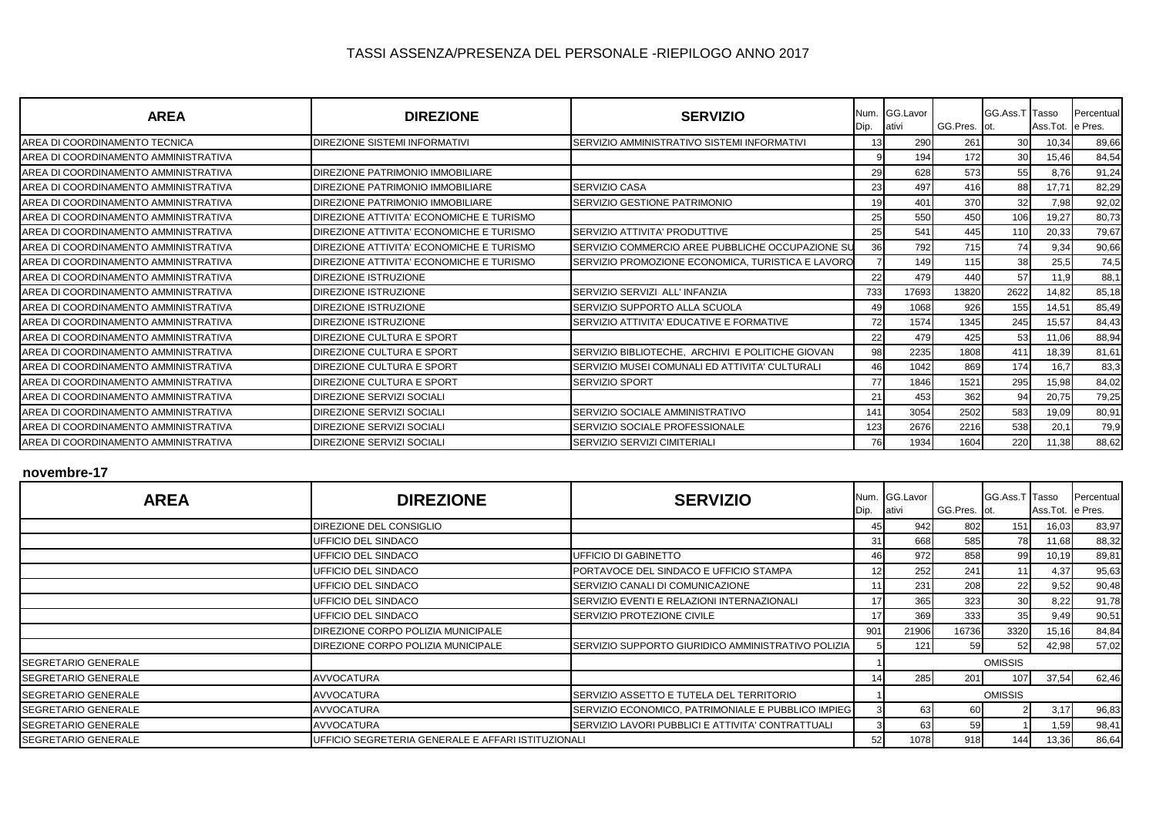| <b>AREA</b>                          | <b>DIREZIONE</b>                         | <b>SERVIZIO</b>                                   | Num.<br>Dip. | GG.Lavor<br>ativi | GG.Pres. ot. | GG.Ass.T Tasso  | Ass.Tot. | Percentual<br>le Pres. |
|--------------------------------------|------------------------------------------|---------------------------------------------------|--------------|-------------------|--------------|-----------------|----------|------------------------|
| AREA DI COORDINAMENTO TECNICA        | DIREZIONE SISTEMI INFORMATIVI            | SERVIZIO AMMINISTRATIVO SISTEMI INFORMATIVI       |              | 290               | 261          | 30 <sup>1</sup> | 10,34    | 89,66                  |
| AREA DI COORDINAMENTO AMMINISTRATIVA |                                          |                                                   |              | 194               | 172          | 30              | 15,46    | 84,54                  |
| AREA DI COORDINAMENTO AMMINISTRATIVA | DIREZIONE PATRIMONIO IMMOBILIARE         |                                                   | 29           | 628               | 573          | 55              | 8,76     | 91,24                  |
| AREA DI COORDINAMENTO AMMINISTRATIVA | DIREZIONE PATRIMONIO IMMOBILIARE         | SERVIZIO CASA                                     | 23           | 497               | 416          | 88              | 17,71    | 82,29                  |
| AREA DI COORDINAMENTO AMMINISTRATIVA | DIREZIONE PATRIMONIO IMMOBILIARE         | SERVIZIO GESTIONE PATRIMONIO                      | 19           | 401               | 370          | 32              | 7,98     | 92,02                  |
| AREA DI COORDINAMENTO AMMINISTRATIVA | DIREZIONE ATTIVITA' ECONOMICHE E TURISMO |                                                   | 25           | 550               | 450          | 106             | 19,27    | 80,73                  |
| AREA DI COORDINAMENTO AMMINISTRATIVA | DIREZIONE ATTIVITA' ECONOMICHE E TURISMO | SERVIZIO ATTIVITA' PRODUTTIVE                     | 25           | 541               | 445          | 110             | 20,33    | 79,67                  |
| AREA DI COORDINAMENTO AMMINISTRATIVA | DIREZIONE ATTIVITA' ECONOMICHE E TURISMO | SERVIZIO COMMERCIO AREE PUBBLICHE OCCUPAZIONE SU  | 36           | 792               | 715          | 74              | 9,34     | 90,66                  |
| AREA DI COORDINAMENTO AMMINISTRATIVA | DIREZIONE ATTIVITA' ECONOMICHE E TURISMO | SERVIZIO PROMOZIONE ECONOMICA, TURISTICA E LAVORO |              | 149               | 115          | 38              | 25,5     | 74,5                   |
| AREA DI COORDINAMENTO AMMINISTRATIVA | DIREZIONE ISTRUZIONE                     |                                                   | 22           | 479               | 440          | 57              | 11,9     | 88,1                   |
| AREA DI COORDINAMENTO AMMINISTRATIVA | DIREZIONE ISTRUZIONE                     | SERVIZIO SERVIZI ALL' INFANZIA                    | 733          | 17693             | 13820        | 2622            | 14,82    | 85,18                  |
| AREA DI COORDINAMENTO AMMINISTRATIVA | DIREZIONE ISTRUZIONE                     | SERVIZIO SUPPORTO ALLA SCUOLA                     | 49           | 1068              | 926          | 155             | 14,51    | 85,49                  |
| AREA DI COORDINAMENTO AMMINISTRATIVA | DIREZIONE ISTRUZIONE                     | SERVIZIO ATTIVITA' EDUCATIVE E FORMATIVE          | 72           | 1574              | 1345         | 245             | 15,57    | 84,43                  |
| AREA DI COORDINAMENTO AMMINISTRATIVA | DIREZIONE CULTURA E SPORT                |                                                   | 22           | 479               | 425          | 53              | 11,06    | 88,94                  |
| AREA DI COORDINAMENTO AMMINISTRATIVA | DIREZIONE CULTURA E SPORT                | SERVIZIO BIBLIOTECHE. ARCHIVI E POLITICHE GIOVAN  | 98           | 2235              | 1808         | 411             | 18,39    | 81,61                  |
| AREA DI COORDINAMENTO AMMINISTRATIVA | DIREZIONE CULTURA E SPORT                | SERVIZIO MUSEI COMUNALI ED ATTIVITA' CULTURALI    | 46           | 1042              | 869          | 174             | 16,7     | 83,3                   |
| AREA DI COORDINAMENTO AMMINISTRATIVA | DIREZIONE CULTURA E SPORT                | <b>SERVIZIO SPORT</b>                             | 77           | 1846              | 1521         | 295             | 15,98    | 84,02                  |
| AREA DI COORDINAMENTO AMMINISTRATIVA | DIREZIONE SERVIZI SOCIALI                |                                                   | 21           | 453               | 362          | 94              | 20,75    | 79,25                  |
| AREA DI COORDINAMENTO AMMINISTRATIVA | DIREZIONE SERVIZI SOCIALI                | SERVIZIO SOCIALE AMMINISTRATIVO                   | 141          | 3054              | 2502         | 583             | 19,09    | 80,91                  |
| AREA DI COORDINAMENTO AMMINISTRATIVA | DIREZIONE SERVIZI SOCIALI                | SERVIZIO SOCIALE PROFESSIONALE                    | 123          | 2676              | 2216         | 538             | 20,7     | 79,9                   |
| AREA DI COORDINAMENTO AMMINISTRATIVA | DIREZIONE SERVIZI SOCIALI                | SERVIZIO SERVIZI CIMITERIALI                      | 76           | 1934              | 1604         | 220             | 11,38    | 88,62                  |

#### **novembre-17**

| <b>AREA</b>                 | <b>DIREZIONE</b>                                   | <b>SERVIZIO</b>                                    | Dip.            | Num. GG.Lavor<br>ativi | GG.Pres. ot. | GG.Ass.T Tasso | Ass. Tot. e Pres. | Percentual |
|-----------------------------|----------------------------------------------------|----------------------------------------------------|-----------------|------------------------|--------------|----------------|-------------------|------------|
|                             | DIREZIONE DEL CONSIGLIO                            |                                                    | 45              | 942                    | 802          | 151            | 16,03             | 83,97      |
|                             | UFFICIO DEL SINDACO                                |                                                    | 31              | 668                    | 585          | 78             | 11,68             | 88,32      |
|                             | UFFICIO DEL SINDACO                                | UFFICIO DI GABINETTO                               | 46              | 972                    | 858          | 99             | 10,19             | 89,81      |
|                             | UFFICIO DEL SINDACO                                | PORTAVOCE DEL SINDACO E UFFICIO STAMPA             | 12 <sup>1</sup> | 252                    | 241          | 111            | 4,37              | 95,63      |
|                             | UFFICIO DEL SINDACO                                | SERVIZIO CANALI DI COMUNICAZIONE                   | 11              | 231                    | 208          | 22             | 9,52              | 90,48      |
|                             | UFFICIO DEL SINDACO                                | SERVIZIO EVENTI E RELAZIONI INTERNAZIONALI         | 17              | 365                    | 323          | 30             | 8,22              | 91,78      |
|                             | UFFICIO DEL SINDACO                                | SERVIZIO PROTEZIONE CIVILE                         | 17              | 369                    | 333          | 35             | 9,49              | 90,51      |
|                             | DIREZIONE CORPO POLIZIA MUNICIPALE                 |                                                    | 901             | 21906                  | 16736        | 3320           | 15,16             | 84,84      |
|                             | DIREZIONE CORPO POLIZIA MUNICIPALE                 | SERVIZIO SUPPORTO GIURIDICO AMMINISTRATIVO POLIZIA |                 | 121                    | 59           | 52             | 42,98             | 57,02      |
| <b>ISEGRETARIO GENERALE</b> |                                                    |                                                    |                 |                        |              | <b>OMISSIS</b> |                   |            |
| <b>ISEGRETARIO GENERALE</b> | <b>AVVOCATURA</b>                                  |                                                    | 14              | 285                    | 201          | 107            | 37,54             | 62,46      |
| <b>ISEGRETARIO GENERALE</b> | <b>AVVOCATURA</b>                                  | SERVIZIO ASSETTO E TUTELA DEL TERRITORIO           |                 | <b>OMISSIS</b>         |              |                |                   |            |
| <b>ISEGRETARIO GENERALE</b> | <b>AVVOCATURA</b>                                  | SERVIZIO ECONOMICO, PATRIMONIALE E PUBBLICO IMPIEG |                 | 63                     | 60 l         |                | 3,17              | 96,83      |
| <b>ISEGRETARIO GENERALE</b> | <b>AVVOCATURA</b>                                  | SERVIZIO LAVORI PUBBLICI E ATTIVITA' CONTRATTUALI  |                 | 63                     | 59           |                | 1,59              | 98,41      |
| <b>ISEGRETARIO GENERALE</b> | UFFICIO SEGRETERIA GENERALE E AFFARI ISTITUZIONALI |                                                    | 52              | 1078                   | 918          | 144            | 13,36             | 86,64      |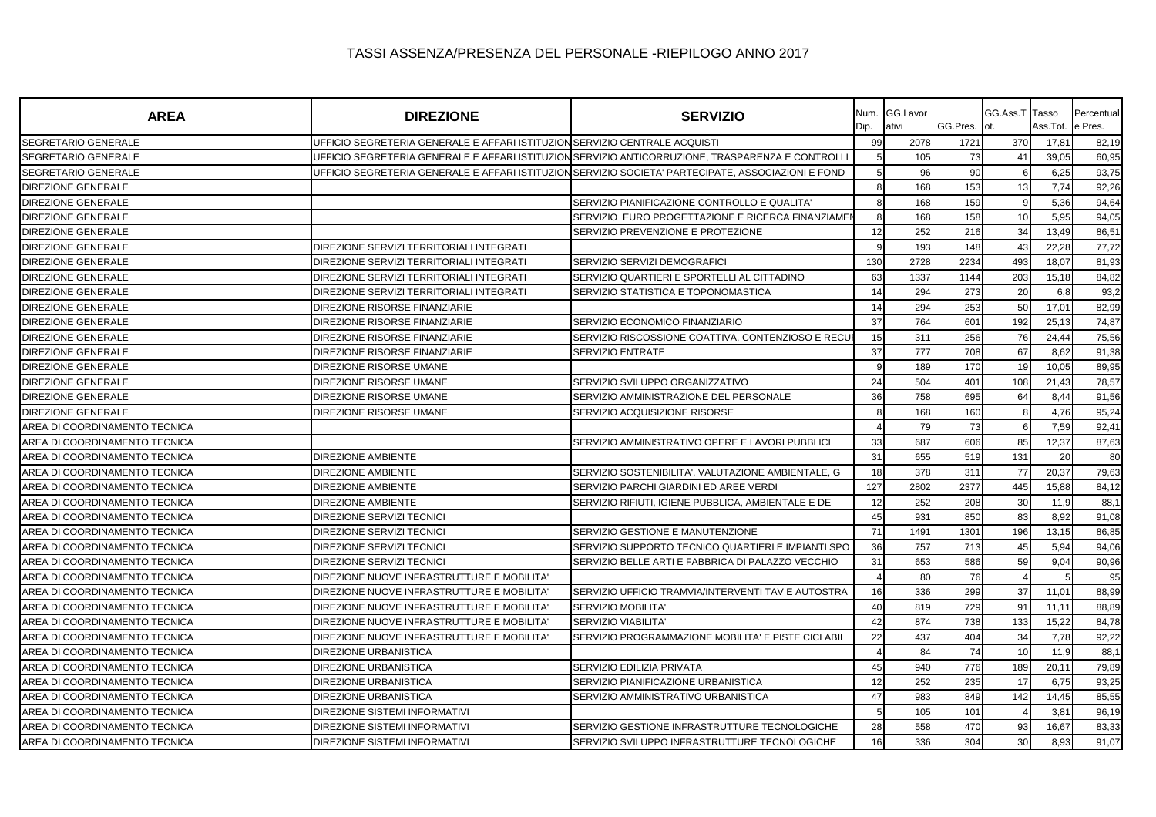| SEGRETARIO GENERALE<br>UFFICIO SEGRETERIA GENERALE E AFFARI ISTITUZION SERVIZIO CENTRALE ACQUISTI<br>2078<br>1721<br>370<br>17.8'<br>99<br>82,19<br>SEGRETARIO GENERALE<br>UFFICIO SEGRETERIA GENERALE E AFFARI ISTITUZION SERVIZIO ANTICORRUZIONE, TRASPARENZA E CONTROLLI<br>5<br>73<br>39,05<br>105<br>41<br>60,95<br>SEGRETARIO GENERALE<br>UFFICIO SEGRETERIA GENERALE E AFFARI ISTITUZION SERVIZIO SOCIETA' PARTECIPATE, ASSOCIAZIONI E FOND<br>5<br>96<br>90<br>6,25<br>93,75<br>8<br>168<br>153<br>13<br>92,26<br><b>DIREZIONE GENERALE</b><br>7,74<br>SERVIZIO PIANIFICAZIONE CONTROLLO E QUALITA'<br>$\mathbf{a}$<br>168<br>159<br>5,36<br>94,64<br><b>DIREZIONE GENERALE</b><br>DIREZIONE GENERALE<br>168<br>158<br>5,95<br>SERVIZIO EURO PROGETTAZIONE E RICERCA FINANZIAMEI<br>8<br>10<br>94,05<br>12<br>252<br>34<br><b>DIREZIONE GENERALE</b><br>SERVIZIO PREVENZIONE E PROTEZIONE<br>216<br>13,49<br>86,51<br><b>DIREZIONE GENERALE</b><br>DIREZIONE SERVIZI TERRITORIALI INTEGRATI<br>193<br>148<br>43<br>22,28<br>77,72<br>9<br><b>DIREZIONE GENERALE</b><br>DIREZIONE SERVIZI TERRITORIALI INTEGRATI<br>SERVIZIO SERVIZI DEMOGRAFICI<br>130<br>2728<br>2234<br>493<br>18,07<br>81,93<br>DIREZIONE GENERALE<br>63<br>1337<br>203<br>15,18<br>DIREZIONE SERVIZI TERRITORIALI INTEGRATI<br>SERVIZIO QUARTIERI E SPORTELLI AL CITTADINO<br>1144<br>84,82<br>14<br><b>DIREZIONE GENERALE</b><br>DIREZIONE SERVIZI TERRITORIALI INTEGRATI<br>SERVIZIO STATISTICA E TOPONOMASTICA<br>294<br>273<br>20<br>93,2<br>6,8<br>14<br>294<br>253<br>50<br>17,01<br>82,99<br><b>DIREZIONE GENERALE</b><br>DIREZIONE RISORSE FINANZIARIE<br>DIREZIONE GENERALE<br>37<br>SERVIZIO ECONOMICO FINANZIARIO<br>764<br>192<br>25,13<br>74,87<br>DIREZIONE RISORSE FINANZIARIE<br>601 | <b>AREA</b> | <b>DIREZIONE</b> | <b>SERVIZIO</b> | Num.<br>Dip. | GG.Lavor<br>ativi | GG.Pres. | GG.Ass.T Tasso<br>lot. | Ass.Tot. | Percentual<br>e Pres. |
|----------------------------------------------------------------------------------------------------------------------------------------------------------------------------------------------------------------------------------------------------------------------------------------------------------------------------------------------------------------------------------------------------------------------------------------------------------------------------------------------------------------------------------------------------------------------------------------------------------------------------------------------------------------------------------------------------------------------------------------------------------------------------------------------------------------------------------------------------------------------------------------------------------------------------------------------------------------------------------------------------------------------------------------------------------------------------------------------------------------------------------------------------------------------------------------------------------------------------------------------------------------------------------------------------------------------------------------------------------------------------------------------------------------------------------------------------------------------------------------------------------------------------------------------------------------------------------------------------------------------------------------------------------------------------------------------------------------------------------------------------------------------------------|-------------|------------------|-----------------|--------------|-------------------|----------|------------------------|----------|-----------------------|
|                                                                                                                                                                                                                                                                                                                                                                                                                                                                                                                                                                                                                                                                                                                                                                                                                                                                                                                                                                                                                                                                                                                                                                                                                                                                                                                                                                                                                                                                                                                                                                                                                                                                                                                                                                                  |             |                  |                 |              |                   |          |                        |          |                       |
|                                                                                                                                                                                                                                                                                                                                                                                                                                                                                                                                                                                                                                                                                                                                                                                                                                                                                                                                                                                                                                                                                                                                                                                                                                                                                                                                                                                                                                                                                                                                                                                                                                                                                                                                                                                  |             |                  |                 |              |                   |          |                        |          |                       |
|                                                                                                                                                                                                                                                                                                                                                                                                                                                                                                                                                                                                                                                                                                                                                                                                                                                                                                                                                                                                                                                                                                                                                                                                                                                                                                                                                                                                                                                                                                                                                                                                                                                                                                                                                                                  |             |                  |                 |              |                   |          |                        |          |                       |
|                                                                                                                                                                                                                                                                                                                                                                                                                                                                                                                                                                                                                                                                                                                                                                                                                                                                                                                                                                                                                                                                                                                                                                                                                                                                                                                                                                                                                                                                                                                                                                                                                                                                                                                                                                                  |             |                  |                 |              |                   |          |                        |          |                       |
|                                                                                                                                                                                                                                                                                                                                                                                                                                                                                                                                                                                                                                                                                                                                                                                                                                                                                                                                                                                                                                                                                                                                                                                                                                                                                                                                                                                                                                                                                                                                                                                                                                                                                                                                                                                  |             |                  |                 |              |                   |          |                        |          |                       |
|                                                                                                                                                                                                                                                                                                                                                                                                                                                                                                                                                                                                                                                                                                                                                                                                                                                                                                                                                                                                                                                                                                                                                                                                                                                                                                                                                                                                                                                                                                                                                                                                                                                                                                                                                                                  |             |                  |                 |              |                   |          |                        |          |                       |
|                                                                                                                                                                                                                                                                                                                                                                                                                                                                                                                                                                                                                                                                                                                                                                                                                                                                                                                                                                                                                                                                                                                                                                                                                                                                                                                                                                                                                                                                                                                                                                                                                                                                                                                                                                                  |             |                  |                 |              |                   |          |                        |          |                       |
|                                                                                                                                                                                                                                                                                                                                                                                                                                                                                                                                                                                                                                                                                                                                                                                                                                                                                                                                                                                                                                                                                                                                                                                                                                                                                                                                                                                                                                                                                                                                                                                                                                                                                                                                                                                  |             |                  |                 |              |                   |          |                        |          |                       |
|                                                                                                                                                                                                                                                                                                                                                                                                                                                                                                                                                                                                                                                                                                                                                                                                                                                                                                                                                                                                                                                                                                                                                                                                                                                                                                                                                                                                                                                                                                                                                                                                                                                                                                                                                                                  |             |                  |                 |              |                   |          |                        |          |                       |
|                                                                                                                                                                                                                                                                                                                                                                                                                                                                                                                                                                                                                                                                                                                                                                                                                                                                                                                                                                                                                                                                                                                                                                                                                                                                                                                                                                                                                                                                                                                                                                                                                                                                                                                                                                                  |             |                  |                 |              |                   |          |                        |          |                       |
|                                                                                                                                                                                                                                                                                                                                                                                                                                                                                                                                                                                                                                                                                                                                                                                                                                                                                                                                                                                                                                                                                                                                                                                                                                                                                                                                                                                                                                                                                                                                                                                                                                                                                                                                                                                  |             |                  |                 |              |                   |          |                        |          |                       |
|                                                                                                                                                                                                                                                                                                                                                                                                                                                                                                                                                                                                                                                                                                                                                                                                                                                                                                                                                                                                                                                                                                                                                                                                                                                                                                                                                                                                                                                                                                                                                                                                                                                                                                                                                                                  |             |                  |                 |              |                   |          |                        |          |                       |
|                                                                                                                                                                                                                                                                                                                                                                                                                                                                                                                                                                                                                                                                                                                                                                                                                                                                                                                                                                                                                                                                                                                                                                                                                                                                                                                                                                                                                                                                                                                                                                                                                                                                                                                                                                                  |             |                  |                 |              |                   |          |                        |          |                       |
| <b>DIREZIONE GENERALE</b><br>15<br>256<br>76<br>75,56<br>DIREZIONE RISORSE FINANZIARIE<br>SERVIZIO RISCOSSIONE COATTIVA, CONTENZIOSO E RECU<br>311<br>24,44                                                                                                                                                                                                                                                                                                                                                                                                                                                                                                                                                                                                                                                                                                                                                                                                                                                                                                                                                                                                                                                                                                                                                                                                                                                                                                                                                                                                                                                                                                                                                                                                                      |             |                  |                 |              |                   |          |                        |          |                       |
| 37<br>777<br>67<br>DIREZIONE RISORSE FINANZIARIE<br>708<br><b>DIREZIONE GENERALE</b><br><b>SERVIZIO ENTRATE</b><br>8.62<br>91,38                                                                                                                                                                                                                                                                                                                                                                                                                                                                                                                                                                                                                                                                                                                                                                                                                                                                                                                                                                                                                                                                                                                                                                                                                                                                                                                                                                                                                                                                                                                                                                                                                                                 |             |                  |                 |              |                   |          |                        |          |                       |
| DIREZIONE GENERALE<br>DIREZIONE RISORSE UMANE<br>9<br>189<br>170<br>19<br>10,05<br>89,95                                                                                                                                                                                                                                                                                                                                                                                                                                                                                                                                                                                                                                                                                                                                                                                                                                                                                                                                                                                                                                                                                                                                                                                                                                                                                                                                                                                                                                                                                                                                                                                                                                                                                         |             |                  |                 |              |                   |          |                        |          |                       |
| 24<br>DIREZIONE GENERALE<br>SERVIZIO SVILUPPO ORGANIZZATIVO<br>504<br>108<br>21,43<br>78,57<br>DIREZIONE RISORSE UMANE<br>401                                                                                                                                                                                                                                                                                                                                                                                                                                                                                                                                                                                                                                                                                                                                                                                                                                                                                                                                                                                                                                                                                                                                                                                                                                                                                                                                                                                                                                                                                                                                                                                                                                                    |             |                  |                 |              |                   |          |                        |          |                       |
| 36<br>758<br>695<br><b>DIREZIONE GENERALE</b><br>DIREZIONE RISORSE UMANE<br>SERVIZIO AMMINISTRAZIONE DEL PERSONALE<br>64<br>8,44<br>91,56                                                                                                                                                                                                                                                                                                                                                                                                                                                                                                                                                                                                                                                                                                                                                                                                                                                                                                                                                                                                                                                                                                                                                                                                                                                                                                                                                                                                                                                                                                                                                                                                                                        |             |                  |                 |              |                   |          |                        |          |                       |
| DIREZIONE RISORSE UMANE<br>SERVIZIO ACQUISIZIONE RISORSE<br>8<br>168<br>160<br>4,76<br>95,24<br><b>DIREZIONE GENERALE</b>                                                                                                                                                                                                                                                                                                                                                                                                                                                                                                                                                                                                                                                                                                                                                                                                                                                                                                                                                                                                                                                                                                                                                                                                                                                                                                                                                                                                                                                                                                                                                                                                                                                        |             |                  |                 |              |                   |          |                        |          |                       |
| 79<br>7,59<br>AREA DI COORDINAMENTO TECNICA<br>73<br>92,41<br>$\Delta$                                                                                                                                                                                                                                                                                                                                                                                                                                                                                                                                                                                                                                                                                                                                                                                                                                                                                                                                                                                                                                                                                                                                                                                                                                                                                                                                                                                                                                                                                                                                                                                                                                                                                                           |             |                  |                 |              |                   |          |                        |          |                       |
| AREA DI COORDINAMENTO TECNICA<br>33<br>687<br>85<br>12,37<br>SERVIZIO AMMINISTRATIVO OPERE E LAVORI PUBBLICI<br>606<br>87,63                                                                                                                                                                                                                                                                                                                                                                                                                                                                                                                                                                                                                                                                                                                                                                                                                                                                                                                                                                                                                                                                                                                                                                                                                                                                                                                                                                                                                                                                                                                                                                                                                                                     |             |                  |                 |              |                   |          |                        |          |                       |
| 31<br>655<br>519<br>131<br>20<br>AREA DI COORDINAMENTO TECNICA<br><b>DIREZIONE AMBIENTE</b><br>80                                                                                                                                                                                                                                                                                                                                                                                                                                                                                                                                                                                                                                                                                                                                                                                                                                                                                                                                                                                                                                                                                                                                                                                                                                                                                                                                                                                                                                                                                                                                                                                                                                                                                |             |                  |                 |              |                   |          |                        |          |                       |
| 18<br>378<br>77<br>AREA DI COORDINAMENTO TECNICA<br>SERVIZIO SOSTENIBILITA', VALUTAZIONE AMBIENTALE, G<br>311<br>20.37<br>79,63<br><b>DIREZIONE AMBIENTE</b>                                                                                                                                                                                                                                                                                                                                                                                                                                                                                                                                                                                                                                                                                                                                                                                                                                                                                                                                                                                                                                                                                                                                                                                                                                                                                                                                                                                                                                                                                                                                                                                                                     |             |                  |                 |              |                   |          |                        |          |                       |
| 127<br>AREA DI COORDINAMENTO TECNICA<br><b>DIREZIONE AMBIENTE</b><br>SERVIZIO PARCHI GIARDINI ED AREE VERDI<br>2802<br>2377<br>445<br>15,88<br>84,12                                                                                                                                                                                                                                                                                                                                                                                                                                                                                                                                                                                                                                                                                                                                                                                                                                                                                                                                                                                                                                                                                                                                                                                                                                                                                                                                                                                                                                                                                                                                                                                                                             |             |                  |                 |              |                   |          |                        |          |                       |
| SERVIZIO RIFIUTI. IGIENE PUBBLICA. AMBIENTALE E DE<br>12<br>252<br>30<br>AREA DI COORDINAMENTO TECNICA<br><b>DIREZIONE AMBIENTE</b><br>208<br>11,9<br>88,1                                                                                                                                                                                                                                                                                                                                                                                                                                                                                                                                                                                                                                                                                                                                                                                                                                                                                                                                                                                                                                                                                                                                                                                                                                                                                                                                                                                                                                                                                                                                                                                                                       |             |                  |                 |              |                   |          |                        |          |                       |
| 45<br>931<br>850<br>83<br>AREA DI COORDINAMENTO TECNICA<br>DIREZIONE SERVIZI TECNICI<br>8,92<br>91,08                                                                                                                                                                                                                                                                                                                                                                                                                                                                                                                                                                                                                                                                                                                                                                                                                                                                                                                                                                                                                                                                                                                                                                                                                                                                                                                                                                                                                                                                                                                                                                                                                                                                            |             |                  |                 |              |                   |          |                        |          |                       |
| 71<br>AREA DI COORDINAMENTO TECNICA<br>DIREZIONE SERVIZI TECNICI<br>SERVIZIO GESTIONE E MANUTENZIONE<br>1491<br>1301<br>196<br>13,15<br>86,85                                                                                                                                                                                                                                                                                                                                                                                                                                                                                                                                                                                                                                                                                                                                                                                                                                                                                                                                                                                                                                                                                                                                                                                                                                                                                                                                                                                                                                                                                                                                                                                                                                    |             |                  |                 |              |                   |          |                        |          |                       |
| AREA DI COORDINAMENTO TECNICA<br>SERVIZIO SUPPORTO TECNICO QUARTIERI E IMPIANTI SPO<br>36<br>757<br>713<br><b>DIREZIONE SERVIZI TECNICI</b><br>45<br>5,94<br>94,06                                                                                                                                                                                                                                                                                                                                                                                                                                                                                                                                                                                                                                                                                                                                                                                                                                                                                                                                                                                                                                                                                                                                                                                                                                                                                                                                                                                                                                                                                                                                                                                                               |             |                  |                 |              |                   |          |                        |          |                       |
| 31<br>653<br>59<br>AREA DI COORDINAMENTO TECNICA<br>SERVIZIO BELLE ARTI E FABBRICA DI PALAZZO VECCHIO<br>586<br>90,96<br>DIREZIONE SERVIZI TECNICI<br>9,04                                                                                                                                                                                                                                                                                                                                                                                                                                                                                                                                                                                                                                                                                                                                                                                                                                                                                                                                                                                                                                                                                                                                                                                                                                                                                                                                                                                                                                                                                                                                                                                                                       |             |                  |                 |              |                   |          |                        |          |                       |
| 80<br>76<br>AREA DI COORDINAMENTO TECNICA<br>DIREZIONE NUOVE INFRASTRUTTURE E MOBILITA'<br>95                                                                                                                                                                                                                                                                                                                                                                                                                                                                                                                                                                                                                                                                                                                                                                                                                                                                                                                                                                                                                                                                                                                                                                                                                                                                                                                                                                                                                                                                                                                                                                                                                                                                                    |             |                  |                 |              |                   |          |                        |          |                       |
| AREA DI COORDINAMENTO TECNICA<br>16<br>DIREZIONE NUOVE INFRASTRUTTURE E MOBILITA'<br>SERVIZIO UFFICIO TRAMVIA/INTERVENTI TAV E AUTOSTRA<br>336<br>299<br>37<br>11,01<br>88,99                                                                                                                                                                                                                                                                                                                                                                                                                                                                                                                                                                                                                                                                                                                                                                                                                                                                                                                                                                                                                                                                                                                                                                                                                                                                                                                                                                                                                                                                                                                                                                                                    |             |                  |                 |              |                   |          |                        |          |                       |
| 40<br>729<br>AREA DI COORDINAMENTO TECNICA<br>DIREZIONE NUOVE INFRASTRUTTURE E MOBILITA'<br>819<br>91<br>11,11<br>88,89<br><b>SERVIZIO MOBILITA'</b>                                                                                                                                                                                                                                                                                                                                                                                                                                                                                                                                                                                                                                                                                                                                                                                                                                                                                                                                                                                                                                                                                                                                                                                                                                                                                                                                                                                                                                                                                                                                                                                                                             |             |                  |                 |              |                   |          |                        |          |                       |
| 42<br>874<br>738<br>133<br>AREA DI COORDINAMENTO TECNICA<br>DIREZIONE NUOVE INFRASTRUTTURE E MOBILITA'<br>SERVIZIO VIABILITA'<br>15,22<br>84,78                                                                                                                                                                                                                                                                                                                                                                                                                                                                                                                                                                                                                                                                                                                                                                                                                                                                                                                                                                                                                                                                                                                                                                                                                                                                                                                                                                                                                                                                                                                                                                                                                                  |             |                  |                 |              |                   |          |                        |          |                       |
| 22<br>AREA DI COORDINAMENTO TECNICA<br>DIREZIONE NUOVE INFRASTRUTTURE E MOBILITA'<br>SERVIZIO PROGRAMMAZIONE MOBILITA' E PISTE CICLABIL<br>437<br>404<br>34<br>7,78<br>92,22                                                                                                                                                                                                                                                                                                                                                                                                                                                                                                                                                                                                                                                                                                                                                                                                                                                                                                                                                                                                                                                                                                                                                                                                                                                                                                                                                                                                                                                                                                                                                                                                     |             |                  |                 |              |                   |          |                        |          |                       |
| AREA DI COORDINAMENTO TECNICA<br>74<br>10<br><b>DIREZIONE URBANISTICA</b><br>$\overline{4}$<br>84<br>11.9<br>88,1                                                                                                                                                                                                                                                                                                                                                                                                                                                                                                                                                                                                                                                                                                                                                                                                                                                                                                                                                                                                                                                                                                                                                                                                                                                                                                                                                                                                                                                                                                                                                                                                                                                                |             |                  |                 |              |                   |          |                        |          |                       |
| 45<br>AREA DI COORDINAMENTO TECNICA<br><b>DIREZIONE URBANISTICA</b><br>SERVIZIO EDILIZIA PRIVATA<br>940<br>776<br>189<br>20,11<br>79,89                                                                                                                                                                                                                                                                                                                                                                                                                                                                                                                                                                                                                                                                                                                                                                                                                                                                                                                                                                                                                                                                                                                                                                                                                                                                                                                                                                                                                                                                                                                                                                                                                                          |             |                  |                 |              |                   |          |                        |          |                       |
| 12<br>252<br>AREA DI COORDINAMENTO TECNICA<br>SERVIZIO PIANIFICAZIONE URBANISTICA<br>235<br>17<br>6,75<br>93,25<br>DIREZIONE URBANISTICA                                                                                                                                                                                                                                                                                                                                                                                                                                                                                                                                                                                                                                                                                                                                                                                                                                                                                                                                                                                                                                                                                                                                                                                                                                                                                                                                                                                                                                                                                                                                                                                                                                         |             |                  |                 |              |                   |          |                        |          |                       |
| 47<br>AREA DI COORDINAMENTO TECNICA<br>SERVIZIO AMMINISTRATIVO URBANISTICA<br>142<br>85,55<br><b>DIREZIONE URBANISTICA</b><br>983<br>849<br>14,45                                                                                                                                                                                                                                                                                                                                                                                                                                                                                                                                                                                                                                                                                                                                                                                                                                                                                                                                                                                                                                                                                                                                                                                                                                                                                                                                                                                                                                                                                                                                                                                                                                |             |                  |                 |              |                   |          |                        |          |                       |
| AREA DI COORDINAMENTO TECNICA<br>5<br>DIREZIONE SISTEMI INFORMATIVI<br>105<br>101<br>3,81<br>96,19                                                                                                                                                                                                                                                                                                                                                                                                                                                                                                                                                                                                                                                                                                                                                                                                                                                                                                                                                                                                                                                                                                                                                                                                                                                                                                                                                                                                                                                                                                                                                                                                                                                                               |             |                  |                 |              |                   |          |                        |          |                       |
| 28<br>558<br>470<br>AREA DI COORDINAMENTO TECNICA<br><b>DIREZIONE SISTEMI INFORMATIVI</b><br>SERVIZIO GESTIONE INFRASTRUTTURE TECNOLOGICHE<br>16,67<br>83,33<br>93                                                                                                                                                                                                                                                                                                                                                                                                                                                                                                                                                                                                                                                                                                                                                                                                                                                                                                                                                                                                                                                                                                                                                                                                                                                                                                                                                                                                                                                                                                                                                                                                               |             |                  |                 |              |                   |          |                        |          |                       |
| AREA DI COORDINAMENTO TECNICA<br>16<br>336<br>30<br><b>DIREZIONE SISTEMI INFORMATIVI</b><br>SERVIZIO SVILUPPO INFRASTRUTTURE TECNOLOGICHE<br>304<br>8,93<br>91,07                                                                                                                                                                                                                                                                                                                                                                                                                                                                                                                                                                                                                                                                                                                                                                                                                                                                                                                                                                                                                                                                                                                                                                                                                                                                                                                                                                                                                                                                                                                                                                                                                |             |                  |                 |              |                   |          |                        |          |                       |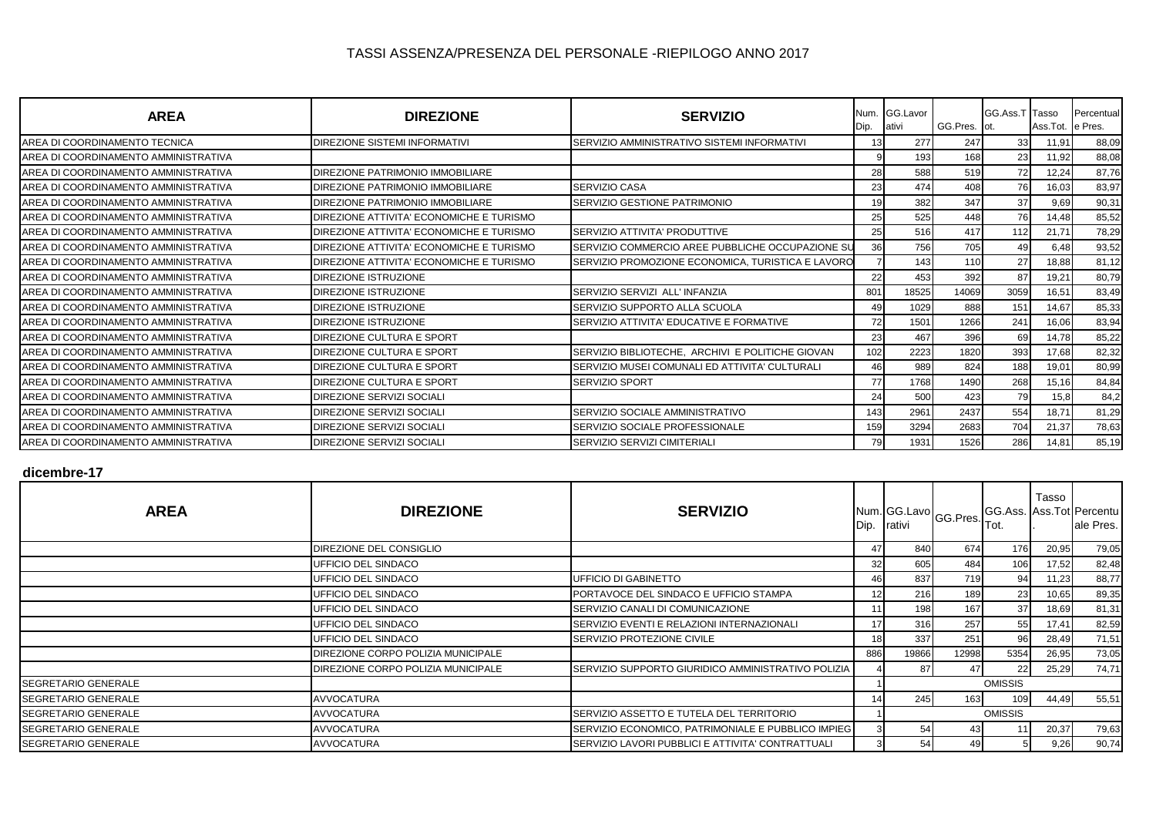| <b>AREA</b>                          | <b>DIREZIONE</b>                         | <b>SERVIZIO</b>                                   | INum.<br>Dip. | GG.Lavor<br>ativi | GG.Pres. | GG.Ass.T Tasso<br>lot. | Ass.Tot. | Percentual<br>e Pres. |
|--------------------------------------|------------------------------------------|---------------------------------------------------|---------------|-------------------|----------|------------------------|----------|-----------------------|
| AREA DI COORDINAMENTO TECNICA        | DIREZIONE SISTEMI INFORMATIVI            | SERVIZIO AMMINISTRATIVO SISTEMI INFORMATIVI       | 13            | 277               | 247      | 33                     | 11,91    | 88,09                 |
| AREA DI COORDINAMENTO AMMINISTRATIVA |                                          |                                                   |               | 193               | 168      | 23                     | 11,92    | 88,08                 |
| AREA DI COORDINAMENTO AMMINISTRATIVA | DIREZIONE PATRIMONIO IMMOBILIARE         |                                                   | 28            | 588               | 519      | 72                     | 12,24    | 87,76                 |
| AREA DI COORDINAMENTO AMMINISTRATIVA | DIREZIONE PATRIMONIO IMMOBILIARE         | SERVIZIO CASA                                     | 23            | 474               | 408      | 76                     | 16,03    | 83,97                 |
| AREA DI COORDINAMENTO AMMINISTRATIVA | DIREZIONE PATRIMONIO IMMOBILIARE         | SERVIZIO GESTIONE PATRIMONIO                      | 19            | 382               | 347      | 37                     | 9,69     | 90,31                 |
| AREA DI COORDINAMENTO AMMINISTRATIVA | DIREZIONE ATTIVITA' ECONOMICHE E TURISMO |                                                   | 25            | 525               | 448      | 76                     | 14,48    | 85,52                 |
| AREA DI COORDINAMENTO AMMINISTRATIVA | DIREZIONE ATTIVITA' ECONOMICHE E TURISMO | SERVIZIO ATTIVITA' PRODUTTIVE                     | 25            | 516               | 417      | 112                    | 21,71    | 78,29                 |
| AREA DI COORDINAMENTO AMMINISTRATIVA | DIREZIONE ATTIVITA' ECONOMICHE E TURISMO | SERVIZIO COMMERCIO AREE PUBBLICHE OCCUPAZIONE SU  | 36            | 756               | 705      | 49                     | 6,48     | 93,52                 |
| AREA DI COORDINAMENTO AMMINISTRATIVA | DIREZIONE ATTIVITA' ECONOMICHE E TURISMO | SERVIZIO PROMOZIONE ECONOMICA, TURISTICA E LAVORO |               | 143               | 110      | 27                     | 18,88    | 81,12                 |
| AREA DI COORDINAMENTO AMMINISTRATIVA | DIREZIONE ISTRUZIONE                     |                                                   | 22            | 453               | 392      | 87                     | 19,21    | 80,79                 |
| AREA DI COORDINAMENTO AMMINISTRATIVA | DIREZIONE ISTRUZIONE                     | SERVIZIO SERVIZI ALL' INFANZIA                    | 801           | 18525             | 14069    | 3059                   | 16,51    | 83,49                 |
| AREA DI COORDINAMENTO AMMINISTRATIVA | DIREZIONE ISTRUZIONE                     | SERVIZIO SUPPORTO ALLA SCUOLA                     | 49            | 1029              | 888      | 151                    | 14,67    | 85,33                 |
| AREA DI COORDINAMENTO AMMINISTRATIVA | DIREZIONE ISTRUZIONE                     | SERVIZIO ATTIVITA' EDUCATIVE E FORMATIVE          | 72            | 1501              | 1266     | 241                    | 16,06    | 83,94                 |
| AREA DI COORDINAMENTO AMMINISTRATIVA | DIREZIONE CULTURA E SPORT                |                                                   | 23            | 467               | 396      | 69                     | 14,78    | 85,22                 |
| AREA DI COORDINAMENTO AMMINISTRATIVA | DIREZIONE CULTURA E SPORT                | SERVIZIO BIBLIOTECHE, ARCHIVI E POLITICHE GIOVAN  | 102           | 2223              | 1820     | 393                    | 17,68    | 82,32                 |
| AREA DI COORDINAMENTO AMMINISTRATIVA | DIREZIONE CULTURA E SPORT                | SERVIZIO MUSEI COMUNALI ED ATTIVITA' CULTURALI    | 46            | 989               | 824      | 188                    | 19,01    | 80,99                 |
| AREA DI COORDINAMENTO AMMINISTRATIVA | DIREZIONE CULTURA E SPORT                | <b>SERVIZIO SPORT</b>                             | 77            | 1768              | 1490     | 268                    | 15,16    | 84,84                 |
| AREA DI COORDINAMENTO AMMINISTRATIVA | DIREZIONE SERVIZI SOCIALI                |                                                   | 24            | 500               | 423      | 79                     | 15,8     | 84,2                  |
| AREA DI COORDINAMENTO AMMINISTRATIVA | DIREZIONE SERVIZI SOCIALI                | SERVIZIO SOCIALE AMMINISTRATIVO                   | 143           | 2961              | 2437     | 554                    | 18.71    | 81,29                 |
| AREA DI COORDINAMENTO AMMINISTRATIVA | DIREZIONE SERVIZI SOCIALI                | SERVIZIO SOCIALE PROFESSIONALE                    | 159           | 3294              | 2683     | 704                    | 21,37    | 78,63                 |
| AREA DI COORDINAMENTO AMMINISTRATIVA | DIREZIONE SERVIZI SOCIALI                | SERVIZIO SERVIZI CIMITERIALI                      | 79            | 1931              | 1526     | 286                    | 14,81    | 85,19                 |

#### **dicembre-17**

| <b>AREA</b>                 | <b>DIREZIONE</b>                   | <b>SERVIZIO</b>                                    | Dip. | rativi         | INum. GG.Lavo GG.Pres.IV | Tot. | Tasso | GG.Ass. Ass.Tot Percentu<br>ale Pres. |
|-----------------------------|------------------------------------|----------------------------------------------------|------|----------------|--------------------------|------|-------|---------------------------------------|
|                             | <b>DIREZIONE DEL CONSIGLIO</b>     |                                                    | 47   | 840            | 674                      | 176  | 20,95 | 79,05                                 |
|                             | UFFICIO DEL SINDACO                |                                                    | 32   | 605            | 484                      | 106  | 17,52 | 82,48                                 |
|                             | UFFICIO DEL SINDACO                | JFFICIO DI GABINETTO                               | 461  | 837            | 719                      | 94   | 11,23 | 88,77                                 |
|                             | UFFICIO DEL SINDACO                | PORTAVOCE DEL SINDACO E UFFICIO STAMPA             | 12   | 216            | 189                      | 23   | 10,65 | 89,35                                 |
|                             | UFFICIO DEL SINDACO                | SERVIZIO CANALI DI COMUNICAZIONE                   | 11   | 198            | 167                      | 37   | 18,69 | 81,31                                 |
|                             | UFFICIO DEL SINDACO                | SERVIZIO EVENTI E RELAZIONI INTERNAZIONALI         |      | 316            | 257                      | 55   | 17,41 | 82,59                                 |
|                             | UFFICIO DEL SINDACO                | SERVIZIO PROTEZIONE CIVILE                         | 18   | 337            | 251                      | 96   | 28,49 | 71,51                                 |
|                             | DIREZIONE CORPO POLIZIA MUNICIPALE |                                                    | 886  | 19866          | 12998                    | 5354 | 26,95 | 73,05                                 |
|                             | DIREZIONE CORPO POLIZIA MUNICIPALE | SERVIZIO SUPPORTO GIURIDICO AMMINISTRATIVO POLIZIA |      | 87             | 47                       | 22   | 25,29 | 74,71                                 |
| <b>ISEGRETARIO GENERALE</b> |                                    |                                                    |      | <b>OMISSIS</b> |                          |      |       |                                       |
| <b>ISEGRETARIO GENERALE</b> | <b>AVVOCATURA</b>                  |                                                    | 14   | 245            | 163                      | 109  | 44,49 | 55,51                                 |
| <b>ISEGRETARIO GENERALE</b> | <b>AVVOCATURA</b>                  | SERVIZIO ASSETTO E TUTELA DEL TERRITORIO           |      | <b>OMISSIS</b> |                          |      |       |                                       |
| <b>SEGRETARIO GENERALE</b>  | <b>AVVOCATURA</b>                  | SERVIZIO ECONOMICO, PATRIMONIALE E PUBBLICO IMPIEG |      | 54             | 43                       |      | 20,37 | 79,63                                 |
| <b>ISEGRETARIO GENERALE</b> | <b>AVVOCATURA</b>                  | SERVIZIO LAVORI PUBBLICI E ATTIVITA' CONTRATTUALI  |      | 54             | 49                       |      | 9,26  | 90,74                                 |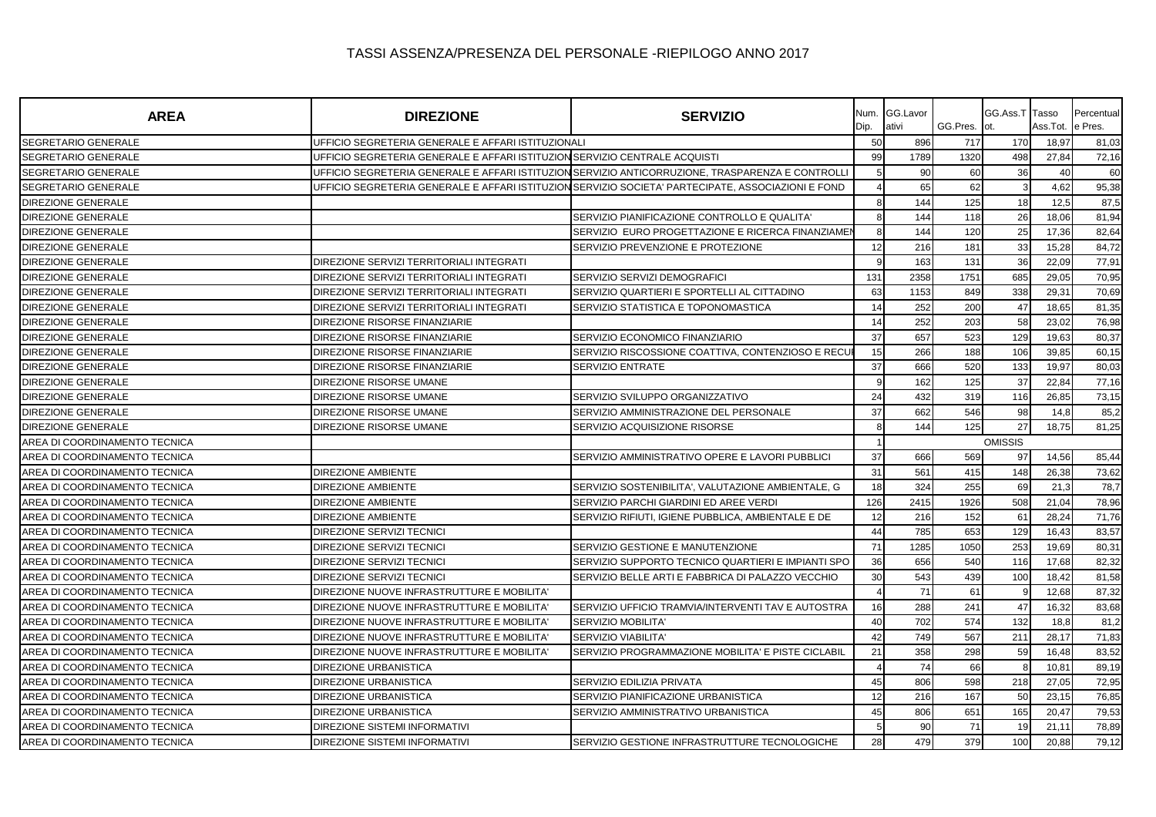| <b>AREA</b>                   | <b>DIREZIONE</b>                                                           | <b>SERVIZIO</b>                                                                                    | Num.<br>Dip.    | GG.Lavor<br>ativi | GG.Pres. | GG.Ass.T Tasso<br>lot. | Ass.Tot. | Percentual<br>e Pres. |
|-------------------------------|----------------------------------------------------------------------------|----------------------------------------------------------------------------------------------------|-----------------|-------------------|----------|------------------------|----------|-----------------------|
| SEGRETARIO GENERALE           | UFFICIO SEGRETERIA GENERALE E AFFARI ISTITUZIONALI                         |                                                                                                    | 50              | 896               | 717      | 170                    | 18,97    | 81,03                 |
| SEGRETARIO GENERALE           | UFFICIO SEGRETERIA GENERALE E AFFARI ISTITUZION SERVIZIO CENTRALE ACQUISTI |                                                                                                    | 99              | 1789              | 1320     | 498                    | 27,84    | 72,16                 |
| <b>SEGRETARIO GENERALE</b>    |                                                                            | UFFICIO SEGRETERIA GENERALE E AFFARI ISTITUZION SERVIZIO ANTICORRUZIONE, TRASPARENZA E CONTROLLI   | 5               | 90                | 60       | 36                     | 40       | 60                    |
| SEGRETARIO GENERALE           |                                                                            | UFFICIO SEGRETERIA GENERALE E AFFARI ISTITUZION SERVIZIO SOCIETA' PARTECIPATE, ASSOCIAZIONI E FOND |                 | 65                | 62       | Э                      | 4,62     | 95,38                 |
| <b>DIREZIONE GENERALE</b>     |                                                                            |                                                                                                    | 8               | 144               | 125      | 18                     | 12,5     | 87,5                  |
| DIREZIONE GENERALE            |                                                                            | SERVIZIO PIANIFICAZIONE CONTROLLO E QUALITA'                                                       | 8               | 144               | 118      | 26                     | 18,06    | 81,94                 |
| DIREZIONE GENERALE            |                                                                            | SERVIZIO EURO PROGETTAZIONE E RICERCA FINANZIAME                                                   | 8               | 144               | 120      | 25                     | 17,36    | 82,64                 |
| <b>DIREZIONE GENERALE</b>     |                                                                            | SERVIZIO PREVENZIONE E PROTEZIONE                                                                  | 12              | 216               | 181      | 33                     | 15.28    | 84,72                 |
| DIREZIONE GENERALE            | DIREZIONE SERVIZI TERRITORIALI INTEGRATI                                   |                                                                                                    | 9               | 163               | 131      | 36                     | 22,09    | 77,91                 |
| <b>DIREZIONE GENERALE</b>     | DIREZIONE SERVIZI TERRITORIALI INTEGRATI                                   | SERVIZIO SERVIZI DEMOGRAFICI                                                                       | 131             | 2358              | 1751     | 685                    | 29,05    | 70,95                 |
| <b>DIREZIONE GENERALE</b>     | DIREZIONE SERVIZI TERRITORIALI INTEGRATI                                   | SERVIZIO QUARTIERI E SPORTELLI AL CITTADINO                                                        | 63              | 1153              | 849      | 338                    | 29,31    | 70,69                 |
| <b>DIREZIONE GENERALE</b>     | DIREZIONE SERVIZI TERRITORIALI INTEGRATI                                   | SERVIZIO STATISTICA E TOPONOMASTICA                                                                | 14              | 252               | 200      | 47                     | 18,65    | 81,35                 |
| DIREZIONE GENERALE            | DIREZIONE RISORSE FINANZIARIE                                              |                                                                                                    | 14              | 252               | 203      | 58                     | 23,02    | 76,98                 |
| DIREZIONE GENERALE            | DIREZIONE RISORSE FINANZIARIE                                              | SERVIZIO ECONOMICO FINANZIARIO                                                                     | 37              | 657               | 523      | 129                    | 19,63    | 80,37                 |
| DIREZIONE GENERALE            | DIREZIONE RISORSE FINANZIARIE                                              | SERVIZIO RISCOSSIONE COATTIVA, CONTENZIOSO E RECU                                                  | 15              | 266               | 188      | 106                    | 39,85    | 60,15                 |
| <b>DIREZIONE GENERALE</b>     | DIREZIONE RISORSE FINANZIARIE                                              | SERVIZIO ENTRATE                                                                                   | 37              | 666               | 520      | 133                    | 19.97    | 80,03                 |
| DIREZIONE GENERALE            | DIREZIONE RISORSE UMANE                                                    |                                                                                                    | 9               | 162               | 125      | 37                     | 22,84    | 77,16                 |
| <b>DIREZIONE GENERALE</b>     | DIREZIONE RISORSE UMANE                                                    | SERVIZIO SVILUPPO ORGANIZZATIVO                                                                    | 24              | 432               | 319      | 116                    | 26,85    | 73,15                 |
| <b>DIREZIONE GENERALE</b>     | DIREZIONE RISORSE UMANE                                                    | SERVIZIO AMMINISTRAZIONE DEL PERSONALE                                                             | 37              | 662               | 546      | 98                     | 14,8     | 85,2                  |
| DIREZIONE GENERALE            | DIREZIONE RISORSE UMANE                                                    | SERVIZIO ACQUISIZIONE RISORSE                                                                      | 8               | 144               | 125      | 27                     | 18,75    | 81,25                 |
| AREA DI COORDINAMENTO TECNICA |                                                                            |                                                                                                    | <b>OMISSIS</b>  |                   |          |                        |          |                       |
| AREA DI COORDINAMENTO TECNICA |                                                                            | SERVIZIO AMMINISTRATIVO OPERE E LAVORI PUBBLICI                                                    | 37              | 666               | 569      | 97                     | 14,56    | 85,44                 |
| AREA DI COORDINAMENTO TECNICA | <b>DIREZIONE AMBIENTE</b>                                                  |                                                                                                    | 31              | 561               | 415      | 148                    | 26,38    | 73,62                 |
| AREA DI COORDINAMENTO TECNICA | <b>DIREZIONE AMBIENTE</b>                                                  | SERVIZIO SOSTENIBILITA', VALUTAZIONE AMBIENTALE, G                                                 | 18              | 324               | 255      | 69                     | 21.3     | 78,7                  |
| AREA DI COORDINAMENTO TECNICA | <b>DIREZIONE AMBIENTE</b>                                                  | SERVIZIO PARCHI GIARDINI ED AREE VERDI                                                             | 126             | 2415              | 1926     | 508                    | 21,04    | 78,96                 |
| AREA DI COORDINAMENTO TECNICA | <b>DIREZIONE AMBIENTE</b>                                                  | SERVIZIO RIFIUTI, IGIENE PUBBLICA, AMBIENTALE E DE                                                 | 12              | 216               | 152      | 61                     | 28,24    | 71,76                 |
| AREA DI COORDINAMENTO TECNICA | DIREZIONE SERVIZI TECNICI                                                  |                                                                                                    | 44              | 785               | 653      | 129                    | 16,43    | 83,57                 |
| AREA DI COORDINAMENTO TECNICA | DIREZIONE SERVIZI TECNICI                                                  | SERVIZIO GESTIONE E MANUTENZIONE                                                                   | 71              | 1285              | 1050     | 253                    | 19,69    | 80,31                 |
| AREA DI COORDINAMENTO TECNICA | DIREZIONE SERVIZI TECNICI                                                  | SERVIZIO SUPPORTO TECNICO QUARTIERI E IMPIANTI SPO                                                 | 36              | 656               | 540      | 116                    | 17,68    | 82,32                 |
| AREA DI COORDINAMENTO TECNICA | DIREZIONE SERVIZI TECNICI                                                  | SERVIZIO BELLE ARTI E FABBRICA DI PALAZZO VECCHIO                                                  | 30              | 543               | 439      | 100                    | 18,42    | 81,58                 |
| AREA DI COORDINAMENTO TECNICA | DIREZIONE NUOVE INFRASTRUTTURE E MOBILITA'                                 |                                                                                                    | $\overline{4}$  | 71                | 61       |                        | 12,68    | 87,32                 |
| AREA DI COORDINAMENTO TECNICA | DIREZIONE NUOVE INFRASTRUTTURE E MOBILITA'                                 | SERVIZIO UFFICIO TRAMVIA/INTERVENTI TAV E AUTOSTRA                                                 | 16              | 288               | 241      | 47                     | 16,32    | 83,68                 |
| AREA DI COORDINAMENTO TECNICA | DIREZIONE NUOVE INFRASTRUTTURE E MOBILITA'                                 | SERVIZIO MOBILITA'                                                                                 | 40              | 702               | 574      | 132                    | 18,8     | 81,2                  |
| AREA DI COORDINAMENTO TECNICA | DIREZIONE NUOVE INFRASTRUTTURE E MOBILITA'                                 | <b>SERVIZIO VIABILITA'</b>                                                                         | 42              | 749               | 567      | 211                    | 28,17    | 71,83                 |
| AREA DI COORDINAMENTO TECNICA | DIREZIONE NUOVE INFRASTRUTTURE E MOBILITA'                                 | SERVIZIO PROGRAMMAZIONE MOBILITA' E PISTE CICLABIL                                                 | 21              | 358               | 298      | 59                     | 16,48    | 83,52                 |
| AREA DI COORDINAMENTO TECNICA | <b>DIREZIONE URBANISTICA</b>                                               |                                                                                                    |                 | 74                | 66       |                        | 10,81    | 89,19                 |
| AREA DI COORDINAMENTO TECNICA | DIREZIONE URBANISTICA                                                      | SERVIZIO EDILIZIA PRIVATA                                                                          | 45              | 806               | 598      | 218                    | 27,05    | 72,95                 |
| AREA DI COORDINAMENTO TECNICA | DIREZIONE URBANISTICA                                                      | SERVIZIO PIANIFICAZIONE URBANISTICA                                                                | 12              | 216               | 167      | 50                     | 23,15    | 76,85                 |
| AREA DI COORDINAMENTO TECNICA | DIREZIONE URBANISTICA                                                      | SERVIZIO AMMINISTRATIVO URBANISTICA                                                                | 45              | 806               | 651      | 165                    | 20,47    | 79,53                 |
| AREA DI COORDINAMENTO TECNICA | DIREZIONE SISTEMI INFORMATIVI                                              |                                                                                                    | $5\overline{)}$ | 90                | 71       | 19                     | 21,11    | 78,89                 |
| AREA DI COORDINAMENTO TECNICA | DIREZIONE SISTEMI INFORMATIVI                                              | SERVIZIO GESTIONE INFRASTRUTTURE TECNOLOGICHE                                                      | 28              | 479               | 379      | 100                    | 20,88    | 79,12                 |